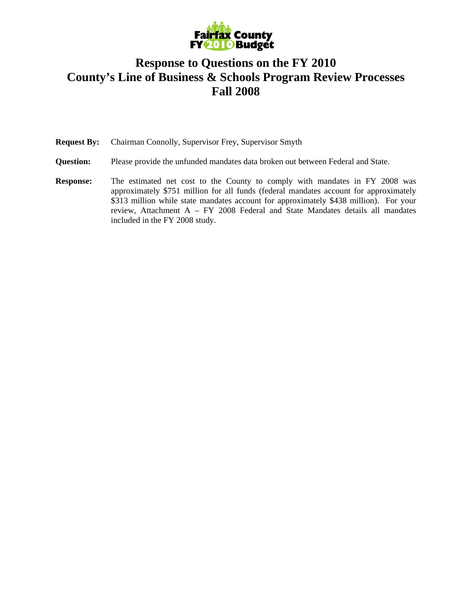

#### **Response to Questions on the FY 2010 County's Line of Business & Schools Program Review Processes Fall 2008**

**Request By:** Chairman Connolly, Supervisor Frey, Supervisor Smyth

- **Question:** Please provide the unfunded mandates data broken out between Federal and State.
- **Response:** The estimated net cost to the County to comply with mandates in FY 2008 was approximately \$751 million for all funds (federal mandates account for approximately \$313 million while state mandates account for approximately \$438 million). For your review, Attachment A – FY 2008 Federal and State Mandates details all mandates included in the FY 2008 study.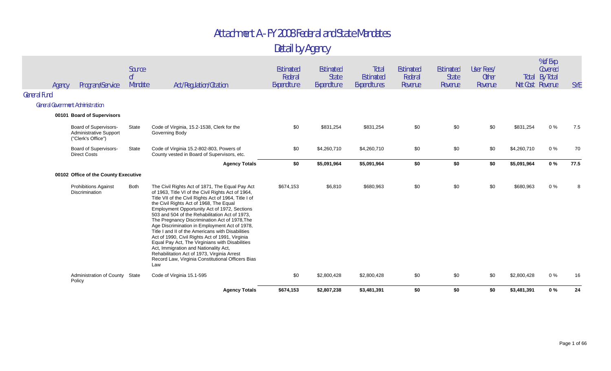|                     | Program/Service<br>Agency                                             | Source<br>0f<br>Mandate | Act/Regulation/Citation                                                                                                                                                                                                                                                                                                                                                                                                                                                                                                                                                                                                                                                                                                      | Estimated<br>Federal<br>Expenditure | Estimated<br><b>State</b><br>Expenditure | Total<br><b>Estimated</b><br>Expenditures | <b>Estimated</b><br>Federal<br>Revenue | Estimated<br><b>State</b><br>Revenue | User Fees/<br><b>Other</b><br>Revenue | Net Cost Revenue | % of Exp.<br>Covered<br>Total By Total | <b>SYE</b> |
|---------------------|-----------------------------------------------------------------------|-------------------------|------------------------------------------------------------------------------------------------------------------------------------------------------------------------------------------------------------------------------------------------------------------------------------------------------------------------------------------------------------------------------------------------------------------------------------------------------------------------------------------------------------------------------------------------------------------------------------------------------------------------------------------------------------------------------------------------------------------------------|-------------------------------------|------------------------------------------|-------------------------------------------|----------------------------------------|--------------------------------------|---------------------------------------|------------------|----------------------------------------|------------|
| <b>General Fund</b> |                                                                       |                         |                                                                                                                                                                                                                                                                                                                                                                                                                                                                                                                                                                                                                                                                                                                              |                                     |                                          |                                           |                                        |                                      |                                       |                  |                                        |            |
|                     | <b>General Government Administration</b>                              |                         |                                                                                                                                                                                                                                                                                                                                                                                                                                                                                                                                                                                                                                                                                                                              |                                     |                                          |                                           |                                        |                                      |                                       |                  |                                        |            |
|                     | 00101 Board of Supervisors                                            |                         |                                                                                                                                                                                                                                                                                                                                                                                                                                                                                                                                                                                                                                                                                                                              |                                     |                                          |                                           |                                        |                                      |                                       |                  |                                        |            |
|                     | Board of Supervisors-<br>Administrative Support<br>("Clerk's Office") | State                   | Code of Virginia, 15.2-1538, Clerk for the<br>Governing Body                                                                                                                                                                                                                                                                                                                                                                                                                                                                                                                                                                                                                                                                 | \$0                                 | \$831,254                                | \$831,254                                 | \$0                                    | \$0                                  | \$0                                   | \$831,254        | $0\%$                                  | 7.5        |
|                     | <b>Board of Supervisors-</b><br><b>Direct Costs</b>                   | State                   | Code of Virginia 15.2-802-803, Powers of<br>County vested in Board of Supervisors, etc.                                                                                                                                                                                                                                                                                                                                                                                                                                                                                                                                                                                                                                      | \$0                                 | \$4,260,710                              | \$4,260,710                               | \$0                                    | \$0                                  | \$0                                   | \$4,260,710      | $0\%$                                  | 70         |
|                     |                                                                       |                         | <b>Agency Totals</b>                                                                                                                                                                                                                                                                                                                                                                                                                                                                                                                                                                                                                                                                                                         | \$0                                 | \$5,091,964                              | \$5,091,964                               | \$0                                    | \$0                                  | \$0                                   | \$5,091,964      | $0\%$                                  | 77.5       |
|                     | 00102 Office of the County Executive                                  |                         |                                                                                                                                                                                                                                                                                                                                                                                                                                                                                                                                                                                                                                                                                                                              |                                     |                                          |                                           |                                        |                                      |                                       |                  |                                        |            |
|                     | <b>Prohibitions Against</b><br>Discrimination                         | Both                    | The Civil Rights Act of 1871, The Equal Pay Act<br>of 1963, Title VI of the Civil Rights Act of 1964,<br>Title VII of the Civil Rights Act of 1964, Title I of<br>the Civil Rights Act of 1968, The Equal<br>Employment Opportunity Act of 1972, Sections<br>503 and 504 of the Rehabilitation Act of 1973,<br>The Pregnancy Discrimination Act of 1978, The<br>Age Discrimination in Employment Act of 1978,<br>Title I and II of the Americans with Disabilities<br>Act of 1990, Civil Rights Act of 1991, Virginia<br>Equal Pay Act, The Virginians with Disabilities<br>Act, Immigration and Nationality Act,<br>Rehabilitation Act of 1973, Virginia Arrest<br>Record Law, Virginia Constitutional Officers Bias<br>Law | \$674,153                           | \$6,810                                  | \$680,963                                 | \$0                                    | \$0                                  | \$0                                   | \$680,963        | $0\%$                                  |            |
|                     | Administration of County State<br>Policy                              |                         | Code of Virginia 15.1-595                                                                                                                                                                                                                                                                                                                                                                                                                                                                                                                                                                                                                                                                                                    | \$0                                 | \$2,800,428                              | \$2,800,428                               | \$0                                    | \$0                                  | \$0                                   | \$2,800,428      | $0\%$                                  | 16         |
|                     |                                                                       |                         | <b>Agency Totals</b>                                                                                                                                                                                                                                                                                                                                                                                                                                                                                                                                                                                                                                                                                                         | \$674,153                           | \$2,807,238                              | \$3,481,391                               | \$0                                    | \$0                                  | \$0                                   | \$3,481,391      | 0%                                     | 24         |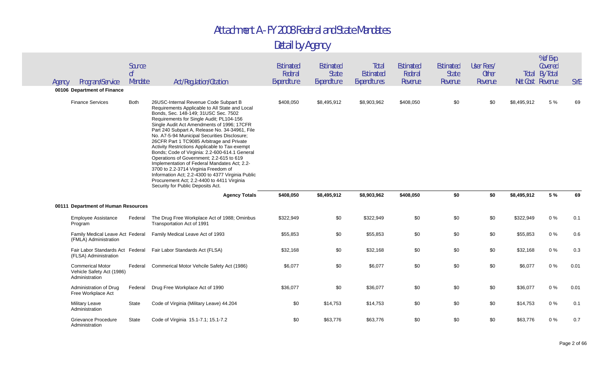| Agency | Program/Service<br>00106 Department of Finance                         | Source<br>0 <sup>f</sup><br>Mandate | Act/Regulation/Citation                                                                                                                                                                                                                                                                                                                                                                                                                                                                                                                                                                                                                                                                                                                                  | Estimated<br>Federal<br>Expenditure | Estimated<br><b>State</b><br>Expenditure | Total<br><b>Estimated</b><br>Expenditures | <b>Estimated</b><br>Federal<br>Revenue | Estimated<br><b>State</b><br>Revenue | User Fees/<br><b>Other</b><br>Revenue | Net Cost Revenue | % of Exp.<br>Covered<br><b>Total By Total</b> | <b>SYE</b> |
|--------|------------------------------------------------------------------------|-------------------------------------|----------------------------------------------------------------------------------------------------------------------------------------------------------------------------------------------------------------------------------------------------------------------------------------------------------------------------------------------------------------------------------------------------------------------------------------------------------------------------------------------------------------------------------------------------------------------------------------------------------------------------------------------------------------------------------------------------------------------------------------------------------|-------------------------------------|------------------------------------------|-------------------------------------------|----------------------------------------|--------------------------------------|---------------------------------------|------------------|-----------------------------------------------|------------|
|        | <b>Finance Services</b>                                                | Both                                | 26USC-Internal Revenue Code Subpart B<br>Requirements Applicable to All State and Local<br>Bonds, Sec. 148-149; 31USC Sec. 7502<br>Requirements for Single Audit; PL104-156<br>Single Audit Act Amendments of 1996; 17CFR<br>Part 240 Subpart A, Release No. 34-34961, File<br>No. A7-5-94 Municipal Securities Disclosure;<br>26CFR Part 1 TC9085 Arbitrage and Private<br>Activity Restrictions Applicable to Tax-exempt<br>Bonds; Code of Virginia: 2.2-600-614.1 General<br>Operations of Government; 2.2-615 to 619<br>Implementation of Federal Mandates Act; 2.2-<br>3700 to 2.2-3714 Virginia Freedom of<br>Information Act; 2.2-4300 to 4377 Virginia Public<br>Procurement Act; 2.2-4400 to 4411 Virginia<br>Security for Public Deposits Act. | \$408,050                           | \$8,495,912                              | \$8,903,962                               | \$408,050                              | \$0                                  | \$0                                   | \$8,495,912      | 5 %                                           | 69         |
|        |                                                                        |                                     | <b>Agency Totals</b>                                                                                                                                                                                                                                                                                                                                                                                                                                                                                                                                                                                                                                                                                                                                     | \$408,050                           | \$8,495,912                              | \$8,903,962                               | \$408,050                              | \$0                                  | \$0                                   | \$8,495,912      | 5 %                                           | 69         |
|        | 00111 Department of Human Resources                                    |                                     |                                                                                                                                                                                                                                                                                                                                                                                                                                                                                                                                                                                                                                                                                                                                                          |                                     |                                          |                                           |                                        |                                      |                                       |                  |                                               |            |
|        | <b>Employee Assistance</b><br>Program                                  | Federal                             | The Drug Free Workplace Act of 1988; Ominbus<br>Transportation Act of 1991                                                                                                                                                                                                                                                                                                                                                                                                                                                                                                                                                                                                                                                                               | \$322,949                           | \$0                                      | \$322,949                                 | \$0                                    | \$0                                  | \$0                                   | \$322,949        | 0%                                            | 0.1        |
|        | Family Medical Leave Act Federal                                       |                                     |                                                                                                                                                                                                                                                                                                                                                                                                                                                                                                                                                                                                                                                                                                                                                          |                                     |                                          |                                           |                                        |                                      |                                       |                  |                                               |            |
|        | (FMLA) Administration                                                  |                                     | Family Medical Leave Act of 1993                                                                                                                                                                                                                                                                                                                                                                                                                                                                                                                                                                                                                                                                                                                         | \$55,853                            | \$0                                      | \$55,853                                  | \$0                                    | \$0                                  | \$0                                   | \$55,853         | 0%                                            | 0.6        |
|        | Fair Labor Standards Act Federal<br>(FLSA) Administration              |                                     | Fair Labor Standards Act (FLSA)                                                                                                                                                                                                                                                                                                                                                                                                                                                                                                                                                                                                                                                                                                                          | \$32,168                            | \$0                                      | \$32,168                                  | \$0                                    | \$0                                  | \$0                                   | \$32,168         | $0\%$                                         | 0.3        |
|        | <b>Commerical Motor</b><br>Vehicle Safety Act (1986)<br>Administration | Federal                             | Commerical Motor Vehcile Safety Act (1986)                                                                                                                                                                                                                                                                                                                                                                                                                                                                                                                                                                                                                                                                                                               | \$6,077                             | \$0                                      | \$6,077                                   | \$0                                    | \$0                                  | \$0                                   | \$6,077          | $0\%$                                         | 0.01       |
|        | Administration of Drug<br>Free Workplace Act                           | Federal                             | Drug Free Workplace Act of 1990                                                                                                                                                                                                                                                                                                                                                                                                                                                                                                                                                                                                                                                                                                                          | \$36,077                            | \$0                                      | \$36,077                                  | \$0                                    | \$0                                  | \$0                                   | \$36,077         | 0%                                            | 0.01       |
|        | <b>Military Leave</b><br>Administration                                | State                               | Code of Virginia (Military Leave) 44.204                                                                                                                                                                                                                                                                                                                                                                                                                                                                                                                                                                                                                                                                                                                 | \$0                                 | \$14,753                                 | \$14,753                                  | \$0                                    | \$0                                  | \$0                                   | \$14,753         | 0%                                            | 0.1        |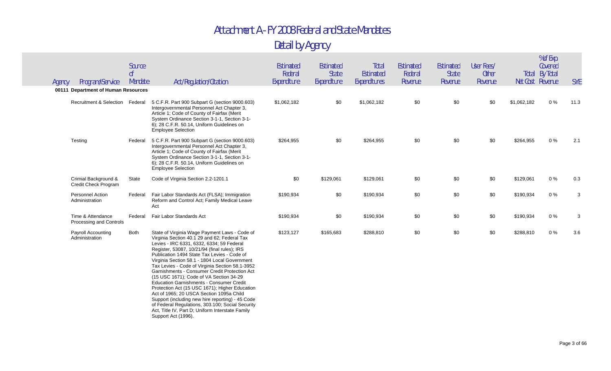| Agency | Program/Service                                                        | Source<br>оf<br>Mandate | Act/Regulation/Citation                                                                                                                                                                                                                                                                                                                                                                                                                                                                                                                                                                                                                                                                                                                                                       | Estimated<br>Federal<br>Expenditure | Estimated<br><b>State</b><br>Expenditure | Total<br><b>Estimated</b><br>Expenditures | <b>Estimated</b><br>Federal<br>Revenue | Estimated<br><b>State</b><br>Revenue | User Fees/<br><b>Other</b><br>Revenue |             | % of Exp.<br>Covered<br><b>Total By Total</b><br>Net Cost Revenue | <b>SYE</b> |
|--------|------------------------------------------------------------------------|-------------------------|-------------------------------------------------------------------------------------------------------------------------------------------------------------------------------------------------------------------------------------------------------------------------------------------------------------------------------------------------------------------------------------------------------------------------------------------------------------------------------------------------------------------------------------------------------------------------------------------------------------------------------------------------------------------------------------------------------------------------------------------------------------------------------|-------------------------------------|------------------------------------------|-------------------------------------------|----------------------------------------|--------------------------------------|---------------------------------------|-------------|-------------------------------------------------------------------|------------|
|        | 00111 Department of Human Resources<br>Recruitment & Selection Federal |                         | 5 C.F.R. Part 900 Subpart G (section 9000.603)<br>Intergovernmental Personnel Act Chapter 3,<br>Article 1; Code of County of Fairfax (Merit<br>System Ordinance Section 3-1-1, Section 3-1-                                                                                                                                                                                                                                                                                                                                                                                                                                                                                                                                                                                   | \$1,062,182                         | \$0                                      | \$1,062,182                               | \$0                                    | \$0                                  | \$0                                   | \$1,062,182 | 0%                                                                | 11.3       |
|        | Testing                                                                | Federal                 | 6); 28 C.F.R. 50.14, Uniform Guidelines on<br><b>Employee Selection</b><br>5 C.F.R. Part 900 Subpart G (section 9000.603)<br>Intergovernmental Personnel Act Chapter 3,<br>Article 1; Code of County of Fairfax (Merit<br>System Ordinance Section 3-1-1, Section 3-1-<br>6); 28 C.F.R. 50.14, Uniform Guidelines on<br><b>Employee Selection</b>                                                                                                                                                                                                                                                                                                                                                                                                                             | \$264,955                           | \$0                                      | \$264,955                                 | \$0                                    | \$0                                  | \$0                                   | \$264,955   | $0\%$                                                             | 2.1        |
|        | Crimial Background &<br>Credit Check Program                           | State                   | Code of Virginia Section 2.2-1201.1                                                                                                                                                                                                                                                                                                                                                                                                                                                                                                                                                                                                                                                                                                                                           | \$0                                 | \$129,061                                | \$129,061                                 | \$0                                    | \$0                                  | \$0                                   | \$129,061   | $0\%$                                                             | 0.3        |
|        | <b>Personnel Action</b><br>Administration                              | Federal                 | Fair Labor Standards Act (FLSA); Immigration<br>Reform and Control Act: Family Medical Leave<br>Act                                                                                                                                                                                                                                                                                                                                                                                                                                                                                                                                                                                                                                                                           | \$190,934                           | \$0                                      | \$190,934                                 | \$0                                    | \$0                                  | \$0                                   | \$190,934   | $0\%$                                                             | 3          |
|        | Time & Attendance<br>Processing and Controls                           | Federal                 | Fair Labor Standards Act                                                                                                                                                                                                                                                                                                                                                                                                                                                                                                                                                                                                                                                                                                                                                      | \$190,934                           | \$0                                      | \$190,934                                 | \$0                                    | \$0                                  | \$0                                   | \$190,934   | 0%                                                                | 3          |
|        | Payroll Accounting<br>Administration                                   | <b>Both</b>             | State of Virginia Wage Payment Laws - Code of<br>Virginia Section 40.1 29 and 62; Federal Tax<br>Levies - IRC 6331, 6332, 6334; 59 Federal<br>Register, 53087, 10/21/94 (final rules); IRS<br>Publication 1494 State Tax Levies - Code of<br>Virginia Section 58.1 - 1804 Local Government<br>Tax Levies - Code of Virginia Section 58.1-3952<br>Garnishments - Consumer Credit Protection Act<br>(15 USC 1671); Code of VA Section 34-29<br><b>Education Garnishments - Consumer Credit</b><br>Protection Act (15 USC 1671); Higher Education<br>Act of 1965; 20 USCA Section 1095a Child<br>Support (including new hire reporting) - 45 Code<br>of Federal Regulations, 303.100; Social Security<br>Act, Title IV, Part D; Uniform Interstate Family<br>Support Act (1996). | \$123,127                           | \$165,683                                | \$288,810                                 | \$0                                    | \$0                                  | \$0                                   | \$288,810   | $0\%$                                                             | 3.6        |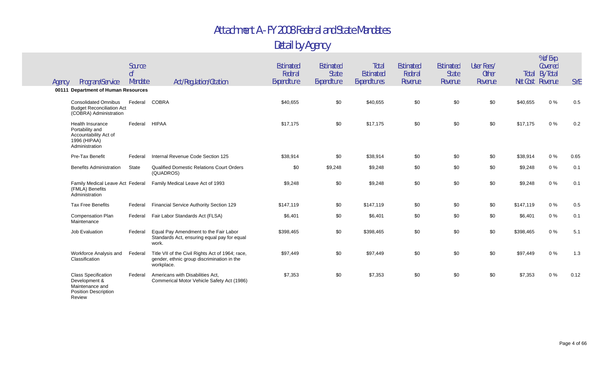#### Detail by Agency

| Agency | Program/Service                                                                                       | Source<br>0 <sup>f</sup><br>Mandate | Act/Regulation/Citation                                                                                      | Estimated<br>Federal<br>Expenditure | Estimated<br><b>State</b><br>Expenditure | Total<br>Estimated<br>Expenditures | <b>Estimated</b><br>Federal<br>Revenue | Estimated<br><b>State</b><br>Revenue | User Fees/<br><b>Other</b><br>Revenue | Net Cost Revenue | % of Exp.<br>Covered<br><b>Total By Total</b> | <b>SYE</b> |
|--------|-------------------------------------------------------------------------------------------------------|-------------------------------------|--------------------------------------------------------------------------------------------------------------|-------------------------------------|------------------------------------------|------------------------------------|----------------------------------------|--------------------------------------|---------------------------------------|------------------|-----------------------------------------------|------------|
|        | 00111 Department of Human Resources                                                                   |                                     |                                                                                                              |                                     |                                          |                                    |                                        |                                      |                                       |                  |                                               |            |
|        | <b>Consolidated Omnibus</b><br><b>Budget Reconciliation Act</b><br>(COBRA) Administration             | Federal                             | <b>COBRA</b>                                                                                                 | \$40,655                            | \$0                                      | \$40,655                           | \$0                                    | \$0                                  | \$0                                   | \$40,655         | 0%                                            | 0.5        |
|        | <b>Health Insurance</b><br>Portability and<br>Accountability Act of<br>1996 (HIPAA)<br>Administration | Federal                             | <b>HIPAA</b>                                                                                                 | \$17,175                            | \$0                                      | \$17,175                           | \$0                                    | \$0                                  | \$0                                   | \$17,175         | 0%                                            | 0.2        |
|        | Pre-Tax Benefit                                                                                       | Federal                             | Internal Revenue Code Section 125                                                                            | \$38,914                            | \$0                                      | \$38,914                           | \$0                                    | \$0                                  | \$0                                   | \$38,914         | 0%                                            | 0.65       |
|        | <b>Benefits Administration</b>                                                                        | State                               | <b>Qualified Domestic Relations Court Orders</b><br>(QUADROS)                                                | \$0                                 | \$9,248                                  | \$9,248                            | \$0                                    | \$0                                  | \$0                                   | \$9,248          | $0\%$                                         | 0.1        |
|        | Family Medical Leave Act Federal<br>(FMLA) Benefits<br>Administration                                 |                                     | Family Medical Leave Act of 1993                                                                             | \$9,248                             | \$0                                      | \$9,248                            | \$0                                    | \$0                                  | \$0                                   | \$9,248          | 0%                                            | 0.1        |
|        | <b>Tax Free Benefits</b>                                                                              | Federal                             | Financial Service Authority Section 129                                                                      | \$147.119                           | \$0                                      | \$147,119                          | \$0                                    | \$0                                  | \$0                                   | \$147,119        | 0%                                            | 0.5        |
|        | Compensation Plan<br>Maintenance                                                                      | Federal                             | Fair Labor Standards Act (FLSA)                                                                              | \$6,401                             | \$0                                      | \$6,401                            | \$0                                    | \$0                                  | \$0                                   | \$6,401          | 0%                                            | 0.1        |
|        | Job Evaluation                                                                                        | Federal                             | Equal Pay Amendment to the Fair Labor<br>Standards Act, ensuring equal pay for equal<br>work.                | \$398,465                           | \$0                                      | \$398,465                          | \$0                                    | \$0                                  | \$0                                   | \$398,465        | $0\%$                                         | 5.1        |
|        | Workforce Analysis and<br>Classification                                                              | Federal                             | Title VII of the Civil Rights Act of 1964; race,<br>gender, ethnic group discrimination in the<br>workplace. | \$97,449                            | \$0                                      | \$97,449                           | \$0                                    | \$0                                  | \$0                                   | \$97,449         | 0%                                            | 1.3        |
|        | <b>Class Specification</b><br>Development &<br>Maintenance and<br><b>Position Description</b>         | Federal                             | Americans with Disabilities Act.<br>Commerical Motor Vehicle Safety Act (1986)                               | \$7,353                             | \$0                                      | \$7,353                            | \$0                                    | \$0                                  | \$0                                   | \$7,353          | 0%                                            | 0.12       |

Review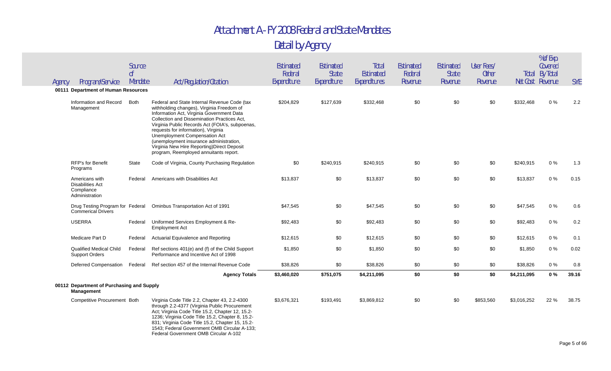| Agency | Program/Service                                                           | Source<br>0 <sup>f</sup><br>Mandate | Act/Regulation/Citation                                                                                                                                                                                                                                                                                                                                                                                                                              | <b>Estimated</b><br>Federal<br>Expenditure | Estimated<br><b>State</b><br>Expenditure | Total<br><b>Estimated</b><br>Expenditures | <b>Estimated</b><br>Federal<br>Revenue | Estimated<br><b>State</b><br>Revenue | User Fees/<br><b>Other</b><br>Revenue |             | % of Exp.<br>Covered<br><b>Total By Total</b><br>Net Cost Revenue | <b>SYE</b> |
|--------|---------------------------------------------------------------------------|-------------------------------------|------------------------------------------------------------------------------------------------------------------------------------------------------------------------------------------------------------------------------------------------------------------------------------------------------------------------------------------------------------------------------------------------------------------------------------------------------|--------------------------------------------|------------------------------------------|-------------------------------------------|----------------------------------------|--------------------------------------|---------------------------------------|-------------|-------------------------------------------------------------------|------------|
|        | 00111 Department of Human Resources                                       |                                     |                                                                                                                                                                                                                                                                                                                                                                                                                                                      |                                            |                                          |                                           |                                        |                                      |                                       |             |                                                                   |            |
|        | Information and Record<br>Management                                      | <b>Both</b>                         | Federal and State Internal Revenue Code (tax<br>withholding changes), Virginia Freedom of<br>Information Act, Virginia Government Data<br>Collection and Dissemination Practices Act,<br>Virginia Public Records Act (FOIA's, subpoenas,<br>requests for information), Virginia<br>Unemployment Compensation Act<br>(unemployment insurance administration,<br>Virginia New Hire Reporting) Direct Deposit<br>program, Reemployed annuitants report. | \$204,829                                  | \$127,639                                | \$332,468                                 | \$0                                    | \$0                                  | \$0                                   | \$332,468   | $0\%$                                                             | 2.2        |
|        | <b>RFP's for Benefit</b><br>Programs                                      | <b>State</b>                        | Code of Virginia, County Purchasing Regulation                                                                                                                                                                                                                                                                                                                                                                                                       | \$0                                        | \$240,915                                | \$240,915                                 | \$0                                    | \$0                                  | \$0                                   | \$240,915   | 0%                                                                | 1.3        |
|        | Americans with<br><b>Disabilities Act</b><br>Compliance<br>Administration | Federal                             | Americans with Disabilities Act                                                                                                                                                                                                                                                                                                                                                                                                                      | \$13,837                                   | \$0                                      | \$13,837                                  | \$0                                    | \$0                                  | \$0                                   | \$13,837    | $0\%$                                                             | 0.15       |
|        | <b>Commerical Drivers</b>                                                 |                                     | Drug Testing Program for Federal Ominbus Transportation Act of 1991                                                                                                                                                                                                                                                                                                                                                                                  | \$47,545                                   | \$0                                      | \$47,545                                  | \$0                                    | \$0                                  | \$0                                   | \$47,545    | $0\%$                                                             | 0.6        |
|        | <b>USERRA</b>                                                             | Federal                             | Uniformed Services Employment & Re-<br><b>Employment Act</b>                                                                                                                                                                                                                                                                                                                                                                                         | \$92,483                                   | \$0                                      | \$92,483                                  | \$0                                    | \$0                                  | \$0                                   | \$92,483    | $0\%$                                                             | 0.2        |
|        | Medicare Part D                                                           | Federal                             | Actuarial Equivalence and Reporting                                                                                                                                                                                                                                                                                                                                                                                                                  | \$12,615                                   | \$0                                      | \$12,615                                  | \$0                                    | \$0                                  | \$0                                   | \$12,615    | $0\%$                                                             | 0.1        |
|        | <b>Qualified Medical Child</b><br><b>Support Orders</b>                   | Federal                             | Ref sections 401(e) and (f) of the Child Support<br>Performance and Incentive Act of 1998                                                                                                                                                                                                                                                                                                                                                            | \$1,850                                    | \$0                                      | \$1,850                                   | \$0                                    | \$0                                  | \$0                                   | \$1,850     | $0\%$                                                             | 0.02       |
|        | Deferred Compensation                                                     | Federal                             | Ref section 457 of the Internal Revenue Code                                                                                                                                                                                                                                                                                                                                                                                                         | \$38,826                                   | \$0                                      | \$38,826                                  | \$0                                    | \$0                                  | \$0                                   | \$38,826    | 0%                                                                | 0.8        |
|        |                                                                           |                                     | <b>Agency Totals</b>                                                                                                                                                                                                                                                                                                                                                                                                                                 | \$3,460,020                                | \$751,075                                | \$4,211,095                               | \$0                                    | \$0                                  | \$0                                   | \$4,211,095 | $0\%$                                                             | 39.16      |
|        | 00112 Department of Purchasing and Supply<br><b>Management</b>            |                                     |                                                                                                                                                                                                                                                                                                                                                                                                                                                      |                                            |                                          |                                           |                                        |                                      |                                       |             |                                                                   |            |
|        | Competitive Procurement Both                                              |                                     | Virginia Code Title 2.2, Chapter 43, 2.2-4300<br>through 2.2-4377 (Virginia Public Procurement<br>Act; Virginia Code Title 15.2, Chapter 12, 15.2-<br>1236; Virginia Code Title 15.2, Chapter 8, 15.2-<br>831; Virginia Code Title 15.2, Chapter 15, 15.2-<br>1543; Federal Government OMB Circular A-133;<br>Federal Government OMB Circular A-102                                                                                                  | \$3,676,321                                | \$193,491                                | \$3,869,812                               | \$0                                    | \$0                                  | \$853,560                             | \$3,016,252 | 22 %                                                              | 38.75      |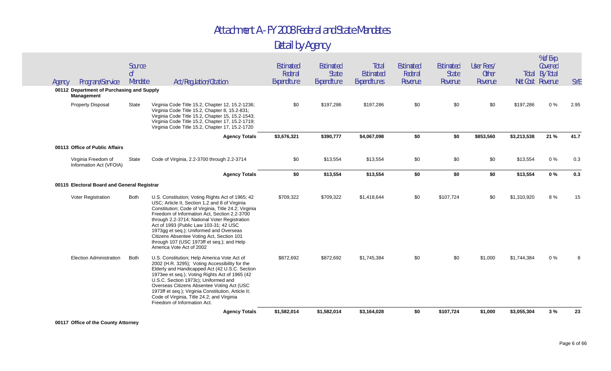#### Detail by Agency

|        | Program/Service                                         | Source<br>0f<br>Mandate | Act/Regulation/Citation                                                                                                                                                                                                                                                                                                                                                                                                                                                 | Estimated<br>Federal<br>Expenditure | Estimated<br><b>State</b><br>Expenditure | Total<br>Estimated<br>Expenditures | <b>Estimated</b><br>Federal<br>Revenue | Estimated<br><b>State</b><br>Revenue | User Fees/<br><b>Other</b><br>Revenue |             | % of Exp.<br>Covered<br><b>Total By Total</b><br>Net Cost Revenue | <b>SYE</b> |
|--------|---------------------------------------------------------|-------------------------|-------------------------------------------------------------------------------------------------------------------------------------------------------------------------------------------------------------------------------------------------------------------------------------------------------------------------------------------------------------------------------------------------------------------------------------------------------------------------|-------------------------------------|------------------------------------------|------------------------------------|----------------------------------------|--------------------------------------|---------------------------------------|-------------|-------------------------------------------------------------------|------------|
| Agency | 00112 Department of Purchasing and Supply<br>Management |                         |                                                                                                                                                                                                                                                                                                                                                                                                                                                                         |                                     |                                          |                                    |                                        |                                      |                                       |             |                                                                   |            |
|        | <b>Property Disposal</b>                                | State                   | Virginia Code Title 15.2, Chapter 12, 15.2-1236;<br>Virginia Code Title 15.2, Chapter 8, 15.2-831;<br>Virginia Code Title 15.2, Chapter 15, 15.2-1543;<br>Virginia Code Title 15.2, Chapter 17, 15.2-1719;<br>Virginia Code Title 15.2, Chapter 17, 15.2-1720                                                                                                                                                                                                           | \$0                                 | \$197,286                                | \$197,286                          | \$0                                    | \$0                                  | \$0                                   | \$197,286   | $0\%$                                                             | 2.95       |
|        |                                                         |                         | <b>Agency Totals</b>                                                                                                                                                                                                                                                                                                                                                                                                                                                    | \$3,676,321                         | \$390,777                                | \$4,067,098                        | \$0                                    | \$0                                  | \$853,560                             | \$3,213,538 | 21 %                                                              | 41.7       |
|        | 00113 Office of Public Affairs                          |                         |                                                                                                                                                                                                                                                                                                                                                                                                                                                                         |                                     |                                          |                                    |                                        |                                      |                                       |             |                                                                   |            |
|        | Virginia Freedom of<br>Information Act (VFOIA)          | State                   | Code of Virginia, 2.2-3700 through 2.2-3714                                                                                                                                                                                                                                                                                                                                                                                                                             | \$0                                 | \$13,554                                 | \$13,554                           | \$0                                    | \$0                                  | \$0                                   | \$13,554    | $0\%$                                                             | 0.3        |
|        |                                                         |                         | <b>Agency Totals</b>                                                                                                                                                                                                                                                                                                                                                                                                                                                    | \$0                                 | \$13,554                                 | \$13,554                           | \$0                                    | \$0                                  | \$0                                   | \$13,554    | 0%                                                                | 0.3        |
|        | 00115 Electoral Board and General Registrar             |                         |                                                                                                                                                                                                                                                                                                                                                                                                                                                                         |                                     |                                          |                                    |                                        |                                      |                                       |             |                                                                   |            |
|        | Voter Registration                                      | Both                    | U.S. Constitution; Voting Rights Act of 1965; 42<br>USC: Article II, Section 1,2 and 8 of Virginia<br>Constitution; Code of Virginia, Title 24.2; Virginia<br>Freedom of Information Act, Section 2.2-3700<br>through 2.2-3714; National Voter Registration<br>Act of 1993 (Public Law 103-31; 42 USC<br>1973gg et seq.); Uniformed and Overseas<br>Citizens Absentee Voting Act, Section 101<br>through 107 (USC 1973ff et seq.); and Help<br>America Vote Act of 2002 | \$709,322                           | \$709,322                                | \$1,418,644                        | \$0                                    | \$107,724                            | \$0                                   | \$1,310,920 | 8 %                                                               | 15         |
|        | Election Administration                                 | Both                    | U.S. Constitution; Help America Vote Act of<br>2002 (H.R. 3295); Voting Accessibility for the<br>Elderly and Handicapped Act (42 U.S.C. Section<br>1973ee et seq.); Voting Rights Act of 1965 (42<br>U.S.C. Section 1973c); Uniformed and<br>Overseas Citizens Absentee Voting Act (USC<br>1973ff et seq.); Virginia Constitution, Article II;<br>Code of Virginia, Title 24.2; and Virginia<br>Freedom of Information Act.                                             | \$872,692                           | \$872,692                                | \$1,745,384                        | \$0                                    | \$0                                  | \$1,000                               | \$1,744,384 | $0\%$                                                             |            |
|        |                                                         |                         | <b>Agency Totals</b>                                                                                                                                                                                                                                                                                                                                                                                                                                                    | \$1,582,014                         | \$1,582,014                              | \$3,164,028                        | \$0                                    | \$107,724                            | \$1,000                               | \$3,055,304 | 3%                                                                | 23         |
|        |                                                         |                         |                                                                                                                                                                                                                                                                                                                                                                                                                                                                         |                                     |                                          |                                    |                                        |                                      |                                       |             |                                                                   |            |

**00117 Office of the County Attorney**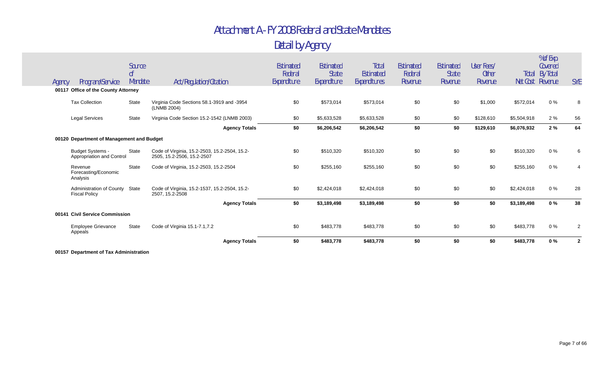#### Attachment A - FY 2008 Federal and State Mandates Detail by Agency

|        |                                                        |                                     |                                                                             | <b>Agency Totals</b> | \$0                                 | \$483,778                                       | \$483,778                          | \$0                             | \$0                                  | \$0                                   | \$483,778         | 0%                             | $\overline{2}$ |
|--------|--------------------------------------------------------|-------------------------------------|-----------------------------------------------------------------------------|----------------------|-------------------------------------|-------------------------------------------------|------------------------------------|---------------------------------|--------------------------------------|---------------------------------------|-------------------|--------------------------------|----------------|
|        | <b>Employee Grievance</b><br>Appeals                   | State                               | Code of Virginia 15.1-7.1,7.2                                               |                      | \$0                                 | \$483,778                                       | \$483,778                          | \$0                             | \$0                                  | \$0                                   | \$483,778         | $0\%$                          | $\mathcal{P}$  |
|        | 00141 Civil Service Commission                         |                                     |                                                                             |                      |                                     |                                                 |                                    |                                 |                                      |                                       |                   |                                |                |
|        |                                                        |                                     |                                                                             | <b>Agency Totals</b> | \$0                                 | \$3,189,498                                     | \$3,189,498                        | \$0                             | \$0                                  | \$0                                   | \$3,189,498       | 0%                             | 38             |
|        | Administration of County State<br><b>Fiscal Policy</b> |                                     | Code of Virginia, 15.2-1537, 15.2-2504, 15.2-<br>2507, 15.2-2508            |                      | \$0                                 | \$2,424,018                                     | \$2,424,018                        | \$0                             | \$0                                  | \$0                                   | \$2,424,018       | $0\%$                          | 28             |
|        | Revenue<br>Forecasting/Economic<br>Analysis            | <b>State</b>                        | Code of Virginia, 15.2-2503, 15.2-2504                                      |                      | \$0                                 | \$255,160                                       | \$255,160                          | \$0                             | \$0                                  | \$0                                   | \$255,160         | $0\%$                          |                |
|        | <b>Budget Systems -</b><br>Appropriation and Control   | State                               | Code of Virginia, 15.2-2503, 15.2-2504, 15.2-<br>2505, 15.2-2506, 15.2-2507 |                      | \$0                                 | \$510,320                                       | \$510,320                          | \$0                             | \$0                                  | \$0                                   | \$510,320         | 0%                             | 6              |
|        | 00120 Department of Management and Budget              |                                     |                                                                             |                      |                                     |                                                 |                                    |                                 |                                      |                                       |                   |                                |                |
|        |                                                        |                                     |                                                                             | <b>Agency Totals</b> | \$0                                 | \$6,206,542                                     | \$6,206,542                        | \$0                             | \$0                                  | \$129,610                             | \$6,076,932       | 2%                             | 64             |
|        | <b>Legal Services</b>                                  | State                               | Virginia Code Section 15.2-1542 (LNMB 2003)                                 |                      | \$0                                 | \$5,633,528                                     | \$5,633,528                        | \$0                             | \$0                                  | \$128,610                             | \$5,504,918       | 2%                             | 56             |
|        | <b>Tax Collection</b>                                  | <b>State</b>                        | Virginia Code Sections 58.1-3919 and -3954<br>(LNMB 2004)                   |                      | \$0                                 | \$573,014                                       | \$573,014                          | \$0                             | \$0                                  | \$1,000                               | \$572,014         | $0\%$                          | 8              |
|        | 00117 Office of the County Attorney                    |                                     |                                                                             |                      |                                     |                                                 |                                    |                                 |                                      |                                       |                   |                                |                |
| Agency | Program/Service                                        | Source<br>0 <sup>f</sup><br>Mandate | Act/Regulation/Citation                                                     |                      | Estimated<br>Federal<br>Expenditure | <b>Estimated</b><br><b>State</b><br>Expenditure | Total<br>Estimated<br>Expenditures | Estimated<br>Federal<br>Revenue | Estimated<br><b>State</b><br>Revenue | User Fees/<br><b>Other</b><br>Revenue | Total<br>Net Cost | Covered<br>By Total<br>Revenue | <b>SYE</b>     |
|        |                                                        |                                     |                                                                             |                      |                                     |                                                 |                                    |                                 |                                      |                                       |                   |                                | % of Exp.      |

**00157 Department of Tax Administration**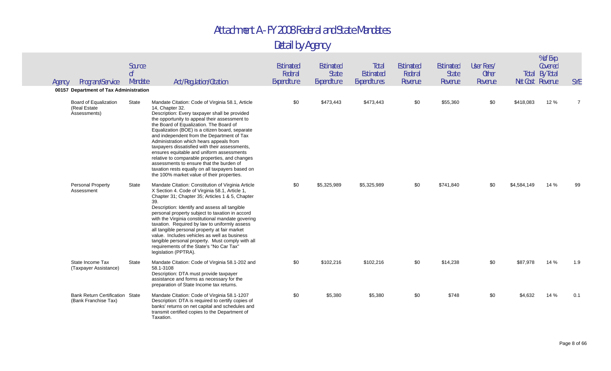| Agency | Program/Service<br>00157 Department of Tax Administration      | Source<br>0f<br>Mandate | Act/Regulation/Citation                                                                                                                                                                                                                                                                                                                                                                                                                                                                                                                                                                                                                                     | <b>Estimated</b><br>Federal<br>Expenditure | Estimated<br><b>State</b><br>Expenditure | Total<br>Estimated<br>Expenditures | Estimated<br>Federal<br>Revenue | Estimated<br><b>State</b><br>Revenue | User Fees/<br><b>Other</b><br>Revenue |             | % of Exp.<br>Covered<br><b>Total By Total</b><br>Net Cost Revenue | <b>SYE</b>     |
|--------|----------------------------------------------------------------|-------------------------|-------------------------------------------------------------------------------------------------------------------------------------------------------------------------------------------------------------------------------------------------------------------------------------------------------------------------------------------------------------------------------------------------------------------------------------------------------------------------------------------------------------------------------------------------------------------------------------------------------------------------------------------------------------|--------------------------------------------|------------------------------------------|------------------------------------|---------------------------------|--------------------------------------|---------------------------------------|-------------|-------------------------------------------------------------------|----------------|
|        | Board of Equalization<br>(Real Estate<br>Assessments)          | State                   | Mandate Citation: Code of Virginia 58.1, Article<br>14, Chapter 32.<br>Description: Every taxpayer shall be provided<br>the opportunity to appeal their assessment to<br>the Board of Equalization. The Board of<br>Equalization (BOE) is a citizen board, separate<br>and independent from the Department of Tax<br>Administration which hears appeals from<br>taxpayers dissatisfied with their assessments,<br>ensures equitable and uniform assessments<br>relative to comparable properties, and changes<br>assessments to ensure that the burden of<br>taxation rests equally on all taxpayers based on<br>the 100% market value of their properties. | \$0                                        | \$473,443                                | \$473,443                          | \$0                             | \$55,360                             | \$0                                   | \$418,083   | 12 %                                                              | $\overline{7}$ |
|        | <b>Personal Property</b><br>Assessment                         | State                   | Mandate Citation: Constitution of Virginia Article<br>X Section 4. Code of Virginia 58.1, Article 1,<br>Chapter 31; Chapter 35; Articles 1 & 5, Chapter<br>39.<br>Description: Identify and assess all tangible<br>personal property subject to taxation in accord<br>with the Virginia constitutional mandate govering<br>taxation. Required by law to uniformly assess<br>all tangible personal property at fair market<br>value. Includes vehicles as well as business<br>tangible personal property. Must comply with all<br>requirements of the State's "No Car Tax"<br>legislation (PPTRA).                                                           | \$0                                        | \$5,325,989                              | \$5,325,989                        | \$0                             | \$741,840                            | \$0                                   | \$4,584,149 | 14 %                                                              | 99             |
|        | State Income Tax<br>(Taxpayer Assistance)                      | State                   | Mandate Citation: Code of Virginia 58.1-202 and<br>58.1-3108<br>Description: DTA must provide taxpayer<br>assistance and forms as necessary for the<br>preparation of State Income tax returns.                                                                                                                                                                                                                                                                                                                                                                                                                                                             | \$0                                        | \$102,216                                | \$102,216                          | \$0                             | \$14,238                             | \$0                                   | \$87,978    | 14 %                                                              | 1.9            |
|        | <b>Bank Return Certification State</b><br>(Bank Franchise Tax) |                         | Mandate Citation: Code of Virginia 58.1-1207<br>Description: DTA is required to certify copies of<br>banks' returns on net capital and schedules and<br>transmit certified copies to the Department of<br>Taxation.                                                                                                                                                                                                                                                                                                                                                                                                                                         | \$0                                        | \$5,380                                  | \$5,380                            | \$0                             | \$748                                | \$0                                   | \$4,632     | 14 %                                                              | 0.1            |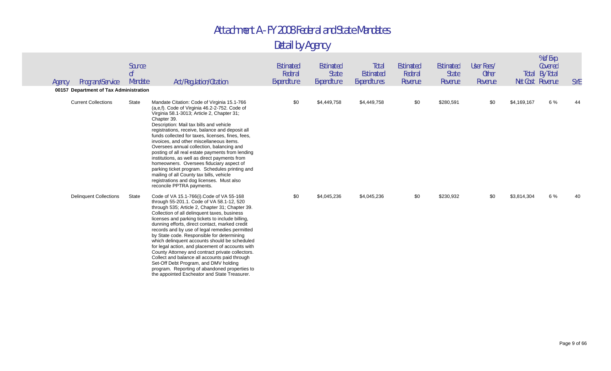| Agency | Program/Service                                                      | Source<br>0 <sup>f</sup><br>Mandate | Act/Regulation/Citation                                                                                                                                                                                                                                                                                                                                                                                                                                                                                                                                                                                                                                                                                                                            | Estimated<br>Federal<br>Expenditure | Estimated<br><b>State</b><br>Expenditure | Total<br><b>Estimated</b><br>Expenditures | Estimated<br>Federal<br>Revenue | <b>Estimated</b><br><b>State</b><br>Revenue | User Fees/<br><b>Other</b><br>Revenue | Net Cost Revenue | % of Exp.<br>Covered<br><b>Total By Total</b> | <b>SYE</b> |
|--------|----------------------------------------------------------------------|-------------------------------------|----------------------------------------------------------------------------------------------------------------------------------------------------------------------------------------------------------------------------------------------------------------------------------------------------------------------------------------------------------------------------------------------------------------------------------------------------------------------------------------------------------------------------------------------------------------------------------------------------------------------------------------------------------------------------------------------------------------------------------------------------|-------------------------------------|------------------------------------------|-------------------------------------------|---------------------------------|---------------------------------------------|---------------------------------------|------------------|-----------------------------------------------|------------|
|        | 00157 Department of Tax Administration<br><b>Current Collections</b> | State                               | Mandate Citation: Code of Virginia 15.1-766<br>(a,e,f). Code of Virginia 46.2-2-752. Code of<br>Virginia 58.1-3013; Article 2, Chapter 31;<br>Chapter 39.<br>Description: Mail tax bills and vehicle<br>registrations, receive, balance and deposit all<br>funds collected for taxes, licenses, fines, fees,<br>invoices, and other miscellaneous items.<br>Oversees annual collection, balancing and<br>posting of all real estate payments from lending<br>institutions, as well as direct payments from<br>homeowners. Oversees fiduciary aspect of<br>parking ticket program. Schedules printing and<br>mailing of all County tax bills, vehicle<br>registrations and dog licenses. Must also<br>reconcile PPTRA payments.                     | \$0                                 | \$4,449,758                              | \$4,449,758                               | \$0                             | \$280,591                                   | \$0                                   | \$4,169,167      | 6 %                                           | 44         |
|        | <b>Delinquent Collections</b>                                        | State                               | Code of VA 15.1-766(i).Code of VA 55-168<br>through 55-201.1. Code of VA 58.1-12, 520<br>through 535; Article 2, Chapter 31; Chapter 39.<br>Collection of all delinquent taxes, business<br>licenses and parking tickets to include billing,<br>dunning efforts, direct contact, marked credit<br>records and by use of legal remedies permitted<br>by State code. Responsible for determining<br>which delinquent accounts should be scheduled<br>for legal action, and placement of accounts with<br>County Attorney and contract private collectors.<br>Collect and balance all accounts paid through<br>Set-Off Debt Program, and DMV holding<br>program. Reporting of abandoned properties to<br>the appointed Escheator and State Treasurer. | \$0                                 | \$4,045,236                              | \$4,045,236                               | \$0                             | \$230,932                                   | \$0                                   | \$3,814,304      | 6 %                                           | 40         |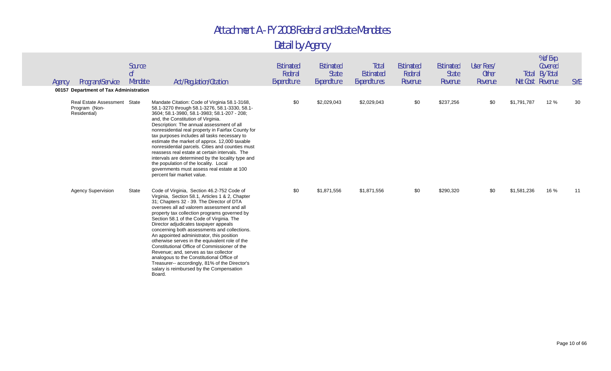| Agency | Program/Service                                                | Source<br>0 <sup>f</sup><br>Mandate | Act/Regulation/Citation                                                                                                                                                                                                                                                                                                                                                                                                                                                                                                                                                                                                                                                                                                     | <b>Estimated</b><br>Federal<br>Expenditure | Estimated<br>State<br>Expenditure | <b>Total</b><br>Estimated<br>Expenditures | Estimated<br>Federal<br>Revenue | <b>Estimated</b><br><b>State</b><br>Revenue | User Fees/<br>Other<br>Revenue |             | % of Exp.<br>Covered<br><b>Total By Total</b><br>Net Cost Revenue | <b>SYE</b> |
|--------|----------------------------------------------------------------|-------------------------------------|-----------------------------------------------------------------------------------------------------------------------------------------------------------------------------------------------------------------------------------------------------------------------------------------------------------------------------------------------------------------------------------------------------------------------------------------------------------------------------------------------------------------------------------------------------------------------------------------------------------------------------------------------------------------------------------------------------------------------------|--------------------------------------------|-----------------------------------|-------------------------------------------|---------------------------------|---------------------------------------------|--------------------------------|-------------|-------------------------------------------------------------------|------------|
|        | 00157 Department of Tax Administration                         |                                     |                                                                                                                                                                                                                                                                                                                                                                                                                                                                                                                                                                                                                                                                                                                             |                                            |                                   |                                           |                                 |                                             |                                |             |                                                                   |            |
|        | <b>Real Estate Assessment</b><br>Program (Non-<br>Residential) | State                               | Mandate Citation: Code of Virginia 58.1-3168,<br>58.1-3270 through 58.1-3276, 58.1-3330, 58.1-<br>3604; 58.1-3980, 58.1-3983; 58.1-207 - 208;<br>and, the Constitution of Virginia.<br>Description: The annual assessment of all<br>nonresidential real property in Fairfax County for<br>tax purposes includes all tasks necessary to<br>estimate the market of approx. 12,000 taxable<br>nonresidential parcels. Cities and counties must<br>reassess real estate at certain intervals. The<br>intervals are determined by the locality type and<br>the population of the locality. Local<br>governments must assess real estate at 100<br>percent fair market value.                                                     | \$0                                        | \$2,029,043                       | \$2,029,043                               | \$0                             | \$237,256                                   | \$0                            | \$1,791,787 | 12 %                                                              | 30         |
|        | <b>Agency Supervision</b>                                      | State                               | Code of Virginia, Section 46.2-752 Code of<br>Virginia, Section 58.1, Articles 1 & 2, Chapter<br>31; Chapters 32 - 39. The Director of DTA<br>oversees all ad valorem assessment and all<br>property tax collection programs governed by<br>Section 58.1 of the Code of Virginia. The<br>Director adjudicates taxpayer appeals<br>concerning both assessments and collections.<br>An appointed administrator, this position<br>otherwise serves in the equivalent role of the<br>Constitutional Office of Commissioner of the<br>Revenue; and, serves as tax collector<br>analogous to the Constitutional Office of<br>Treasurer-- accordingly, 81% of the Director's<br>salary is reimbursed by the Compensation<br>Board. | \$0                                        | \$1,871,556                       | \$1,871,556                               | \$0                             | \$290,320                                   | \$0                            | \$1,581,236 | 16 %                                                              | 11         |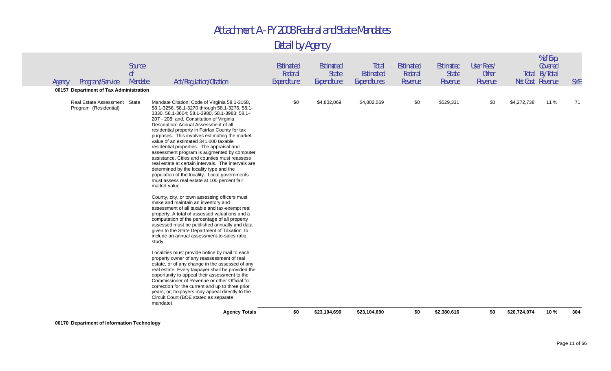| Agency | Program/Service<br>00157 Department of Tax Administration | Source<br>0 <sup>f</sup><br>Mandate | Act/Regulation/Citation                                                                                                                                                                                                                                                                                                                                                                                                                                                                                                                                                                                                                                                                                                                                                                                                                                                                                                                                                                                                                                                                                                                                                                                                                                                                                                                                                                                                                                                                                                                                                | <b>Estimated</b><br>Federal<br>Expenditure | Estimated<br><b>State</b><br>Expenditure | Total<br><b>Estimated</b><br>Expenditures | Estimated<br>Federal<br>Revenue | Estimated<br><b>State</b><br>Revenue | User Fees/<br><b>Other</b><br>Revenue |              | % of Exp.<br>Covered<br><b>Total By Total</b><br>Net Cost Revenue | <b>SYE</b> |
|--------|-----------------------------------------------------------|-------------------------------------|------------------------------------------------------------------------------------------------------------------------------------------------------------------------------------------------------------------------------------------------------------------------------------------------------------------------------------------------------------------------------------------------------------------------------------------------------------------------------------------------------------------------------------------------------------------------------------------------------------------------------------------------------------------------------------------------------------------------------------------------------------------------------------------------------------------------------------------------------------------------------------------------------------------------------------------------------------------------------------------------------------------------------------------------------------------------------------------------------------------------------------------------------------------------------------------------------------------------------------------------------------------------------------------------------------------------------------------------------------------------------------------------------------------------------------------------------------------------------------------------------------------------------------------------------------------------|--------------------------------------------|------------------------------------------|-------------------------------------------|---------------------------------|--------------------------------------|---------------------------------------|--------------|-------------------------------------------------------------------|------------|
|        | Real Estate Assessment State<br>Program (Residential)     |                                     | Mandate Citation: Code of Virginia 58.1-3168,<br>58.1-3256, 58.1-3270 through 58.1-3276, 58.1-<br>3330, 58.1-3604; 58.1-3980, 58.1-3983; 58.1-<br>207 - 208; and, Constitution of Virginia.<br>Description: Annual Assessment of all<br>residential property in Fairfax County for tax<br>purposes. This involves estimating the market<br>value of an estimated 341,000 taxable<br>residential properties. The appraisal and<br>assessment program is augmented by computer<br>assistance. Cities and counties must reassess<br>real estate at certain intervals. The intervals are<br>determined by the locality type and the<br>population of the locality. Local governments<br>must assess real estate at 100 percent fair<br>market value.<br>County, city, or town assessing officers must<br>make and maintain an inventory and<br>assessment of all taxable and tax-exempt real<br>property. A total of assessed valuations and a<br>computation of the percentage of all property<br>assessed must be published annually and data<br>given to the State Department of Taxation, to<br>include an annual assessment-to-sales ratio<br>study.<br>Localities must provide notice by mail to each<br>property owner of any reassessment of real<br>estate, or of any change in the assessed of any<br>real estate. Every taxpayer shall be provided the<br>opportunity to appeal their assessment to the<br>Commissioner of Revenue or other Official for<br>correction for the current and up to three prior<br>years; or, taxpayers may appeal directly to the | \$0                                        | \$4,802,069                              | \$4,802,069                               | \$0                             | \$529,331                            | \$0                                   | \$4,272,738  | 11 %                                                              | 71         |
|        |                                                           |                                     | Circuit Court (BOE stated as separate<br>mandate).<br><b>Agency Totals</b>                                                                                                                                                                                                                                                                                                                                                                                                                                                                                                                                                                                                                                                                                                                                                                                                                                                                                                                                                                                                                                                                                                                                                                                                                                                                                                                                                                                                                                                                                             | \$0                                        | \$23,104,690                             | \$23,104,690                              | \$0                             | \$2,380,616                          | \$0                                   | \$20,724,074 | 10%                                                               | 304        |
|        |                                                           |                                     |                                                                                                                                                                                                                                                                                                                                                                                                                                                                                                                                                                                                                                                                                                                                                                                                                                                                                                                                                                                                                                                                                                                                                                                                                                                                                                                                                                                                                                                                                                                                                                        |                                            |                                          |                                           |                                 |                                      |                                       |              |                                                                   |            |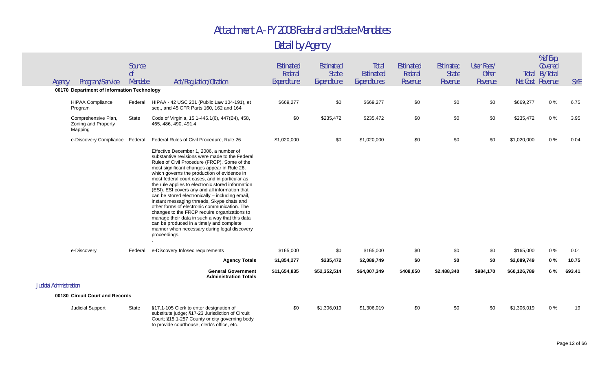| Agency                         | Program/Service                                       | Source<br>0 <sup>f</sup><br>Mandate | Act/Regulation/Citation                                                                                                                                                                                                                                                                                                                                                                                                                                                                                                                                                                                                                                                                                                                                         | Estimated<br>Federal<br>Expenditure | Estimated<br><b>State</b><br>Expenditure | <b>Total</b><br>Estimated<br>Expenditures | <b>Estimated</b><br>Federal<br>Revenue | Estimated<br><b>State</b><br>Revenue | User Fees/<br><b>Other</b><br>Revenue |              | % of Exp.<br>Covered<br><b>Total By Total</b><br>Net Cost Revenue | <b>SYE</b> |
|--------------------------------|-------------------------------------------------------|-------------------------------------|-----------------------------------------------------------------------------------------------------------------------------------------------------------------------------------------------------------------------------------------------------------------------------------------------------------------------------------------------------------------------------------------------------------------------------------------------------------------------------------------------------------------------------------------------------------------------------------------------------------------------------------------------------------------------------------------------------------------------------------------------------------------|-------------------------------------|------------------------------------------|-------------------------------------------|----------------------------------------|--------------------------------------|---------------------------------------|--------------|-------------------------------------------------------------------|------------|
|                                | 00170 Department of Information Technology            |                                     |                                                                                                                                                                                                                                                                                                                                                                                                                                                                                                                                                                                                                                                                                                                                                                 |                                     |                                          |                                           |                                        |                                      |                                       |              |                                                                   |            |
|                                | <b>HIPAA Compliance</b><br>Program                    | Federal                             | HIPAA - 42 USC 201 (Public Law 104-191), et<br>seq., and 45 CFR Parts 160, 162 and 164                                                                                                                                                                                                                                                                                                                                                                                                                                                                                                                                                                                                                                                                          | \$669,277                           | \$0                                      | \$669,277                                 | \$0                                    | \$0                                  | \$0                                   | \$669,277    | $0\%$                                                             | 6.75       |
|                                | Comprehensive Plan,<br>Zoning and Property<br>Mapping | State                               | Code of Virginia, 15.1-446.1(6), 447(B4), 458,<br>465, 486, 490, 491.4                                                                                                                                                                                                                                                                                                                                                                                                                                                                                                                                                                                                                                                                                          | \$0                                 | \$235,472                                | \$235,472                                 | \$0                                    | \$0                                  | \$0                                   | \$235,472    | $0\%$                                                             | 3.95       |
|                                | e-Discovery Compliance Federal                        |                                     | Federal Rules of Civil Procedure, Rule 26                                                                                                                                                                                                                                                                                                                                                                                                                                                                                                                                                                                                                                                                                                                       | \$1,020,000                         | \$0                                      | \$1,020,000                               | \$0                                    | \$0                                  | \$0                                   | \$1,020,000  | $0\%$                                                             | 0.04       |
|                                |                                                       |                                     | Effective December 1, 2006, a number of<br>substantive revisions were made to the Federal<br>Rules of Civil Procedure (FRCP). Some of the<br>most significant changes appear in Rule 26,<br>which governs the production of evidence in<br>most federal court cases, and in particular as<br>the rule applies to electronic stored information<br>(ESI). ESI covers any and all information that<br>can be stored electronically - including email,<br>instant messaging threads, Skype chats and<br>other forms of electronic communication. The<br>changes to the FRCP require organizations to<br>manage their data in such a way that this data<br>can be produced in a timely and complete<br>manner when necessary during legal discovery<br>proceedings. |                                     |                                          |                                           |                                        |                                      |                                       |              |                                                                   |            |
|                                | e-Discovery                                           | Federal                             | e-Discovery Infosec requirements                                                                                                                                                                                                                                                                                                                                                                                                                                                                                                                                                                                                                                                                                                                                | \$165,000                           | \$0                                      | \$165,000                                 | \$0                                    | \$0                                  | \$0                                   | \$165,000    | $0\%$                                                             | 0.01       |
|                                |                                                       |                                     | <b>Agency Totals</b>                                                                                                                                                                                                                                                                                                                                                                                                                                                                                                                                                                                                                                                                                                                                            | \$1,854,277                         | \$235,472                                | \$2,089,749                               | \$0                                    | \$0                                  | \$0                                   | \$2,089,749  | 0%                                                                | 10.75      |
|                                |                                                       |                                     | <b>General Government</b><br><b>Administration Totals</b>                                                                                                                                                                                                                                                                                                                                                                                                                                                                                                                                                                                                                                                                                                       | \$11,654,835                        | \$52,352,514                             | \$64,007,349                              | \$408,050                              | \$2,488,340                          | \$984,170                             | \$60,126,789 | 6 %                                                               | 693.41     |
| <b>Judicial Administration</b> |                                                       |                                     |                                                                                                                                                                                                                                                                                                                                                                                                                                                                                                                                                                                                                                                                                                                                                                 |                                     |                                          |                                           |                                        |                                      |                                       |              |                                                                   |            |
|                                | 00180 Circuit Court and Records                       |                                     |                                                                                                                                                                                                                                                                                                                                                                                                                                                                                                                                                                                                                                                                                                                                                                 |                                     |                                          |                                           |                                        |                                      |                                       |              |                                                                   |            |
|                                | Judicial Support                                      | State                               | §17.1-105 Clerk to enter designation of<br>substitute judge; §17-23 Jurisdiction of Circuit<br>Court; §15.1-257 County or city governing body<br>to provide courthouse, clerk's office, etc.                                                                                                                                                                                                                                                                                                                                                                                                                                                                                                                                                                    | \$0                                 | \$1,306,019                              | \$1,306,019                               | \$0                                    | \$0                                  | \$0                                   | \$1,306,019  | $0\%$                                                             | 19         |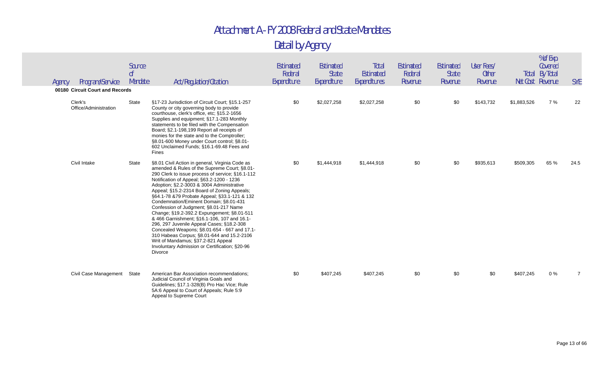| Agency | Program/Service                                                     | Source<br>0 <sup>f</sup><br>Mandate | Act/Regulation/Citation                                                                                                                                                                                                                                                                                                                                                                                                                                                                                                                                                                                                                                                                                                                                                      | Estimated<br>Federal<br>Expenditure | Estimated<br><b>State</b><br>Expenditure | Total<br>Estimated<br>Expenditures | Estimated<br>Federal<br>Revenue | Estimated<br><b>State</b><br>Revenue | User Fees/<br><b>Other</b><br>Revenue | Net Cost Revenue | % of Exp.<br>Covered<br><b>Total By Total</b> | <b>SYE</b>     |
|--------|---------------------------------------------------------------------|-------------------------------------|------------------------------------------------------------------------------------------------------------------------------------------------------------------------------------------------------------------------------------------------------------------------------------------------------------------------------------------------------------------------------------------------------------------------------------------------------------------------------------------------------------------------------------------------------------------------------------------------------------------------------------------------------------------------------------------------------------------------------------------------------------------------------|-------------------------------------|------------------------------------------|------------------------------------|---------------------------------|--------------------------------------|---------------------------------------|------------------|-----------------------------------------------|----------------|
|        | 00180 Circuit Court and Records<br>Clerk's<br>Office/Administration | State                               | §17-23 Jurisdiction of Circuit Court; §15.1-257<br>County or city governing body to provide<br>courthouse, clerk's office, etc; §15.2-1656<br>Supplies and equipment; §17.1-283 Monthly<br>statements to be filed with the Compensation<br>Board; §2.1-198,199 Report all receipts of<br>monies for the state and to the Comptroller;<br>§8.01-600 Money under Court control; §8.01-<br>602 Unclaimed Funds; §16.1-69.48 Fees and<br>Fines                                                                                                                                                                                                                                                                                                                                   | \$0                                 | \$2,027,258                              | \$2,027,258                        | \$0                             | \$0                                  | \$143,732                             | \$1,883,526      | 7 %                                           | 22             |
|        | Civil Intake                                                        | State                               | §8.01 Civil Action in general, Virginia Code as<br>amended & Rules of the Supreme Court; §8.01-<br>290 Clerk to issue process of service; §16.1-112<br>Notification of Appeal; §63.2-1200 - 1236<br>Adoption; §2.2-3003 & 3004 Administrative<br>Appeal; §15.2-2314 Board of Zoning Appeals;<br>§64.1-78 & 79 Probate Appeal; §33.1-121 & 132<br>Condemnation/Eminent Domain; §8.01-431<br>Confession of Judgment; §8.01-217 Name<br>Change; §19.2-392.2 Expungement; §8.01-511<br>& 466 Garnishment; §16.1-106, 107 and 16.1-<br>296, 297 Juvenile Appeal Cases; §18.2-308<br>Concealed Weapons; §8.01-654 - 667 and 17.1-<br>310 Habeas Corpus; §8.01-644 and 15.2-2106<br>Writ of Mandamus; §37.2-821 Appeal<br>Involuntary Admission or Certification; §20-96<br>Divorce | \$0                                 | \$1,444,918                              | \$1,444,918                        | \$0                             | \$0                                  | \$935,613                             | \$509,305        | 65 %                                          | 24.5           |
|        | Civil Case Management                                               | State                               | American Bar Association recommendations:<br>Judicial Council of Virginia Goals and<br>Guidelines; §17.1-328(B) Pro Hac Vice; Rule<br>5A:6 Appeal to Court of Appeals; Rule 5:9<br>Appeal to Supreme Court                                                                                                                                                                                                                                                                                                                                                                                                                                                                                                                                                                   | \$0                                 | \$407,245                                | \$407,245                          | \$0                             | \$0                                  | \$0                                   | \$407,245        | $0\%$                                         | $\overline{7}$ |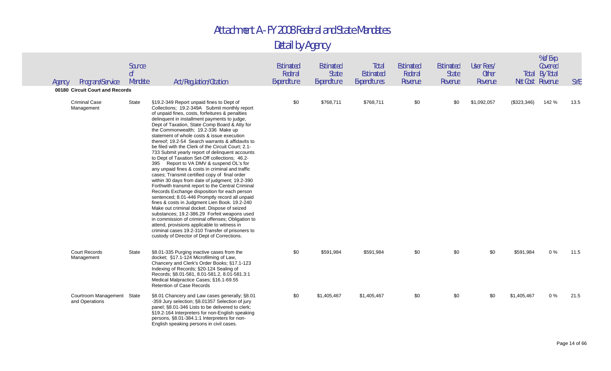| Agency | Program/Service<br>00180 Circuit Court and Records | Source<br>0 <sup>f</sup><br>Mandate | Act/Regulation/Citation                                                                                                                                                                                                                                                                                                                                                                                                                                                                                                                                                                                                                                                                                                                                                                                                                                                                                                                                                                                                                                                                                                                                                                                                                                         | Estimated<br>Federal<br>Expenditure | Estimated<br><b>State</b><br>Expenditure | Total<br><b>Estimated</b><br>Expenditures | Estimated<br>Federal<br>Revenue | <b>Estimated</b><br><b>State</b><br>Revenue | User Fees/<br><b>Other</b><br>Revenue |             | % of Exp.<br>Covered<br><b>Total By Total</b><br>Net Cost Revenue | <b>SYE</b> |
|--------|----------------------------------------------------|-------------------------------------|-----------------------------------------------------------------------------------------------------------------------------------------------------------------------------------------------------------------------------------------------------------------------------------------------------------------------------------------------------------------------------------------------------------------------------------------------------------------------------------------------------------------------------------------------------------------------------------------------------------------------------------------------------------------------------------------------------------------------------------------------------------------------------------------------------------------------------------------------------------------------------------------------------------------------------------------------------------------------------------------------------------------------------------------------------------------------------------------------------------------------------------------------------------------------------------------------------------------------------------------------------------------|-------------------------------------|------------------------------------------|-------------------------------------------|---------------------------------|---------------------------------------------|---------------------------------------|-------------|-------------------------------------------------------------------|------------|
|        | <b>Criminal Case</b><br>Management                 | State                               | §19.2-349 Report unpaid fines to Dept of<br>Collections; 19.2-349A Submit monthly report<br>of unpaid fines, costs, forfeitures & penalties<br>delinquent in installment payments to judge,<br>Dept of Taxation, State Comp Board & Atty for<br>the Commonwealth; 19.2-336 Make up<br>statement of whole costs & issue execution<br>thereof; 19.2-54 Search warrants & affidavits to<br>be filed with the Clerk of the Circuit Court; 2.1-<br>733 Submit yearly report of delinguent accounts<br>to Dept of Taxation Set-Off collections; 46.2-<br>395 Report to VA DMV & suspend OL's for<br>any unpaid fines & costs in criminal and traffic<br>cases; Transmit certified copy of final order<br>within 30 days from date of judgment; 19.2-390<br>Forthwith transmit report to the Central Criminal<br>Records Exchange disposition for each person<br>sentenced; 8.01-446 Promptly record all unpaid<br>fines & costs in Judgment Lien Book. 19.2-240<br>Make out criminal docket. Dispose of seized<br>substances; 19.2-386.29 Forfeit weapons used<br>in commission of criminal offenses; Obligation to<br>attend, provisions applicable to witness in<br>criminal cases 19.2-310 Transfer of prisoners to<br>custody of Director of Dept of Corrections. | \$0                                 | \$768,711                                | \$768,711                                 | \$0                             | \$0                                         | \$1,092,057                           | (\$323,346) | 142 %                                                             | 13.5       |
|        | <b>Court Records</b><br>Management                 | <b>State</b>                        | §8.01-335 Purging inactive cases from the<br>docket; §17.1-124 Microfilming of Law,<br>Chancery and Clerk's Order Books; §17.1-123<br>Indexing of Records; §20-124 Sealing of<br>Records; §8.01-581, 8.01-581.2, 8.01-581.3:1<br>Medical Malpractice Cases; §16.1-69.55<br><b>Retention of Case Records</b>                                                                                                                                                                                                                                                                                                                                                                                                                                                                                                                                                                                                                                                                                                                                                                                                                                                                                                                                                     | \$0                                 | \$591,984                                | \$591,984                                 | \$0                             | \$0                                         | \$0                                   | \$591,984   | 0%                                                                | 11.5       |
|        | Courtroom Management State<br>and Operations       |                                     | §8.01 Chancery and Law cases generally; §8.01<br>-359 Jury selection; §8.01357 Selection of jury<br>panel; §8.01-346 Lists to be delivered to clerk;<br>§19.2-164 Interpreters for non-English speaking<br>persons, §8.01-384.1:1 Interpreters for non-<br>English speaking persons in civil cases.                                                                                                                                                                                                                                                                                                                                                                                                                                                                                                                                                                                                                                                                                                                                                                                                                                                                                                                                                             | \$0                                 | \$1,405,467                              | \$1,405,467                               | \$0                             | \$0                                         | \$0                                   | \$1,405,467 | 0%                                                                | 21.5       |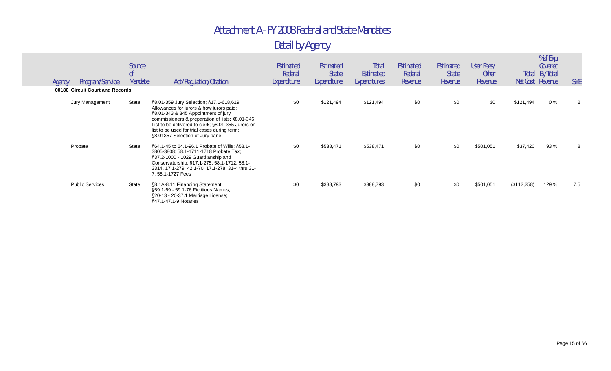| Agency | Program/Service                 | Source<br><sub>of</sub><br>Mandate | Act/Regulation/Citation                                                                                                                                                                                                                                                                                                 | Estimated<br>Federal<br>Expenditure | Estimated<br><b>State</b><br>Expenditure | Total<br>Estimated<br>Expenditures | Estimated<br>Federal<br>Revenue | Estimated<br><b>State</b><br>Revenue | User Fees/<br><b>Other</b><br>Revenue | Total       | % of Exp.<br>Covered<br>By Total<br>Net Cost Revenue | <b>SYE</b>     |
|--------|---------------------------------|------------------------------------|-------------------------------------------------------------------------------------------------------------------------------------------------------------------------------------------------------------------------------------------------------------------------------------------------------------------------|-------------------------------------|------------------------------------------|------------------------------------|---------------------------------|--------------------------------------|---------------------------------------|-------------|------------------------------------------------------|----------------|
|        | 00180 Circuit Court and Records |                                    |                                                                                                                                                                                                                                                                                                                         |                                     |                                          |                                    |                                 |                                      |                                       |             |                                                      |                |
|        | Jury Management                 | State                              | §8.01-359 Jury Selection; §17.1-618,619<br>Allowances for jurors & how jurors paid;<br>§8.01-343 & 345 Appointment of jury<br>commissioners & preparation of lists; §8.01-346<br>List to be delivered to clerk; §8.01-355 Jurors on<br>list to be used for trial cases during term;<br>§8.01357 Selection of Jury panel | \$0                                 | \$121,494                                | \$121,494                          | \$0                             | \$0                                  | \$0                                   | \$121,494   | $0\%$                                                | $\overline{2}$ |
|        | Probate                         | State                              | §64.1-45 to 64.1-96.1 Probate of Wills; §58.1-<br>3805-3808; 58.1-1711-1718 Probate Tax;<br>§37.2-1000 - 1029 Guardianship and<br>Conservatorship; §17.1-275; 58.1-1712, 58.1-<br>3314, 17.1-279, 42.1-70, 17.1-278, 31-4 thru 31-<br>7, 58.1-1727 Fees                                                                 | \$0                                 | \$538,471                                | \$538,471                          | \$0                             | \$0                                  | \$501,051                             | \$37,420    | 93 %                                                 | 8              |
|        | <b>Public Services</b>          | State                              | §8.1A-8.11 Financing Statement;<br>§59.1-69 - 59.1-76 Fictitious Names;<br>§20-13 - 20-37.1 Marriage License;<br>§47.1-47.1-9 Notaries                                                                                                                                                                                  | \$0                                 | \$388,793                                | \$388,793                          | \$0                             | \$0                                  | \$501,051                             | (\$112,258) | 129 %                                                | 7.5            |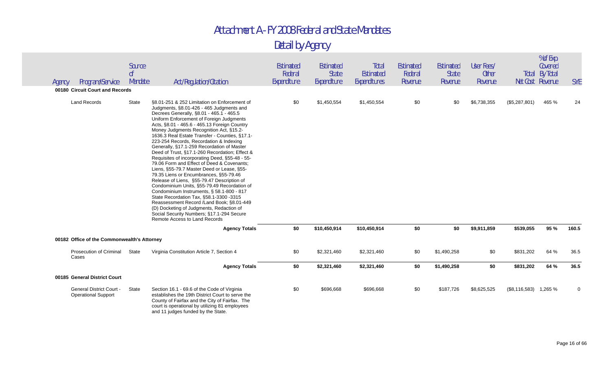| Agency | Program/Service                                               | Source<br>0 <sup>f</sup><br>Mandate | Act/Regulation/Citation                                                                                                                                                                                                                                                                                                                                                                                                                                                                                                                                                                                                                                                                                                                                                                                                                                                                                                                                                                                                      | <b>Estimated</b><br>Federal<br>Expenditure | <b>Estimated</b><br><b>State</b><br>Expenditure | Total<br>Estimated<br>Expenditures | <b>Estimated</b><br>Federal<br>Revenue | Estimated<br><b>State</b><br>Revenue | User Fees/<br><b>Other</b><br>Revenue |                         | % of Exp.<br>Covered<br>Total By Total<br>Net Cost Revenue | <b>SYE</b> |
|--------|---------------------------------------------------------------|-------------------------------------|------------------------------------------------------------------------------------------------------------------------------------------------------------------------------------------------------------------------------------------------------------------------------------------------------------------------------------------------------------------------------------------------------------------------------------------------------------------------------------------------------------------------------------------------------------------------------------------------------------------------------------------------------------------------------------------------------------------------------------------------------------------------------------------------------------------------------------------------------------------------------------------------------------------------------------------------------------------------------------------------------------------------------|--------------------------------------------|-------------------------------------------------|------------------------------------|----------------------------------------|--------------------------------------|---------------------------------------|-------------------------|------------------------------------------------------------|------------|
|        | 00180 Circuit Court and Records                               |                                     |                                                                                                                                                                                                                                                                                                                                                                                                                                                                                                                                                                                                                                                                                                                                                                                                                                                                                                                                                                                                                              |                                            |                                                 |                                    |                                        |                                      |                                       |                         |                                                            |            |
|        | <b>Land Records</b>                                           | <b>State</b>                        | §8.01-251 & 252 Limitation on Enforcement of<br>Judgments, §8.01-426 - 465 Judgments and<br>Decrees Generally, §8.01 - 465.1 - 465.5<br>Uniform Enforcement of Foreign Judgments<br>Acts, §8.01 - 465.6 - 465.13 Foreign Country<br>Money Judgments Recognition Act, §15.2-<br>1636.3 Real Estate Transfer - Counties, §17.1-<br>223-254 Records, Recordation & Indexing<br>Generally, §17.1-259 Recordation of Master<br>Deed of Trust, §17.1-260 Recordation; Effect &<br>Requisites of incorporating Deed, §55-48 - 55-<br>79.06 Form and Effect of Deed & Covenants;<br>Liens, §55-79.7 Master Deed or Lease, §55-<br>79.35 Liens or Encumbrances, §55-79.46<br>Release of Liens, §55-79.47 Description of<br>Condominium Units, §55-79.49 Recordation of<br>Condominium Instruments, § 58.1-800 - 817<br>State Recordation Tax, §58.1-3300 -3315<br>Reassessment Record /Land Book; §8.01-449<br>(D) Docketing of Judgments, Redaction of<br>Social Security Numbers; §17.1-294 Secure<br>Remote Access to Land Records | \$0                                        | \$1,450,554                                     | \$1,450,554                        | \$0                                    | \$0                                  | \$6,738,355                           | (\$5,287,801)           | 465 %                                                      | 24         |
|        |                                                               |                                     | <b>Agency Totals</b>                                                                                                                                                                                                                                                                                                                                                                                                                                                                                                                                                                                                                                                                                                                                                                                                                                                                                                                                                                                                         | \$0                                        | \$10,450,914                                    | \$10,450,914                       | \$0                                    | \$0                                  | \$9,911,859                           | \$539,055               | 95 %                                                       | 160.5      |
|        | 00182 Office of the Commonwealth's Attorney                   |                                     |                                                                                                                                                                                                                                                                                                                                                                                                                                                                                                                                                                                                                                                                                                                                                                                                                                                                                                                                                                                                                              |                                            |                                                 |                                    |                                        |                                      |                                       |                         |                                                            |            |
|        | <b>Prosecution of Criminal</b><br>Cases                       | State                               | Virginia Constitution Article 7, Section 4                                                                                                                                                                                                                                                                                                                                                                                                                                                                                                                                                                                                                                                                                                                                                                                                                                                                                                                                                                                   | \$0                                        | \$2,321,460                                     | \$2,321,460                        | \$0                                    | \$1,490,258                          | \$0                                   | \$831,202               | 64 %                                                       | 36.5       |
|        |                                                               |                                     | <b>Agency Totals</b>                                                                                                                                                                                                                                                                                                                                                                                                                                                                                                                                                                                                                                                                                                                                                                                                                                                                                                                                                                                                         | \$0                                        | \$2,321,460                                     | \$2,321,460                        | \$0                                    | \$1,490,258                          | \$0                                   | \$831,202               | 64 %                                                       | 36.5       |
|        | 00185 General District Court                                  |                                     |                                                                                                                                                                                                                                                                                                                                                                                                                                                                                                                                                                                                                                                                                                                                                                                                                                                                                                                                                                                                                              |                                            |                                                 |                                    |                                        |                                      |                                       |                         |                                                            |            |
|        | <b>General District Court -</b><br><b>Operational Support</b> | State                               | Section 16.1 - 69.6 of the Code of Virginia<br>establishes the 19th District Court to serve the<br>County of Fairfax and the City of Fairfax. The<br>court is operational by utilizing 81 employees<br>and 11 judges funded by the State.                                                                                                                                                                                                                                                                                                                                                                                                                                                                                                                                                                                                                                                                                                                                                                                    | \$0                                        | \$696,668                                       | \$696,668                          | \$0                                    | \$187,726                            | \$8,625,525                           | $(\$8,116,583)$ 1,265 % |                                                            | 0          |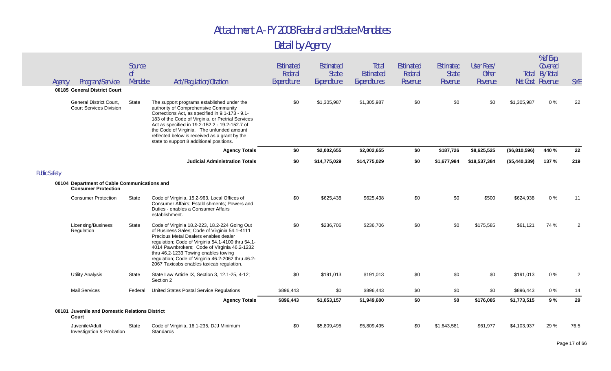| Agency               | Program/Service                                                            | Source<br>0 <sup>f</sup><br>Mandate | Act/Regulation/Citation                                                                                                                                                                                                                                                                                                                                                                | Estimated<br>Federal<br>Expenditure | Estimated<br><b>State</b><br>Expenditure | Total<br>Estimated<br>Expenditures | <b>Estimated</b><br>Federal<br>Revenue | Estimated<br><b>State</b><br>Revenue | User Fees/<br><b>Other</b><br>Revenue | Net Cost Revenue | % of Exp.<br>Covered<br><b>Total By Total</b> | <b>SYE</b>     |
|----------------------|----------------------------------------------------------------------------|-------------------------------------|----------------------------------------------------------------------------------------------------------------------------------------------------------------------------------------------------------------------------------------------------------------------------------------------------------------------------------------------------------------------------------------|-------------------------------------|------------------------------------------|------------------------------------|----------------------------------------|--------------------------------------|---------------------------------------|------------------|-----------------------------------------------|----------------|
|                      | 00185 General District Court                                               |                                     |                                                                                                                                                                                                                                                                                                                                                                                        |                                     |                                          |                                    |                                        |                                      |                                       |                  |                                               |                |
|                      | <b>General District Court,</b><br><b>Court Services Division</b>           | <b>State</b>                        | The support programs established under the<br>authority of Comprehensive Community<br>Corrections Act, as specified in 9.1-173 - 9.1-<br>183 of the Code of Virginia, or Pretrial Services<br>Act as specified in 19.2-152.2 - 19.2-152.7 of<br>the Code of Virginia. The unfunded amount<br>reflected below is received as a grant by the<br>state to support 8 additional positions. | \$0                                 | \$1,305,987                              | \$1,305,987                        | \$0                                    | \$0                                  | \$0                                   | \$1,305,987      | 0%                                            | 22             |
|                      |                                                                            |                                     | <b>Agency Totals</b>                                                                                                                                                                                                                                                                                                                                                                   | \$0                                 | \$2,002,655                              | \$2,002,655                        | \$0                                    | \$187,726                            | \$8,625,525                           | (\$6,810,596)    | 440 %                                         | 22             |
|                      |                                                                            |                                     | <b>Judicial Administration Totals</b>                                                                                                                                                                                                                                                                                                                                                  | \$0                                 | \$14,775,029                             | \$14,775,029                       | \$0                                    | \$1,677,984                          | \$18,537,384                          | (\$5,440,339)    | 137 %                                         | 219            |
| <b>Public Safety</b> |                                                                            |                                     |                                                                                                                                                                                                                                                                                                                                                                                        |                                     |                                          |                                    |                                        |                                      |                                       |                  |                                               |                |
|                      | 00104 Department of Cable Communications and<br><b>Consumer Protection</b> |                                     |                                                                                                                                                                                                                                                                                                                                                                                        |                                     |                                          |                                    |                                        |                                      |                                       |                  |                                               |                |
|                      | <b>Consumer Protection</b>                                                 | State                               | Code of Virginia, 15.2-963, Local Offices of<br>Consumer Affairs; Establishments; Powers and<br>Duties - enables a Consumer Affairs<br>establishment.                                                                                                                                                                                                                                  | \$0                                 | \$625,438                                | \$625,438                          | \$0                                    | \$0                                  | \$500                                 | \$624,938        | 0%                                            | 11             |
|                      | Licensing/Business<br>Regulation                                           | State                               | Code of Virginia 18.2-223, 18.2-224 Going Out<br>of Business Sales; Code of Virginia 54.1-4111<br>Precious Metal Dealers enables dealer<br>regulation; Code of Virginia 54.1-4100 thru 54.1-<br>4014 Pawnbrokers; Code of Virginia 46.2-1232<br>thru 46.2-1233 Towing enables towing<br>regulation; Code of Virginia 46.2-2062 thru 46.2-<br>2067 Taxicabs enables taxicab regulation. | \$0                                 | \$236,706                                | \$236,706                          | \$0                                    | \$0                                  | \$175,585                             | \$61,121         | 74 %                                          | $\overline{2}$ |
|                      | <b>Utility Analysis</b>                                                    | <b>State</b>                        | State Law Article IX, Section 3, 12.1-25, 4-12;<br>Section 2                                                                                                                                                                                                                                                                                                                           | \$0                                 | \$191,013                                | \$191,013                          | \$0                                    | \$0                                  | \$0                                   | \$191,013        | $0\ \%$                                       | $\overline{2}$ |
|                      | <b>Mail Services</b>                                                       | Federal                             | United States Postal Service Regulations                                                                                                                                                                                                                                                                                                                                               | \$896,443                           | \$0                                      | \$896,443                          | \$0                                    | \$0                                  | \$0                                   | \$896,443        | 0%                                            | 14             |
|                      |                                                                            |                                     | <b>Agency Totals</b>                                                                                                                                                                                                                                                                                                                                                                   | \$896,443                           | \$1,053,157                              | \$1,949,600                        | \$0                                    | \$0                                  | \$176,085                             | \$1,773,515      | 9%                                            | 29             |
|                      | 00181 Juvenile and Domestic Relations District<br>Court                    |                                     |                                                                                                                                                                                                                                                                                                                                                                                        |                                     |                                          |                                    |                                        |                                      |                                       |                  |                                               |                |
|                      | Juvenile/Adult<br>Investigation & Probation                                | <b>State</b>                        | Code of Virginia, 16.1-235, DJJ Minimum<br>Standards                                                                                                                                                                                                                                                                                                                                   | \$0                                 | \$5,809,495                              | \$5,809,495                        | \$0                                    | \$1,643,581                          | \$61,977                              | \$4,103,937      | 29 %                                          | 76.5           |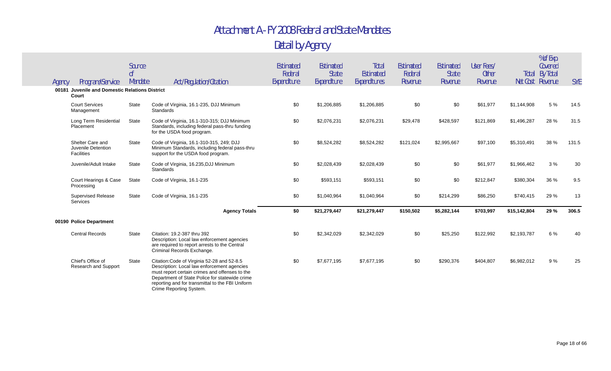| Agency | Program/Service                                             | Source<br>0 <sup>f</sup><br>Mandate | Act/Regulation/Citation                                                                                                                                                                                                                                                       | Estimated<br>Federal<br>Expenditure | Estimated<br><b>State</b><br>Expenditure | Total<br><b>Estimated</b><br>Expenditures | <b>Estimated</b><br>Federal<br>Revenue | Estimated<br><b>State</b><br>Revenue | User Fees/<br><b>Other</b><br>Revenue |              | % of Exp.<br>Covered<br><b>Total By Total</b><br>Net Cost Revenue | <b>SYE</b> |
|--------|-------------------------------------------------------------|-------------------------------------|-------------------------------------------------------------------------------------------------------------------------------------------------------------------------------------------------------------------------------------------------------------------------------|-------------------------------------|------------------------------------------|-------------------------------------------|----------------------------------------|--------------------------------------|---------------------------------------|--------------|-------------------------------------------------------------------|------------|
|        | 00181 Juvenile and Domestic Relations District<br>Court     |                                     |                                                                                                                                                                                                                                                                               |                                     |                                          |                                           |                                        |                                      |                                       |              |                                                                   |            |
|        | <b>Court Services</b><br>Management                         | <b>State</b>                        | Code of Virginia, 16.1-235, DJJ Minimum<br>Standards                                                                                                                                                                                                                          | \$0                                 | \$1,206,885                              | \$1,206,885                               | \$0                                    | \$0                                  | \$61,977                              | \$1,144,908  | 5 %                                                               | 14.5       |
|        | Long Term Residential<br>Placement                          | State                               | Code of Virginia, 16.1-310-315; DJJ Minimum<br>Standards, including federal pass-thru funding<br>for the USDA food program.                                                                                                                                                   | \$0                                 | \$2,076,231                              | \$2,076,231                               | \$29,478                               | \$428,597                            | \$121,869                             | \$1,496,287  | 28 %                                                              | 31.5       |
|        | Shelter Care and<br>Juvenile Detention<br><b>Facilities</b> | State                               | Code of Virginia, 16.1-310-315, 249; DJJ<br>Minimum Standards, including federal pass-thru<br>support for the USDA food program.                                                                                                                                              | \$0                                 | \$8,524,282                              | \$8,524,282                               | \$121,024                              | \$2,995,667                          | \$97,100                              | \$5,310,491  | 38 %                                                              | 131.5      |
|        | Juvenile/Adult Intake                                       | <b>State</b>                        | Code of Virginia, 16.235, DJJ Minimum<br>Standards                                                                                                                                                                                                                            | \$0                                 | \$2,028,439                              | \$2,028,439                               | \$0                                    | \$0                                  | \$61,977                              | \$1,966,462  | 3%                                                                | 30         |
|        | Court Hearings & Case<br>Processing                         | State                               | Code of Virginia, 16.1-235                                                                                                                                                                                                                                                    | \$0                                 | \$593,151                                | \$593,151                                 | \$0                                    | \$0                                  | \$212,847                             | \$380,304    | 36 %                                                              | 9.5        |
|        | <b>Supervised Release</b><br><b>Services</b>                | State                               | Code of Virginia, 16.1-235                                                                                                                                                                                                                                                    | \$0                                 | \$1,040,964                              | \$1,040,964                               | \$0                                    | \$214,299                            | \$86,250                              | \$740,415    | 29 %                                                              | 13         |
|        |                                                             |                                     | <b>Agency Totals</b>                                                                                                                                                                                                                                                          | \$0                                 | \$21,279,447                             | \$21,279,447                              | \$150,502                              | \$5,282,144                          | \$703,997                             | \$15,142,804 | 29 %                                                              | 306.5      |
|        | 00190 Police Department                                     |                                     |                                                                                                                                                                                                                                                                               |                                     |                                          |                                           |                                        |                                      |                                       |              |                                                                   |            |
|        | <b>Central Records</b>                                      | State                               | Citation: 19.2-387 thru 392<br>Description: Local law enforcement agencies<br>are required to report arrests to the Central<br>Criminal Records Exchange.                                                                                                                     | \$0                                 | \$2,342,029                              | \$2,342,029                               | \$0                                    | \$25,250                             | \$122,992                             | \$2,193,787  | 6 %                                                               | 40         |
|        | Chief's Office of<br>Research and Support                   | State                               | Citation: Code of Virginia 52-28 and 52-8.5<br>Description: Local law enforcement agencies<br>must report certain crimes and offenses to the<br>Department of State Police for statewide crime<br>reporting and for transmittal to the FBI Uniform<br>Crime Reporting System. | \$0                                 | \$7,677,195                              | \$7,677,195                               | \$0                                    | \$290,376                            | \$404,807                             | \$6,982,012  | 9%                                                                | 25         |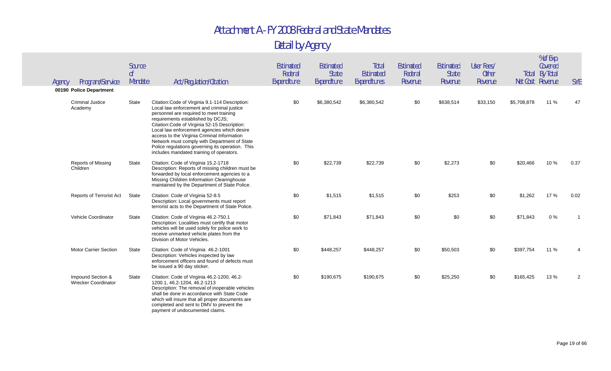| Program/Service<br>Agency                       | Source<br>0 <sup>f</sup><br>Mandate | Act/Regulation/Citation                                                                                                                                                                                                                                                                                                                                                                                                                                                      | Estimated<br>Federal<br>Expenditure | <b>Estimated</b><br><b>State</b><br>Expenditure | Total<br>Estimated<br>Expenditures | <b>Estimated</b><br>Federal<br>Revenue | Estimated<br><b>State</b><br>Revenue | User Fees/<br><b>Other</b><br>Revenue |             | % of Exp.<br>Covered<br><b>Total By Total</b><br>Net Cost Revenue | <b>SYE</b> |
|-------------------------------------------------|-------------------------------------|------------------------------------------------------------------------------------------------------------------------------------------------------------------------------------------------------------------------------------------------------------------------------------------------------------------------------------------------------------------------------------------------------------------------------------------------------------------------------|-------------------------------------|-------------------------------------------------|------------------------------------|----------------------------------------|--------------------------------------|---------------------------------------|-------------|-------------------------------------------------------------------|------------|
| 00190 Police Department                         |                                     |                                                                                                                                                                                                                                                                                                                                                                                                                                                                              |                                     |                                                 |                                    |                                        |                                      |                                       |             |                                                                   |            |
| <b>Criminal Justice</b><br>Academy              | State                               | Citation: Code of Virginia 9.1-114 Description:<br>Local law enforcement and criminal justice<br>personnel are required to meet training<br>requirements established by DCJS;<br>Citation: Code of Virginia 52-15 Description:<br>Local law enforcement agencies which desire<br>access to the Virginia Criminal Information<br>Network must comply with Department of State<br>Police regulations governing its operation. This<br>includes mandated training of operators. | \$0                                 | \$6,380,542                                     | \$6,380,542                        | \$0                                    | \$638,514                            | \$33,150                              | \$5,708,878 | 11 %                                                              | 47         |
| Reports of Missing<br>Children                  | State                               | Citation: Code of Virginia 15.2-1718<br>Description: Reports of missing children must be<br>forwarded by local enforcement agencies to a<br>Missing Children Information Clearinghouse<br>maintained by the Department of State Police.                                                                                                                                                                                                                                      | \$0                                 | \$22,739                                        | \$22,739                           | \$0                                    | \$2,273                              | \$0                                   | \$20,466    | 10 %                                                              | 0.37       |
| Reports of Terrorist Act                        | State                               | Citation: Code of Virginia 52-8.5<br>Description: Local governments must report<br>terrorist acts to the Department of State Police.                                                                                                                                                                                                                                                                                                                                         | \$0                                 | \$1,515                                         | \$1,515                            | \$0                                    | \$253                                | \$0                                   | \$1,262     | 17 %                                                              | 0.02       |
| Vehicle Coordinator                             | State                               | Citation: Code of Virginia 46.2-750.1<br>Description: Localities must certify that motor<br>vehicles will be used solely for police work to<br>receive unmarked vehicle plates from the<br>Division of Motor Vehicles.                                                                                                                                                                                                                                                       | \$0                                 | \$71,843                                        | \$71,843                           | \$0                                    | \$0                                  | \$0                                   | \$71,843    | 0%                                                                |            |
| Motor Carrier Section                           | State                               | Citation: Code of Virginia 46.2-1001<br>Description: Vehicles inspected by law<br>enforcement officers and found of defects must<br>be issued a 90 day sticker.                                                                                                                                                                                                                                                                                                              | \$0                                 | \$448,257                                       | \$448,257                          | \$0                                    | \$50,503                             | \$0                                   | \$397,754   | 11 %                                                              |            |
| Impound Section &<br><b>Wrecker Coordinator</b> | State                               | Citation: Code of Virginia 46.2-1200, 46.2-<br>1200.1, 46.2-1204, 46.2-1213<br>Description: The removal of inoperable vehicles<br>shall be done in accordance with State Code<br>which will insure that all proper documents are<br>completed and sent to DMV to prevent the<br>payment of undocumented claims.                                                                                                                                                              | \$0                                 | \$190,675                                       | \$190,675                          | \$0                                    | \$25,250                             | \$0                                   | \$165,425   | 13%                                                               | 2          |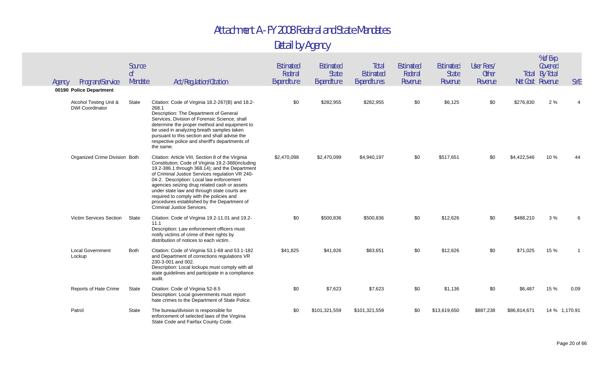| Agency | Program/Service                                  | Source<br>$\mathsf{nf}$<br>Mandate | Act/Regulation/Citation                                                                                                                                                                                                                                                                                                                                                                                                                                                          | Estimated<br>Federal<br>Expenditure | Estimated<br><b>State</b><br>Expenditure | Total<br>Estimated<br>Expenditures | <b>Estimated</b><br>Federal<br>Revenue | <b>Estimated</b><br><b>State</b><br>Revenue | User Fees/<br><b>Other</b><br>Revenue | Net Cost Revenue | % of Exp.<br>Covered<br><b>Total By Total</b> | <b>SYE</b>    |
|--------|--------------------------------------------------|------------------------------------|----------------------------------------------------------------------------------------------------------------------------------------------------------------------------------------------------------------------------------------------------------------------------------------------------------------------------------------------------------------------------------------------------------------------------------------------------------------------------------|-------------------------------------|------------------------------------------|------------------------------------|----------------------------------------|---------------------------------------------|---------------------------------------|------------------|-----------------------------------------------|---------------|
|        | 00190 Police Department                          |                                    |                                                                                                                                                                                                                                                                                                                                                                                                                                                                                  |                                     |                                          |                                    |                                        |                                             |                                       |                  |                                               |               |
|        | Alcohol Testing Unit &<br><b>DWI Coordinator</b> | State                              | Citation: Code of Virginia 18.2-267(B) and 18.2-<br>268.1<br>Description: The Department of General<br>Services, Division of Forensic Science, shall<br>determine the proper method and equipment to<br>be used in analyzing breath samples taken<br>pursuant to this section and shall advise the<br>respective police and sheriff's departments of<br>the same.                                                                                                                | \$0                                 | \$282,955                                | \$282,955                          | \$0                                    | \$6,125                                     | \$0                                   | \$276,830        | 2%                                            |               |
|        | Organized Crime Division Both                    |                                    | Citation: Article VIII, Section 8 of the Virginia<br>Constitution; Code of Virginia 19.2-368(including<br>19.2-386.1 through 368.14); and the Department<br>of Criminal Justice Services regulation VR 240-<br>04-2. Description: Local law enforcement<br>agencies seizing drug related cash or assets<br>under state law and through state courts are<br>required to comply with the policies and<br>procedures established by the Department of<br>Criminal Justice Services. | \$2.470.098                         | \$2,470,099                              | \$4,940,197                        | \$0                                    | \$517,651                                   | \$0                                   | \$4,422,546      | 10%                                           |               |
|        | Victim Services Section                          | State                              | Citation: Code of Virginia 19.2-11.01 and 19.2-<br>11.1<br>Description: Law enforcement officers must<br>notify victims of crime of their rights by<br>distribution of notices to each victim.                                                                                                                                                                                                                                                                                   | \$0                                 | \$500,836                                | \$500,836                          | \$0                                    | \$12,626                                    | \$0                                   | \$488,210        | 3%                                            |               |
|        | <b>Local Government</b><br>Lockup                | <b>Both</b>                        | Citation: Code of Virginia 53.1-68 and 53.1-182<br>and Department of corrections regulations VR<br>230-3-001 and 002.<br>Description: Local lockups must comply with all<br>state guidelines and participate in a compliance<br>audit.                                                                                                                                                                                                                                           | \$41,825                            | \$41,826                                 | \$83,651                           | \$0                                    | \$12,626                                    | \$0                                   | \$71,025         | 15 %                                          |               |
|        | Reports of Hate Crime                            | State                              | Citation: Code of Virginia 52-8.5<br>Description: Local governments must report<br>hate crimes to the Department of State Police.                                                                                                                                                                                                                                                                                                                                                | \$0                                 | \$7,623                                  | \$7,623                            | \$0                                    | \$1,136                                     | \$0                                   | \$6,487          | 15 %                                          | 0.09          |
|        | Patrol                                           | State                              | The bureau/division is responsible for<br>enforcement of selected laws of the Virginia<br>State Code and Fairfax County Code.                                                                                                                                                                                                                                                                                                                                                    | \$0                                 | \$101,321,559                            | \$101,321,559                      | \$0                                    | \$13,619,650                                | \$887,238                             | \$86,814,671     |                                               | 14 % 1,170.91 |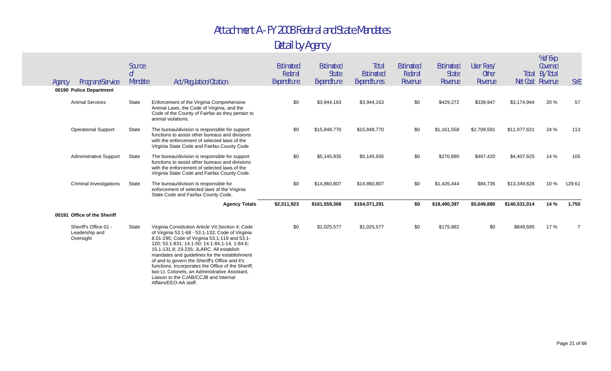|  |  | Detail by Agency |
|--|--|------------------|
|--|--|------------------|

| Agency | Program/Service                                      | Source<br>0 <sup>f</sup><br>Mandate | Act/Regulation/Citation                                                                                                                                                                                                                                                                                                                                                                                                                                                                                                           | <b>Estimated</b><br>Federal<br>Expenditure | Estimated<br><b>State</b><br>Expenditure | <b>Total</b><br><b>Estimated</b><br>Expenditures | Estimated<br>Federal<br>Revenue | Estimated<br><b>State</b><br>Revenue | User Fees/<br><b>Other</b><br>Revenue | Total         | % of Exp.<br>Covered<br>By Total<br>Net Cost Revenue | <b>SYE</b> |
|--------|------------------------------------------------------|-------------------------------------|-----------------------------------------------------------------------------------------------------------------------------------------------------------------------------------------------------------------------------------------------------------------------------------------------------------------------------------------------------------------------------------------------------------------------------------------------------------------------------------------------------------------------------------|--------------------------------------------|------------------------------------------|--------------------------------------------------|---------------------------------|--------------------------------------|---------------------------------------|---------------|------------------------------------------------------|------------|
|        | 00190 Police Department                              |                                     |                                                                                                                                                                                                                                                                                                                                                                                                                                                                                                                                   |                                            |                                          |                                                  |                                 |                                      |                                       |               |                                                      |            |
|        | <b>Animal Services</b>                               | State                               | Enforcement of the Virginia Comprehensive<br>Animal Laws, the Code of Virginia, and the<br>Code of the County of Fairfax as they pertain to<br>animal violations.                                                                                                                                                                                                                                                                                                                                                                 | \$0                                        | \$3,944,163                              | \$3,944,163                                      | \$0                             | \$429,272                            | \$339,947                             | \$3,174,944   | 20 %                                                 | 57         |
|        | <b>Operational Support</b>                           | State                               | The bureau/division is responsible for support<br>functions to assist other bureaus and divisions<br>with the enforcement of selected laws of the<br>Virginia State Code and Fairfax County Code                                                                                                                                                                                                                                                                                                                                  | \$0                                        | \$15,848,770                             | \$15,848,770                                     | \$0                             | \$1,161,558                          | \$2,709,591                           | \$11,977,621  | 24 %                                                 | 113        |
|        | <b>Administrative Support</b>                        | State                               | The bureau/division is responsible for support<br>functions to assist other bureaus and divisions<br>with the enforcement of selected laws of the<br>Virginia State Code and Fairfax County Code.                                                                                                                                                                                                                                                                                                                                 | \$0                                        | \$5,145,935                              | \$5,145,935                                      | \$0                             | \$270,890                            | \$467,420                             | \$4,407,625   | 14 %                                                 | 105        |
|        | Criminal Investigations                              | State                               | The bureau/division is responsible for<br>enforcement of selected laws of the Virginia<br>State Code and Fairfax County Code.                                                                                                                                                                                                                                                                                                                                                                                                     | \$0                                        | \$14,860,807                             | \$14,860,807                                     | \$0                             | \$1,426,444                          | \$84,735                              | \$13,349,628  | 10 %                                                 | 129.61     |
|        |                                                      |                                     | <b>Agency Totals</b>                                                                                                                                                                                                                                                                                                                                                                                                                                                                                                              | \$2,511,923                                | \$161,559,368                            | \$164,071,291                                    | \$0                             | \$18,490,397                         | \$5,049,880                           | \$140,531,014 | 14 %                                                 | 1,750      |
|        | 00191 Office of the Sheriff                          |                                     |                                                                                                                                                                                                                                                                                                                                                                                                                                                                                                                                   |                                            |                                          |                                                  |                                 |                                      |                                       |               |                                                      |            |
|        | Sheriff's Office 01 -<br>Leadership and<br>Oversight | State                               | Virginia Constitution Article VII, Section 4; Code<br>of Virginia 53.1-68 - 53.1-133; Code of Virginia<br>8.01-295; Code of Virginia 53.1-119 and 53.1-<br>120; 53.1-831; 14.1-50; 14.1-84.1-14, 1-84.6;<br>15.1-131.8; 23-235; JLARC. All establish<br>mandates and guidelines for the establishment<br>of and to govern the Sheriff's Office and it's<br>functions. Incorporates the Office of the Sheriff,<br>two Lt. Colonels, an Administrative Assistant,<br>Liaison to the CJAB/CCJB and Internal<br>Affairs/EEO-AA staff. | \$0                                        | \$1,025,577                              | \$1,025,577                                      | \$0                             | \$175,882                            | \$0                                   | \$849,695     | 17 %                                                 |            |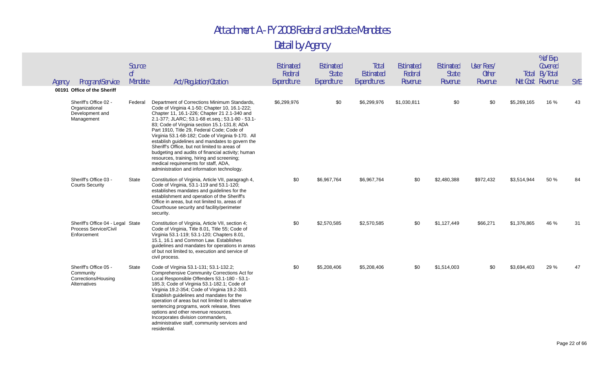| Agency | Program/Service<br>00191 Office of the Sheriff                            | Source<br>0 <sup>f</sup><br>Mandate | Act/Regulation/Citation                                                                                                                                                                                                                                                                                                                                                                                                                                                                                                                                                                                                                            | Estimated<br>Federal<br>Expenditure | Estimated<br><b>State</b><br>Expenditure | Total<br>Estimated<br>Expenditures | <b>Estimated</b><br>Federal<br>Revenue | Estimated<br><b>State</b><br>Revenue | User Fees/<br><b>Other</b><br>Revenue |             | % of Exp.<br>Covered<br><b>Total By Total</b><br>Net Cost Revenue | <b>SYE</b> |
|--------|---------------------------------------------------------------------------|-------------------------------------|----------------------------------------------------------------------------------------------------------------------------------------------------------------------------------------------------------------------------------------------------------------------------------------------------------------------------------------------------------------------------------------------------------------------------------------------------------------------------------------------------------------------------------------------------------------------------------------------------------------------------------------------------|-------------------------------------|------------------------------------------|------------------------------------|----------------------------------------|--------------------------------------|---------------------------------------|-------------|-------------------------------------------------------------------|------------|
|        | Sheriff's Office 02 -<br>Organizational<br>Development and<br>Management  | Federal                             | Department of Corrections Minimum Standards,<br>Code of Virginia 4.1-50; Chapter 10, 16.1-222;<br>Chapter 11, 16.1-226; Chapter 21 2.1-340 and<br>2.1-377; JLARC; 53.1-68 et.seq.; 53.1-80 - 53.1-<br>83; Code of Virginia section 15.1-131.8; ADA<br>Part 1910, Title 29, Federal Code; Code of<br>Virginia 53.1-68-182; Code of Virginia 9-170. All<br>establish guidelines and mandates to govern the<br>Sheriff's Office, but not limited to areas of<br>budgeting and audits of financial activity; human<br>resources, training, hiring and screening;<br>medical requirements for staff, ADA,<br>administration and information technology. | \$6,299,976                         | \$0                                      | \$6,299,976                        | \$1,030,811                            | \$0                                  | \$0                                   | \$5,269,165 | 16 %                                                              | 43         |
|        | Sheriff's Office 03 -<br><b>Courts Security</b>                           | State                               | Constitution of Virginia, Article VII, paragragh 4,<br>Code of Virginia, 53.1-119 and 53.1-120;<br>establishes mandates and guidelines for the<br>establishment and operation of the Sheriff's<br>Office in areas, but not limited to, areas of<br>Courthouse security and facility/perimeter<br>security.                                                                                                                                                                                                                                                                                                                                         | \$0                                 | \$6,967,764                              | \$6,967,764                        | \$0                                    | \$2,480,388                          | \$972,432                             | \$3,514,944 | 50 %                                                              | 84         |
|        | Sheriff's Office 04 - Legal State<br>Process Service/Civil<br>Enforcement |                                     | Constitution of Virginia, Article VII, section 4;<br>Code of Virginia, Title 8.01, Title 55; Code of<br>Virginia 53.1-119; 53.1-120; Chapters 8.01,<br>15.1, 16.1 and Common Law. Establishes<br>guidelines and mandates for operations in areas<br>of but not limited to, execution and service of<br>civil process.                                                                                                                                                                                                                                                                                                                              | \$0                                 | \$2,570,585                              | \$2,570,585                        | \$0                                    | \$1,127,449                          | \$66,271                              | \$1,376,865 | 46 %                                                              | 31         |
|        | Sheriff's Office 05 -<br>Community<br>Corrections/Housing<br>Alternatives | State                               | Code of Virginia 53.1-131; 53.1-132.2;<br>Comprehensive Community Corrections Act for<br>Local Responsible Offenders 53.1-180 - 53.1-<br>185.3; Code of Virginia 53.1-182.1; Code of<br>Virginia 19.2-354; Code of Virginia 19.2-303.<br>Establish guidelines and mandates for the<br>operation of areas but not limited to alternative<br>sentencing programs, work release, fines<br>options and other revenue resources.<br>Incorporates division commanders,<br>administrative staff, community services and<br>residential.                                                                                                                   | \$0                                 | \$5,208,406                              | \$5,208,406                        | \$0                                    | \$1,514,003                          | \$0                                   | \$3,694,403 | 29 %                                                              | 47         |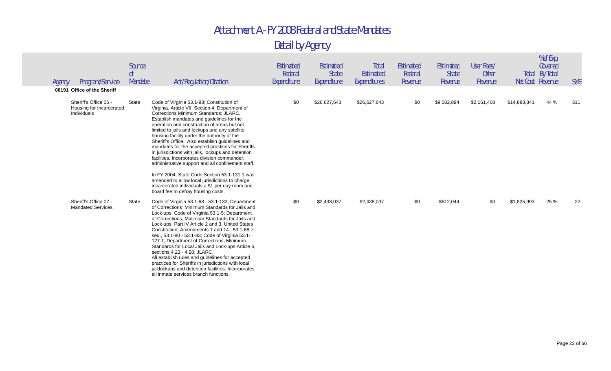| Agency | Program/Service                                                                                 | Source<br>0 <sup>f</sup><br>Mandate | Act/Regulation/Citation                                                                                                                                                                                                                                                                                                                                                                                                                                                                                                                                                                                                                                                                                                                                    | Estimated<br>Federal<br>Expenditure | Estimated<br><b>State</b><br>Expenditure | Total<br>Estimated<br>Expenditures | Estimated<br>Federal<br>Revenue | Estimated<br><b>State</b><br>Revenue | User Fees/<br><b>Other</b><br>Revenue | Total        | % of Exp.<br>Covered<br>By Total<br>Net Cost Revenue | <b>SYE</b> |
|--------|-------------------------------------------------------------------------------------------------|-------------------------------------|------------------------------------------------------------------------------------------------------------------------------------------------------------------------------------------------------------------------------------------------------------------------------------------------------------------------------------------------------------------------------------------------------------------------------------------------------------------------------------------------------------------------------------------------------------------------------------------------------------------------------------------------------------------------------------------------------------------------------------------------------------|-------------------------------------|------------------------------------------|------------------------------------|---------------------------------|--------------------------------------|---------------------------------------|--------------|------------------------------------------------------|------------|
|        | 00191 Office of the Sheriff<br>Sheriff's Office 06 -<br>Housing for Incarcerated<br>Individuals | State                               | Code of Virginia 53.1-93; Constitution of<br>Virginia, Article VII, Section 4; Department of<br>Corrections Minimum Standards; JLARC.<br>Establish mandates and guidelines for the<br>operation and construction of areas but not<br>limited to jails and lockups and any satellite<br>housing facility under the authority of the<br>Sheriff's Office. Also establish guidelines and<br>mandates for the accepted practices for Sheriffs<br>in jurisdictions with jails, lockups and detention<br>facilities. Incorporates division commander,<br>administrative support and all confinement staff.<br>In FY 2004, State Code Section 53.1-131.1 was<br>amended to allow local jurisdictions to charge<br>incarcerated individuals a \$1 per day room and | \$0                                 | \$26,627,643                             | \$26,627,643                       | \$0                             | \$9,582,894                          | \$2,161,408                           | \$14,883,341 | 44 %                                                 | 311        |
|        | Sheriff's Office 07 -<br><b>Mandated Services</b>                                               | State                               | board fee to defray housing costs.<br>Code of Virginia 53.1-68 - 53.1-133; Department<br>of Corrections Minimum Standards for Jails and<br>Lock-ups, Code of Virginia 53.1-5; Department<br>of Corrections, Minimum Standards for Jails and<br>Lock-ups, Part IV Article 2 and 3, United States<br>Constitution. Amendments 1 and 14, 53.1-68 et.<br>seq., 53.1-80 - 53.1-83; Code of Virginia 53.1-<br>127.1; Department of Corrections, Minimum<br>Standards for Local Jails and Lock-ups Article 6,<br>sections 4.23 - 4.28; JLARC.<br>All establish rules and guidelines for accepted<br>practices for Sheriffs in jurisdictions with local<br>jail, lockups and detention facilities. Incorporates<br>all inmate services branch functions.           | \$0                                 | \$2,438,037                              | \$2,438,037                        | \$0                             | \$612,044                            | \$0                                   | \$1,825,993  | 25 %                                                 | 22         |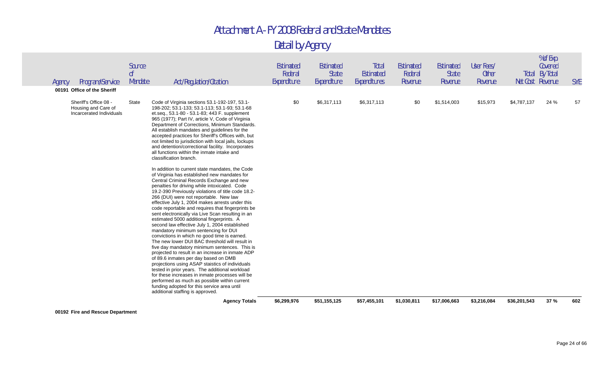Detail by Agency

|        |                                                                          |                                     | tested in prior years. The additional workload<br>for these increases in inmate processes will be<br>performed as much as possible within current<br>funding adopted for this service area until<br>additional staffing is approved.                                                                                                                                                                                                                                                                                                                                                                                                                                                                                                                                                                                                                                                               |                                            |                                          |                                    |                                        |                                             |                                       |                  |                                        |            |
|--------|--------------------------------------------------------------------------|-------------------------------------|----------------------------------------------------------------------------------------------------------------------------------------------------------------------------------------------------------------------------------------------------------------------------------------------------------------------------------------------------------------------------------------------------------------------------------------------------------------------------------------------------------------------------------------------------------------------------------------------------------------------------------------------------------------------------------------------------------------------------------------------------------------------------------------------------------------------------------------------------------------------------------------------------|--------------------------------------------|------------------------------------------|------------------------------------|----------------------------------------|---------------------------------------------|---------------------------------------|------------------|----------------------------------------|------------|
|        |                                                                          |                                     | In addition to current state mandates, the Code<br>of Virginia has established new mandates for<br>Central Criminal Records Exchange and new<br>penalties for driving while intoxicated. Code<br>19.2-390 Previously violations of title code 18.2-<br>266 (DUI) were not reportable. New law<br>effective July 1, 2004 makes arrests under this<br>code reportable and requires that fingerprints be<br>sent electronically via Live Scan resulting in an<br>estimated 5000 additional fingerprints. A<br>second law effective July 1, 2004 established<br>mandatory minimum sentencing for DUI<br>convictions in which no good time is earned.<br>The new lower DUI BAC threshold will result in<br>five day mandatory minimum sentences. This is<br>projected to result in an increase in inmate ADP<br>of 89.6 inmates per day based on DMB<br>projections using ASAP staistics of individuals |                                            |                                          |                                    |                                        |                                             |                                       |                  |                                        |            |
|        | Sheriff's Office 08 -<br>Housing and Care of<br>Incarcerated Individuals | State                               | Code of Virginia sections 53.1-192-197, 53.1-<br>198-202; 53.1-133; 53.1-113; 53.1-93; 53.1-68<br>et.seq., 53.1-80 - 53.1-83; 443 F. supplement<br>965 (1977); Part IV, article V, Code of Virginia<br>Department of Corrections, Minimum Standards.<br>All establish mandates and guidelines for the<br>accepted practices for Sheriff's Offices with, but<br>not limited to jurisdiction with local jails, lockups<br>and detention/correctional facility. Incorporates<br>all functions within the inmate intake and<br>classification branch.                                                                                                                                                                                                                                                                                                                                                  | \$0                                        | \$6,317,113                              | \$6,317,113                        | \$0                                    | \$1,514,003                                 | \$15,973                              | \$4,787,137      | 24 %                                   | 57         |
| Agency | Program/Service<br>00191 Office of the Sheriff                           | Source<br>0 <sup>f</sup><br>Mandate | Act/Regulation/Citation                                                                                                                                                                                                                                                                                                                                                                                                                                                                                                                                                                                                                                                                                                                                                                                                                                                                            | <b>Estimated</b><br>Federal<br>Expenditure | Estimated<br><b>State</b><br>Expenditure | Total<br>Estimated<br>Expenditures | <b>Estimated</b><br>Federal<br>Revenue | <b>Estimated</b><br><b>State</b><br>Revenue | User Fees/<br><b>Other</b><br>Revenue | Net Cost Revenue | % of Exp.<br>Covered<br>Total By Total | <b>SYE</b> |

**00192 Fire and Rescue Department**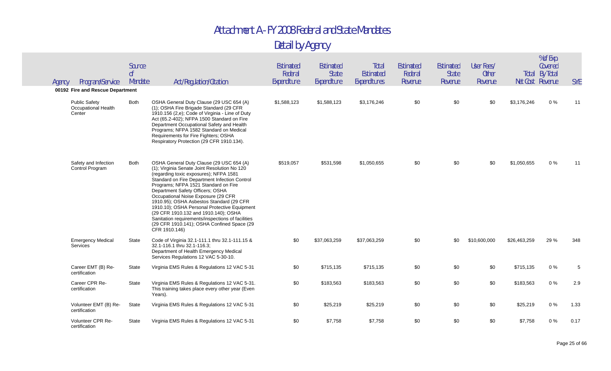| Program/Service<br>Agency                             | Source<br>0 <sup>f</sup><br>Mandate | Act/Regulation/Citation                                                                                                                                                                                                                                                                                                                                                                                                                                                                                                                                        | Estimated<br>Federal<br>Expenditure | Estimated<br><b>State</b><br>Expenditure | Total<br>Estimated<br>Expenditures | Estimated<br>Federal<br>Revenue | Estimated<br><b>State</b><br>Revenue | User Fees/<br><b>Other</b><br>Revenue |              | % of Exp.<br>Covered<br><b>Total By Total</b><br>Net Cost Revenue | <b>SYE</b> |
|-------------------------------------------------------|-------------------------------------|----------------------------------------------------------------------------------------------------------------------------------------------------------------------------------------------------------------------------------------------------------------------------------------------------------------------------------------------------------------------------------------------------------------------------------------------------------------------------------------------------------------------------------------------------------------|-------------------------------------|------------------------------------------|------------------------------------|---------------------------------|--------------------------------------|---------------------------------------|--------------|-------------------------------------------------------------------|------------|
| 00192 Fire and Rescue Department                      |                                     |                                                                                                                                                                                                                                                                                                                                                                                                                                                                                                                                                                |                                     |                                          |                                    |                                 |                                      |                                       |              |                                                                   |            |
| <b>Public Safety</b><br>Occupational Health<br>Center | Both                                | OSHA General Duty Clause (29 USC 654 (A)<br>(1); OSHA Fire Brigade Standard (29 CFR<br>1910.156 (2,e); Code of Virginia - Line of Duty<br>Act (65.2-402); NFPA 1500 Standard on Fire<br>Department Occupational Safety and Health<br>Programs; NFPA 1582 Standard on Medical<br>Requirements for Fire Fighters; OSHA<br>Respiratory Protection (29 CFR 1910.134).                                                                                                                                                                                              | \$1,588,123                         | \$1,588,123                              | \$3,176,246                        | \$0                             | \$0                                  | \$0                                   | \$3,176,246  | $0\%$                                                             | 11         |
| Safety and Infection<br>Control Program               | Both                                | OSHA General Duty Clause (29 USC 654 (A)<br>(1); Virginia Senate Joint Resolution No 120<br>(regarding toxic exposures); NFPA 1581<br>Standard on Fire Department Infection Control<br>Programs; NFPA 1521 Standard on Fire<br>Department Safety Officers; OSHA<br>Occupational Noise Exposure (29 CFR<br>1910.95); OSHA Asbestos Standard (29 CFR<br>1910.10); OSHA Personal Protective Equipment<br>(29 CFR 1910.132 and 1910.140); OSHA<br>Sanitation requirements/inspections of facilities<br>(29 CFR 1910.141); OSHA Confined Space (29<br>CFR 1910.146) | \$519,057                           | \$531,598                                | \$1,050,655                        | \$0                             | \$0                                  | \$0                                   | \$1,050,655  | 0%                                                                | 11         |
| <b>Emergency Medical</b><br>Services                  | State                               | Code of Virginia 32.1-111.1 thru 32.1-111.15 &<br>32.1-116.1 thru 32.1-116.3;<br>Department of Health Emergency Medical<br>Services Regulations 12 VAC 5-30-10.                                                                                                                                                                                                                                                                                                                                                                                                | \$0                                 | \$37,063,259                             | \$37,063,259                       | \$0                             | \$0                                  | \$10,600,000                          | \$26,463,259 | 29 %                                                              | 348        |
| Career EMT (B) Re-<br>certification                   | State                               | Virginia EMS Rules & Regulations 12 VAC 5-31                                                                                                                                                                                                                                                                                                                                                                                                                                                                                                                   | \$0                                 | \$715,135                                | \$715,135                          | \$0                             | \$0                                  | \$0                                   | \$715,135    | $0\%$                                                             | 5          |
| Career CPR Re-<br>certification                       | State                               | Virginia EMS Rules & Regulations 12 VAC 5-31.<br>This training takes place every other year (Even<br>Years).                                                                                                                                                                                                                                                                                                                                                                                                                                                   | \$0                                 | \$183,563                                | \$183,563                          | \$0                             | \$0                                  | \$0                                   | \$183,563    | $0\%$                                                             | 2.9        |
| Volunteer EMT (B) Re-<br>certification                | State                               | Virginia EMS Rules & Regulations 12 VAC 5-31                                                                                                                                                                                                                                                                                                                                                                                                                                                                                                                   | \$0                                 | \$25,219                                 | \$25,219                           | \$0                             | \$0                                  | \$0                                   | \$25,219     | $0\%$                                                             | 1.33       |
| Volunteer CPR Re-<br>certification                    | <b>State</b>                        | Virginia EMS Rules & Regulations 12 VAC 5-31                                                                                                                                                                                                                                                                                                                                                                                                                                                                                                                   | \$0                                 | \$7,758                                  | \$7,758                            | \$0                             | \$0                                  | \$0                                   | \$7,758      | $0\%$                                                             | 0.17       |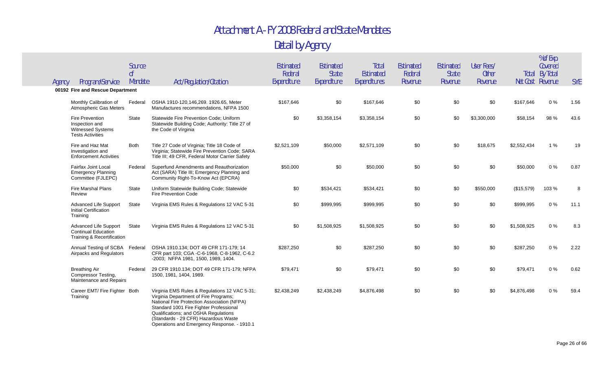|                                                                                                 | Source<br>0 <sup>f</sup> |                                                                                                                                                                                                                                                                                                                 | Estimated<br>Federal | Estimated<br><b>State</b> | Total<br>Estimated | Estimated<br>Federal | Estimated<br><b>State</b> | User Fees/<br><b>Other</b> |             | % of Exp.<br>Covered<br><b>Total By Total</b> |            |
|-------------------------------------------------------------------------------------------------|--------------------------|-----------------------------------------------------------------------------------------------------------------------------------------------------------------------------------------------------------------------------------------------------------------------------------------------------------------|----------------------|---------------------------|--------------------|----------------------|---------------------------|----------------------------|-------------|-----------------------------------------------|------------|
| Program/Service<br>Agency<br>00192 Fire and Rescue Department                                   | Mandate                  | Act/Regulation/Citation                                                                                                                                                                                                                                                                                         | Expenditure          | Expenditure               | Expenditures       | Revenue              | Revenue                   | Revenue                    |             | Net Cost Revenue                              | <b>SYE</b> |
| Monthly Calibration of<br><b>Atmospheric Gas Meters</b>                                         | Federal                  | OSHA 1910-120,146,269. 1926.65, Meter<br>Manufactures recommendations, NFPA 1500                                                                                                                                                                                                                                | \$167,646            | \$0                       | \$167,646          | \$0                  | \$0                       | \$0                        | \$167,646   | 0%                                            | 1.56       |
| <b>Fire Prevention</b><br>Inspection and<br><b>Witnessed Systems</b><br><b>Tests Activities</b> | State                    | Statewide Fire Prevention Code; Uniform<br>Statewide Building Code; Authority: Title 27 of<br>the Code of Virginia                                                                                                                                                                                              | \$0                  | \$3,358,154               | \$3,358,154        | \$0                  | \$0                       | \$3,300,000                | \$58,154    | 98 %                                          | 43.6       |
| Fire and Haz Mat<br>Investigation and<br><b>Enforcement Activities</b>                          | <b>Both</b>              | Title 27 Code of Virginia; Title 18 Code of<br>Virginia; Statewide Fire Prevention Code; SARA<br>Title III; 49 CFR, Federal Motor Carrier Safety                                                                                                                                                                | \$2,521,109          | \$50,000                  | \$2,571,109        | \$0                  | \$0                       | \$18,675                   | \$2,552,434 | 1%                                            | 19         |
| Fairfax Joint Local<br><b>Emergency Planning</b><br>Committee (FJLEPC)                          | Federal                  | Superfund Amendments and Reauthorization<br>Act (SARA) Title III; Emergency Planning and<br>Community Right-To-Know Act (EPCRA)                                                                                                                                                                                 | \$50,000             | \$0                       | \$50,000           | \$0                  | \$0                       | \$0                        | \$50,000    | 0%                                            | 0.87       |
| <b>Fire Marshal Plans</b><br>Review                                                             | <b>State</b>             | Uniform Statewide Building Code; Statewide<br><b>Fire Prevention Code</b>                                                                                                                                                                                                                                       | \$0                  | \$534,421                 | \$534,421          | \$0                  | \$0                       | \$550,000                  | (\$15,579)  | 103 %                                         | 8          |
| <b>Advanced Life Support</b><br><b>Initial Certification</b><br>Training                        | State                    | Virginia EMS Rules & Regulations 12 VAC 5-31                                                                                                                                                                                                                                                                    | \$0                  | \$999,995                 | \$999,995          | \$0                  | \$0                       | \$0                        | \$999,995   | $0\%$                                         | 11.1       |
| Advanced Life Support<br><b>Continual Education</b><br>Training & Recertification               | State                    | Virginia EMS Rules & Regulations 12 VAC 5-31                                                                                                                                                                                                                                                                    | \$0                  | \$1,508,925               | \$1,508,925        | \$0                  | \$0                       | \$0                        | \$1,508,925 | 0%                                            | 8.3        |
| Annual Testing of SCBA Federal<br>Airpacks and Regulators                                       |                          | OSHA 1910.134; DOT 49 CFR 171-179; 14<br>CFR part 103; CGA -C-6-1968, C-8-1962, C-6.2<br>-2003; NFPA 1981, 1500, 1989, 1404.                                                                                                                                                                                    | \$287,250            | \$0                       | \$287,250          | \$0                  | \$0                       | \$0                        | \$287,250   | $0\%$                                         | 2.22       |
| <b>Breathing Air</b><br><b>Compressor Testing,</b><br>Maintenance and Repairs                   | Federal                  | 29 CFR 1910.134; DOT 49 CFR 171-179; NFPA<br>1500, 1981, 1404, 1989.                                                                                                                                                                                                                                            | \$79,471             | \$0                       | \$79,471           | \$0                  | \$0                       | \$0                        | \$79,471    | $0\%$                                         | 0.62       |
| Career EMT/ Fire Fighter Both<br>Training                                                       |                          | Virginia EMS Rules & Regulations 12 VAC 5-31;<br>Virginia Department of Fire Programs;<br>National Fire Protection Association (NFPA)<br>Standard 1001 Fire Fighter Professional<br>Qualifications; and OSHA Regulations<br>(Standards - 29 CFR) Hazardous Waste<br>Operations and Emergency Response. - 1910.1 | \$2,438,249          | \$2,438,249               | \$4.876.498        | \$0                  | \$0                       | \$0                        | \$4,876,498 | 0%                                            | 59.4       |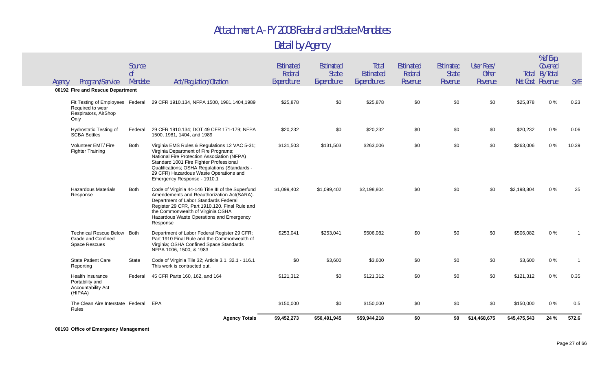#### Detail by Agency

|        |                                                                                      |                                     | <b>Agency Totals</b>                                                                                                                                                                                                                                                                                       | \$9,452,273                         | \$50,491,945                             | \$59,944,218                       | \$0                             | \$0                                  | \$14,468,675                          | \$45,475,543 | 24 %                                                 | 572.6      |
|--------|--------------------------------------------------------------------------------------|-------------------------------------|------------------------------------------------------------------------------------------------------------------------------------------------------------------------------------------------------------------------------------------------------------------------------------------------------------|-------------------------------------|------------------------------------------|------------------------------------|---------------------------------|--------------------------------------|---------------------------------------|--------------|------------------------------------------------------|------------|
|        | The Clean Aire Interstate Federal<br><b>Rules</b>                                    |                                     | <b>EPA</b>                                                                                                                                                                                                                                                                                                 | \$150,000                           | \$0                                      | \$150,000                          | \$0                             | \$0                                  | \$0                                   | \$150,000    | $0\%$                                                | 0.5        |
|        | <b>Health Insurance</b><br>Portability and<br>Accountability Act<br>(HIPAA)          | Federal                             | 45 CFR Parts 160, 162, and 164                                                                                                                                                                                                                                                                             | \$121,312                           | \$0                                      | \$121,312                          | \$0                             | \$0                                  | \$0                                   | \$121,312    | $0\%$                                                | 0.35       |
|        | <b>State Patient Care</b><br>Reporting                                               | State                               | Code of Virginia Tile 32; Article 3.1 32.1 - 116.1<br>This work is contracted out.                                                                                                                                                                                                                         | \$0                                 | \$3,600                                  | \$3,600                            | \$0                             | \$0                                  | \$0                                   | \$3,600      | $0\%$                                                |            |
|        | Technical Rescue Below Both<br><b>Grade and Confined</b><br><b>Space Rescues</b>     |                                     | Department of Labor Federal Register 29 CFR;<br>Part 1910 Final Rule and the Commonwealth of<br>Virginia; OSHA Confined Space Standards<br>NFPA 1006, 1500, & 1983                                                                                                                                         | \$253,041                           | \$253.041                                | \$506.082                          | \$0                             | \$0                                  | \$0                                   | \$506,082    | $0\%$                                                |            |
|        | <b>Hazardous Materials</b><br>Response                                               | <b>Both</b>                         | Code of Virginia 44-146 Title III of the Superfund<br>Amendements and Reauthorization Act(SARA).<br>Department of Labor Standards Federal<br>Register 29 CFR, Part 1910.120. Final Rule and<br>the Commonwealth of Virginia OSHA<br>Hazardous Waste Operations and Emergency<br>Response                   | \$1.099.402                         | \$1,099,402                              | \$2,198,804                        | \$0                             | \$0                                  | \$0                                   | \$2,198,804  | 0%                                                   | 25         |
|        | Volunteer EMT/ Fire<br><b>Fighter Training</b>                                       | Both                                | Virginia EMS Rules & Regulations 12 VAC 5-31;<br>Virginia Department of Fire Programs;<br>National Fire Protection Association (NFPA)<br>Standard 1001 Fire Fighter Professional<br>Qualifications; OSHA Regulations (Standards -<br>29 CFR) Hazardous Waste Operations and<br>Emergency Response - 1910.1 | \$131,503                           | \$131,503                                | \$263,006                          | \$0                             | \$0                                  | \$0                                   | \$263,006    | 0%                                                   | 10.39      |
|        | <b>Hydrostatic Testing of</b><br><b>SCBA Bottles</b>                                 | Federal                             | 29 CFR 1910.134; DOT 49 CFR 171-179; NFPA<br>1500, 1981, 1404, and 1989                                                                                                                                                                                                                                    | \$20,232                            | \$0                                      | \$20,232                           | \$0                             | \$0                                  | \$0                                   | \$20,232     | $0\%$                                                | 0.06       |
|        | Fit Testing of Employees Federal<br>Required to wear<br>Respirators, AirShop<br>Only |                                     | 29 CFR 1910.134, NFPA 1500, 1981, 1404, 1989                                                                                                                                                                                                                                                               | \$25,878                            | \$0                                      | \$25,878                           | \$0                             | \$0                                  | \$0                                   | \$25,878     | 0%                                                   | 0.23       |
|        | 00192 Fire and Rescue Department                                                     |                                     |                                                                                                                                                                                                                                                                                                            |                                     |                                          |                                    |                                 |                                      |                                       |              |                                                      |            |
| Agency | Program/Service                                                                      | Source<br>0 <sup>f</sup><br>Mandate | Act/Regulation/Citation                                                                                                                                                                                                                                                                                    | Estimated<br>Federal<br>Expenditure | Estimated<br><b>State</b><br>Expenditure | Total<br>Estimated<br>Expenditures | Estimated<br>Federal<br>Revenue | Estimated<br><b>State</b><br>Revenue | User Fees/<br><b>Other</b><br>Revenue |              | Covered<br><b>Total By Total</b><br>Net Cost Revenue | <b>SYE</b> |
|        |                                                                                      |                                     |                                                                                                                                                                                                                                                                                                            |                                     |                                          |                                    |                                 |                                      |                                       |              | % of Exp.                                            |            |

#### **00193 Office of Emergency Management**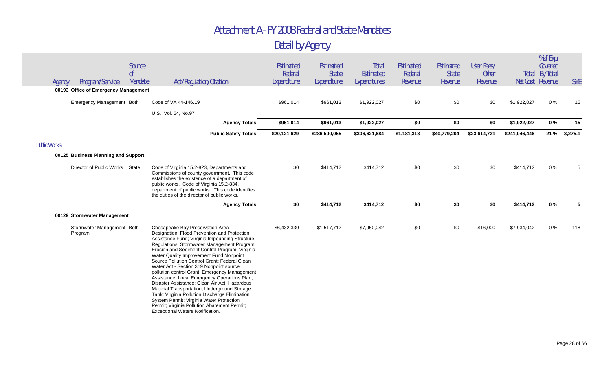| Agency              | Program/Service                       | Source<br>0f<br>Mandate | Act/Regulation/Citation                                                                                                                                                                                                                                                                                                                                                                                                                                                                                                                                                                                                                                                                                                                                        | <b>Estimated</b><br>Federal<br>Expenditure | Estimated<br><b>State</b><br>Expenditure | Total<br>Estimated<br>Expenditures | <b>Estimated</b><br>Federal<br>Revenue | Estimated<br><b>State</b><br>Revenue | User Fees/<br><b>Other</b><br>Revenue |               | % of Exp.<br>Covered<br>Total By Total<br>Net Cost Revenue | <b>SYE</b> |
|---------------------|---------------------------------------|-------------------------|----------------------------------------------------------------------------------------------------------------------------------------------------------------------------------------------------------------------------------------------------------------------------------------------------------------------------------------------------------------------------------------------------------------------------------------------------------------------------------------------------------------------------------------------------------------------------------------------------------------------------------------------------------------------------------------------------------------------------------------------------------------|--------------------------------------------|------------------------------------------|------------------------------------|----------------------------------------|--------------------------------------|---------------------------------------|---------------|------------------------------------------------------------|------------|
|                     | 00193 Office of Emergency Management  |                         |                                                                                                                                                                                                                                                                                                                                                                                                                                                                                                                                                                                                                                                                                                                                                                |                                            |                                          |                                    |                                        |                                      |                                       |               |                                                            |            |
|                     | Emergency Management Both             |                         | Code of VA 44-146.19                                                                                                                                                                                                                                                                                                                                                                                                                                                                                                                                                                                                                                                                                                                                           | \$961,014                                  | \$961,013                                | \$1,922,027                        | \$0                                    | \$0                                  | \$0                                   | \$1,922,027   | $0\%$                                                      | 15         |
|                     |                                       |                         | U.S. Vol. 54, No.97                                                                                                                                                                                                                                                                                                                                                                                                                                                                                                                                                                                                                                                                                                                                            |                                            |                                          |                                    |                                        |                                      |                                       |               |                                                            |            |
|                     |                                       |                         | <b>Agency Totals</b>                                                                                                                                                                                                                                                                                                                                                                                                                                                                                                                                                                                                                                                                                                                                           | \$961,014                                  | \$961,013                                | \$1,922,027                        | \$0                                    | \$0                                  | \$0                                   | \$1,922,027   | $0\%$                                                      | 15         |
|                     |                                       |                         | <b>Public Safety Totals</b>                                                                                                                                                                                                                                                                                                                                                                                                                                                                                                                                                                                                                                                                                                                                    | \$20,121,629                               | \$286,500,055                            | \$306,621,684                      | \$1,181,313                            | \$40,779,204                         | \$23,614,721                          | \$241,046,446 | 21 %                                                       | 3,275.1    |
| <b>Public Works</b> |                                       |                         |                                                                                                                                                                                                                                                                                                                                                                                                                                                                                                                                                                                                                                                                                                                                                                |                                            |                                          |                                    |                                        |                                      |                                       |               |                                                            |            |
|                     | 00125 Business Planning and Support   |                         |                                                                                                                                                                                                                                                                                                                                                                                                                                                                                                                                                                                                                                                                                                                                                                |                                            |                                          |                                    |                                        |                                      |                                       |               |                                                            |            |
|                     | Director of Public Works State        |                         | Code of Virginia 15.2-823, Departments and<br>Commissions of county government. This code<br>establishes the existence of a department of<br>public works. Code of Virginia 15.2-834,<br>department of public works. This code identifies<br>the duties of the director of public works.                                                                                                                                                                                                                                                                                                                                                                                                                                                                       | \$0                                        | \$414,712                                | \$414,712                          | \$0                                    | \$0                                  | \$0                                   | \$414,712     | $0\%$                                                      | 5          |
|                     |                                       |                         | <b>Agency Totals</b>                                                                                                                                                                                                                                                                                                                                                                                                                                                                                                                                                                                                                                                                                                                                           | \$0                                        | \$414,712                                | \$414,712                          | \$0                                    | \$0                                  | \$0                                   | \$414,712     | 0%                                                         | 5          |
|                     | 00129 Stormwater Management           |                         |                                                                                                                                                                                                                                                                                                                                                                                                                                                                                                                                                                                                                                                                                                                                                                |                                            |                                          |                                    |                                        |                                      |                                       |               |                                                            |            |
|                     | Stormwater Management Both<br>Program |                         | Chesapeake Bay Preservation Area<br>Designation; Flood Prevention and Protection<br>Assistance Fund; Virginia Impounding Structure<br>Regulations; Stormwater Management Program;<br>Erosion and Sediment Control Program; Virginia<br>Water Quality Improvement Fund Nonpoint<br>Source Pollution Control Grant; Federal Clean<br>Water Act - Section 319 Nonpoint source<br>pollution control Grant; Emergency Management<br>Assistance; Local Emergency Operations Plan;<br>Disaster Assistance; Clean Air Act; Hazardous<br>Material Transportation; Underground Storage<br>Tank; Virginia Pollution Discharge Elimination<br>System Permit; Virginia Water Protection<br>Permit; Virginia Pollution Abatement Permit;<br>Exceptional Waters Notification. | \$6,432,330                                | \$1,517,712                              | \$7,950,042                        | \$0                                    | \$0                                  | \$16,000                              | \$7,934,042   | $0\%$                                                      | 118        |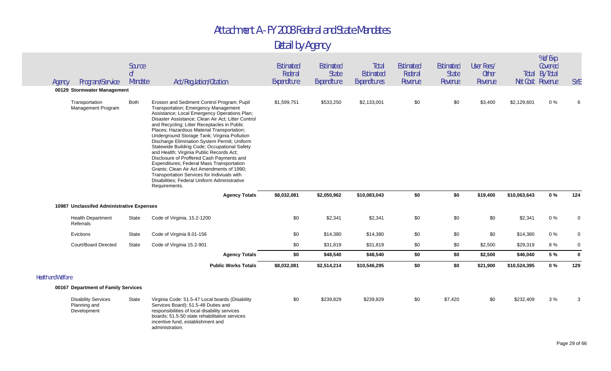| Agency                    | Program/Service                                           | Source<br>0 <sup>f</sup><br>Mandate | Act/Regulation/Citation                                                                                                                                                                                                                                                                                                                                                                                                                                                                                                                                                                                                                                                                                                                   | <b>Estimated</b><br>Federal<br>Expenditure | Estimated<br><b>State</b><br>Expenditure | Total<br>Estimated<br>Expenditures | <b>Estimated</b><br>Federal<br>Revenue | Estimated<br><b>State</b><br>Revenue | User Fees/<br><b>Other</b><br>Revenue |              | % of Exp.<br>Covered<br><b>Total By Total</b><br>Net Cost Revenue | <b>SYE</b>  |
|---------------------------|-----------------------------------------------------------|-------------------------------------|-------------------------------------------------------------------------------------------------------------------------------------------------------------------------------------------------------------------------------------------------------------------------------------------------------------------------------------------------------------------------------------------------------------------------------------------------------------------------------------------------------------------------------------------------------------------------------------------------------------------------------------------------------------------------------------------------------------------------------------------|--------------------------------------------|------------------------------------------|------------------------------------|----------------------------------------|--------------------------------------|---------------------------------------|--------------|-------------------------------------------------------------------|-------------|
|                           | 00129 Stormwater Management                               |                                     |                                                                                                                                                                                                                                                                                                                                                                                                                                                                                                                                                                                                                                                                                                                                           |                                            |                                          |                                    |                                        |                                      |                                       |              |                                                                   |             |
|                           | Transportation<br>Management Program                      | Both                                | Erosion and Sediment Control Program; Pupil<br>Transportation; Emergency Management<br>Assistance; Local Emergency Operations Plan;<br>Disaster Assistance; Clean Air Act; Litter Control<br>and Recycling; Litter Receptacles in Public<br>Places; Hazardous Material Transportation;<br>Underground Storage Tank; Virginia Pollution<br>Discharge Elimination System Permit; Uniform<br>Statewide Building Code; Occupational Safety<br>and Health; Virginia Public Records Act;<br>Disclosure of Proffered Cash Payments and<br>Expenditures; Federal Mass Transportation<br>Grants; Clean Air Act Amendments of 1990;<br>Transportation Services for Indiviuals with<br>Disabilities; Federal Uniform Administrative<br>Requirements. | \$1,599,751                                | \$533,250                                | \$2,133,001                        | \$0                                    | \$0                                  | \$3,400                               | \$2,129,601  | $0\%$                                                             |             |
|                           |                                                           |                                     | <b>Agency Totals</b>                                                                                                                                                                                                                                                                                                                                                                                                                                                                                                                                                                                                                                                                                                                      | \$8,032,081                                | \$2,050,962                              | \$10,083,043                       | \$0                                    | \$0                                  | \$19,400                              | \$10,063,643 | 0%                                                                | 124         |
|                           | 10987 Unclassifed Administrative Expenses                 |                                     |                                                                                                                                                                                                                                                                                                                                                                                                                                                                                                                                                                                                                                                                                                                                           |                                            |                                          |                                    |                                        |                                      |                                       |              |                                                                   |             |
|                           | <b>Health Department</b><br>Referrals                     | State                               | Code of Virginia, 15.2-1200                                                                                                                                                                                                                                                                                                                                                                                                                                                                                                                                                                                                                                                                                                               | \$0                                        | \$2,341                                  | \$2,341                            | \$0                                    | \$0                                  | \$0                                   | \$2,341      | $0\%$                                                             | $\Omega$    |
|                           | Evictions                                                 | State                               | Code of Virginia 8.01-156                                                                                                                                                                                                                                                                                                                                                                                                                                                                                                                                                                                                                                                                                                                 | \$0                                        | \$14,380                                 | \$14,380                           | \$0                                    | \$0                                  | \$0                                   | \$14,380     | $0\%$                                                             | 0           |
|                           | Court/Board Directed                                      | State                               | Code of Virginia 15.2-901                                                                                                                                                                                                                                                                                                                                                                                                                                                                                                                                                                                                                                                                                                                 | \$0                                        | \$31,819                                 | \$31,819                           | \$0                                    | \$0                                  | \$2,500                               | \$29,319     | 8%                                                                | $\Omega$    |
|                           |                                                           |                                     | <b>Agency Totals</b>                                                                                                                                                                                                                                                                                                                                                                                                                                                                                                                                                                                                                                                                                                                      | \$0                                        | \$48,540                                 | \$48,540                           | \$0                                    | \$0                                  | \$2,500                               | \$46,040     | 5 %                                                               | $\mathbf 0$ |
|                           |                                                           |                                     | <b>Public Works Totals</b>                                                                                                                                                                                                                                                                                                                                                                                                                                                                                                                                                                                                                                                                                                                | \$8,032,081                                | \$2,514,214                              | \$10,546,295                       | \$0                                    | \$0                                  | \$21,900                              | \$10,524,395 | 0%                                                                | 129         |
| <b>Health and Welfare</b> |                                                           |                                     |                                                                                                                                                                                                                                                                                                                                                                                                                                                                                                                                                                                                                                                                                                                                           |                                            |                                          |                                    |                                        |                                      |                                       |              |                                                                   |             |
|                           | 00167 Department of Family Services                       |                                     |                                                                                                                                                                                                                                                                                                                                                                                                                                                                                                                                                                                                                                                                                                                                           |                                            |                                          |                                    |                                        |                                      |                                       |              |                                                                   |             |
|                           | <b>Disability Services</b><br>Planning and<br>Development | State                               | Virginia Code: 51.5-47 Local boards (Disability<br>Services Board); 51.5-48 Duties and<br>responsibilities of local disability services<br>boards; 51.5-50 state rehabilitative services<br>incentive fund, establishment and<br>administration.                                                                                                                                                                                                                                                                                                                                                                                                                                                                                          | \$0                                        | \$239,829                                | \$239,829                          | \$0                                    | \$7,420                              | \$0                                   | \$232,409    | 3%                                                                | 3           |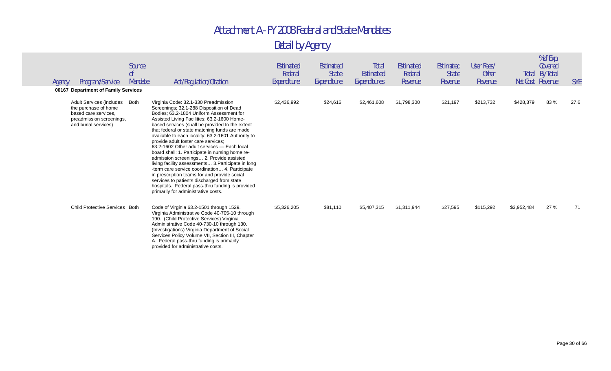| Agency | Program/Service<br>00167 Department of Family Services                                                                            | Source<br><sub>0</sub> f<br>Mandate | Act/Regulation/Citation                                                                                                                                                                                                                                                                                                                                                                                                                                                                                                                                                                                                                                                                                                                                                                                                     | Estimated<br>Federal<br>Expenditure | Estimated<br><b>State</b><br>Expenditure | Total<br>Estimated<br>Expenditures | <b>Estimated</b><br>Federal<br>Revenue | <b>Estimated</b><br><b>State</b><br>Revenue | User Fees/<br><b>Other</b><br>Revenue | Net Cost Revenue | % of Exp.<br>Covered<br><b>Total By Total</b> | <b>SYE</b> |
|--------|-----------------------------------------------------------------------------------------------------------------------------------|-------------------------------------|-----------------------------------------------------------------------------------------------------------------------------------------------------------------------------------------------------------------------------------------------------------------------------------------------------------------------------------------------------------------------------------------------------------------------------------------------------------------------------------------------------------------------------------------------------------------------------------------------------------------------------------------------------------------------------------------------------------------------------------------------------------------------------------------------------------------------------|-------------------------------------|------------------------------------------|------------------------------------|----------------------------------------|---------------------------------------------|---------------------------------------|------------------|-----------------------------------------------|------------|
|        | Adult Services (includes Both<br>the purchase of home<br>based care services.<br>preadmission screenings,<br>and burial services) |                                     | Virginia Code: 32.1-330 Preadmission<br>Screenings; 32.1-288 Disposition of Dead<br>Bodies: 63.2-1804 Uniform Assessment for<br>Assisted Living Facilities; 63.2-1600 Home-<br>based services (shall be provided to the extent<br>that federal or state matching funds are made<br>available to each locality; 63.2-1601 Authority to<br>provide adult foster care services;<br>63.2-1602 Other adult services - Each local<br>board shall: 1. Participate in nursing home re-<br>admission screenings 2. Provide assisted<br>living facility assessments 3. Participate in long<br>-term care service coordination 4. Participate<br>in prescription teams for and provide social<br>services to patients discharged from state<br>hospitals. Federal pass-thru funding is provided<br>primarily for administrative costs. | \$2,436,992                         | \$24,616                                 | \$2,461,608                        | \$1,798,300                            | \$21,197                                    | \$213,732                             | \$428,379        | 83%                                           | 27.6       |
|        | Child Protective Services Both                                                                                                    |                                     | Code of Virginia 63.2-1501 through 1529.<br>Virginia Administrative Code 40-705-10 through<br>190. (Child Protective Services) Virginia<br>Administrative Code 40-730-10 through 130.<br>(Investigations) Virginia Department of Social<br>Services Policy Volume VII, Section III, Chapter<br>A. Federal pass-thru funding is primarily<br>provided for administrative costs.                                                                                                                                                                                                                                                                                                                                                                                                                                              | \$5,326,205                         | \$81,110                                 | \$5,407,315                        | \$1,311,944                            | \$27,595                                    | \$115,292                             | \$3,952,484      | 27 %                                          | 71         |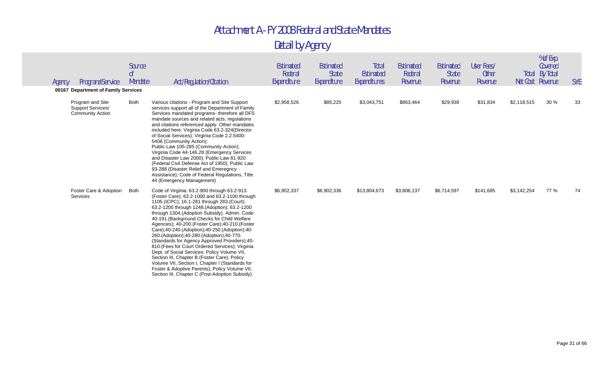| Agency | Program/Service                                                  | Source<br>0 <sup>f</sup><br>Mandate | Act/Regulation/Citation                                                                                                                                                                                                                                                                                                                                                                                                                                                                                                                                                                                                                                                                                                                                                                                      | <b>Estimated</b><br>Federal<br>Expenditure | Estimated<br>State<br>Expenditure | Total<br>Estimated<br>Expenditures | Estimated<br>Federal<br>Revenue | <b>Estimated</b><br><b>State</b><br>Revenue | User Fees/<br><b>Other</b><br>Revenue | Total<br>Net Cost Revenue | % of Exp.<br>Covered<br>By Total | <b>SYE</b> |
|--------|------------------------------------------------------------------|-------------------------------------|--------------------------------------------------------------------------------------------------------------------------------------------------------------------------------------------------------------------------------------------------------------------------------------------------------------------------------------------------------------------------------------------------------------------------------------------------------------------------------------------------------------------------------------------------------------------------------------------------------------------------------------------------------------------------------------------------------------------------------------------------------------------------------------------------------------|--------------------------------------------|-----------------------------------|------------------------------------|---------------------------------|---------------------------------------------|---------------------------------------|---------------------------|----------------------------------|------------|
|        | 00167 Department of Family Services                              |                                     |                                                                                                                                                                                                                                                                                                                                                                                                                                                                                                                                                                                                                                                                                                                                                                                                              |                                            |                                   |                                    |                                 |                                             |                                       |                           |                                  |            |
|        | Program and Site<br>Support Services/<br><b>Community Action</b> | <b>Both</b>                         | Various citations - Program and Site Support<br>services support all of the Department of Family<br>Services mandated programs- therefore all DFS<br>mandate sources and related acts, regulations<br>and citations referenced apply. Other mandates<br>included here: Virginia Code 63.2-324 (Director<br>of Social Services); Virginia Code 2.2.5400-<br>5408 (Community Action);<br>Public Law 105-285 (Community Action);<br>Virginia Code 44-146.28 (Emergency Services<br>and Disaster Law 2000); Public Law 81-920<br>(Federal Civil Defense Act of 1950); Public Law<br>93-288 (Disaster Relief and Emeregncy<br>Assistance); Code of Federal Regulations, Title<br>44 (Emergency Management)                                                                                                        | \$2,958,526                                | \$85,225                          | \$3,043,751                        | \$863,464                       | \$29,938                                    | \$31,834                              | \$2,118,515               | 30%                              | 33         |
|        | Foster Care & Adoption<br>Services                               | <b>Both</b>                         | Code of Virginia: 63.2-900 through 63.2-913.<br>(Foster Care); 63.2-1000 and 63.2-1100 through<br>1105.(ICPC); 16.1-281 through 283.(Court);<br>63.2-1200 through 1248.(Adoption); 63.2-1200<br>through 1304. (Adoption Subsidy). Admin. Code:<br>40-191. (Background Checks for Child Welfare<br>Agencies); 40-200. (Foster Care); 40-210. (Foster<br>Care);40-240.(Adoption);40-250.(Adoption);40-<br>260.(Adoption);40-280.(Adoption);40-770.<br>(Standards for Agency Approved Providers);40-<br>810.(Fees for Court Ordered Services); Virginia<br>Dept. of Social Services: Policy Volume VII,<br>Section III, Chapter B (Foster Care); Policy<br>Volume VII, Section I, Chapter I (Standards for<br>Foster & Adoptive Parents); Policy Volume VII,<br>Section III, Chapter C (Post-Adoption Subsidy). | \$6,902,337                                | \$6,902,336                       | \$13,804,673                       | \$3,806,137                     | \$6,714,597                                 | \$141,685                             | \$3,142,254               | 77 %                             | 74         |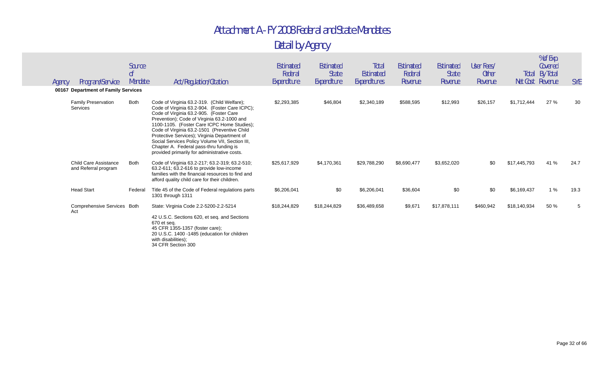| Program/Service<br>Agency                                         | Source<br><sub>of</sub><br>Mandate | Act/Regulation/Citation                                                                                                                                                                                                                                                                                                                                                                                                               | Estimated<br>Federal<br>Expenditure | Estimated<br><b>State</b><br>Expenditure | Total<br>Estimated<br>Expenditures | Estimated<br>Federal<br>Revenue | <b>Estimated</b><br><b>State</b><br>Revenue | User Fees/<br><b>Other</b><br>Revenue |              | % of Exp.<br>Covered<br>Total By Total<br>Net Cost Revenue | <b>SYE</b> |
|-------------------------------------------------------------------|------------------------------------|---------------------------------------------------------------------------------------------------------------------------------------------------------------------------------------------------------------------------------------------------------------------------------------------------------------------------------------------------------------------------------------------------------------------------------------|-------------------------------------|------------------------------------------|------------------------------------|---------------------------------|---------------------------------------------|---------------------------------------|--------------|------------------------------------------------------------|------------|
| 00167 Department of Family Services<br><b>Family Preservation</b> | <b>Both</b>                        | Code of Virginia 63.2-319. (Child Welfare);                                                                                                                                                                                                                                                                                                                                                                                           | \$2,293,385                         | \$46,804                                 | \$2,340,189                        | \$588,595                       | \$12,993                                    | \$26,157                              | \$1,712,444  | 27 %                                                       | 30         |
| Services                                                          |                                    | Code of Virginia 63.2-904. (Foster Care ICPC);<br>Code of Virginia 63.2-905. (Foster Care<br>Prevention); Code of Virginia 63.2-1000 and<br>1100-1105. (Foster Care ICPC Home Studies);<br>Code of Virginia 63.2-1501 (Preventive Child<br>Protective Services); Virginia Department of<br>Social Services Policy Volume VII, Section III,<br>Chapter A. Federal pass-thru funding is<br>provided primarily for administrative costs. |                                     |                                          |                                    |                                 |                                             |                                       |              |                                                            |            |
| <b>Child Care Assistance</b><br>and Referral program              | Both                               | Code of Virginia 63.2-217; 63.2-319; 63.2-510;<br>63.2-611; 63.2-616 to provide low-income<br>families with the financial resources to find and<br>afford quality child care for their children.                                                                                                                                                                                                                                      | \$25,617,929                        | \$4,170,361                              | \$29,788,290                       | \$8,690,477                     | \$3,652,020                                 | \$0                                   | \$17,445,793 | 41 %                                                       | 24.7       |
| <b>Head Start</b>                                                 | Federal                            | Title 45 of the Code of Federal regulations parts<br>1301 through 1311                                                                                                                                                                                                                                                                                                                                                                | \$6,206,041                         | \$0                                      | \$6,206,041                        | \$36,604                        | \$0                                         | \$0                                   | \$6,169,437  | 1%                                                         | 19.3       |
| Comprehensive Services Both<br>Act                                |                                    | State: Virginia Code 2.2-5200-2.2-5214<br>42 U.S.C. Sections 620, et seq. and Sections<br>670 et seq.<br>45 CFR 1355-1357 (foster care);<br>20 U.S.C. 1400 -1485 (education for children<br>with disabilities);<br>34 CFR Section 300                                                                                                                                                                                                 | \$18,244,829                        | \$18,244,829                             | \$36,489,658                       | \$9,671                         | \$17,878,111                                | \$460,942                             | \$18,140,934 | 50 %                                                       |            |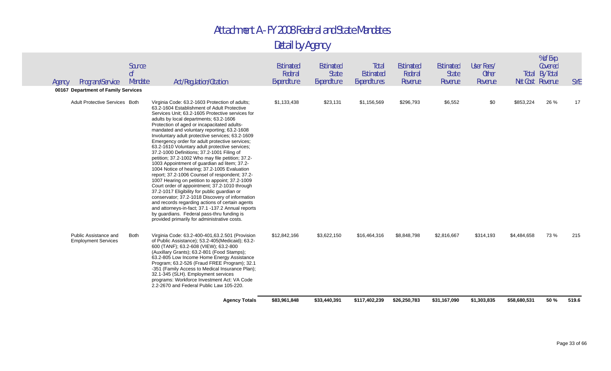|        |                                                     |                                     | <b>Agency Totals</b>                                                                                                                                                                                                                                                                                                                                                                                                                                                                                                                                                                                                                                                                                                                                                                                                                                                                                                                                                                                                                                                                                              | \$83,961,848                        | \$33,440,391                             | \$117,402,239                      | \$26,250,783                           | \$31,167,090                         | \$1,303,835                           | \$58,680,531 | 50 %                                                 | 519.6      |
|--------|-----------------------------------------------------|-------------------------------------|-------------------------------------------------------------------------------------------------------------------------------------------------------------------------------------------------------------------------------------------------------------------------------------------------------------------------------------------------------------------------------------------------------------------------------------------------------------------------------------------------------------------------------------------------------------------------------------------------------------------------------------------------------------------------------------------------------------------------------------------------------------------------------------------------------------------------------------------------------------------------------------------------------------------------------------------------------------------------------------------------------------------------------------------------------------------------------------------------------------------|-------------------------------------|------------------------------------------|------------------------------------|----------------------------------------|--------------------------------------|---------------------------------------|--------------|------------------------------------------------------|------------|
|        | Public Assistance and<br><b>Employment Services</b> | Both                                | Virginia Code: 63.2-400-401,63.2.501 (Provision<br>of Public Assistance); 53.2-405(Medicaid); 63.2-<br>600 (TANF); 63.2-608 (VIEW); 63.2-800<br>(Auxillary Grants); 63.2-801 (Food Stamps);<br>63.2-805 Low Income Home Energy Assistance<br>Program; 63.2-526 (Fraud FREE Program); 32.1<br>-351 (Family Access to Medical Insurance Plan);<br>32.1-345 (SLH). Employment services<br>programs: Workforce Investment Act: VA Code<br>2.2-2670 and Federal Public Law 105-220.                                                                                                                                                                                                                                                                                                                                                                                                                                                                                                                                                                                                                                    | \$12,842,166                        | \$3,622,150                              | \$16,464,316                       | \$8,848,798                            | \$2,816,667                          | \$314,193                             | \$4,484,658  | 73 %                                                 | 215        |
|        | <b>Adult Protective Services Both</b>               |                                     | Virginia Code: 63.2-1603 Protection of adults;<br>63.2-1604 Establishment of Adult Protective<br>Services Unit; 63.2-1605 Protective services for<br>adults by local departments; 63.2-1606<br>Protection of aged or incapacitated adults-<br>mandated and voluntary reporting; 63.2-1608<br>Involuntary adult protective services; 63.2-1609<br>Emergency order for adult protective services;<br>63.2-1610 Voluntary adult protective services;<br>37.2-1000 Definitions; 37.2-1001 Filing of<br>petition; 37.2-1002 Who may file petition; 37.2-<br>1003 Appointment of guardian ad litem; 37.2-<br>1004 Notice of hearing; 37.2-1005 Evaluation<br>report; 37.2-1006 Counsel of respondent; 37.2-<br>1007 Hearing on petition to appoint; 37.2-1009<br>Court order of appointment; 37.2-1010 through<br>37.2-1017 Eligibility for public guardian or<br>conservator; 37.2-1018 Discovery of information<br>and records regarding actions of certain agents<br>and attorneys-in-fact; 37.1 -137.2 Annual reports<br>by guardians. Federal pass-thru funding is<br>provided primarily for administrative costs. | \$1,133,438                         | \$23,131                                 | \$1,156,569                        | \$296,793                              | \$6,552                              | \$0                                   | \$853,224    | 26 %                                                 | 17         |
|        | 00167 Department of Family Services                 |                                     |                                                                                                                                                                                                                                                                                                                                                                                                                                                                                                                                                                                                                                                                                                                                                                                                                                                                                                                                                                                                                                                                                                                   |                                     |                                          |                                    |                                        |                                      |                                       |              |                                                      |            |
| Agency | Program/Service                                     | Source<br>0 <sup>f</sup><br>Mandate | Act/Regulation/Citation                                                                                                                                                                                                                                                                                                                                                                                                                                                                                                                                                                                                                                                                                                                                                                                                                                                                                                                                                                                                                                                                                           | Estimated<br>Federal<br>Expenditure | Estimated<br><b>State</b><br>Expenditure | Total<br>Estimated<br>Expenditures | <b>Estimated</b><br>Federal<br>Revenue | Estimated<br><b>State</b><br>Revenue | User Fees/<br><b>Other</b><br>Revenue |              | Covered<br><b>Total By Total</b><br>Net Cost Revenue | <b>SYE</b> |
|        |                                                     |                                     |                                                                                                                                                                                                                                                                                                                                                                                                                                                                                                                                                                                                                                                                                                                                                                                                                                                                                                                                                                                                                                                                                                                   |                                     |                                          |                                    |                                        |                                      |                                       |              | % of Exp.                                            |            |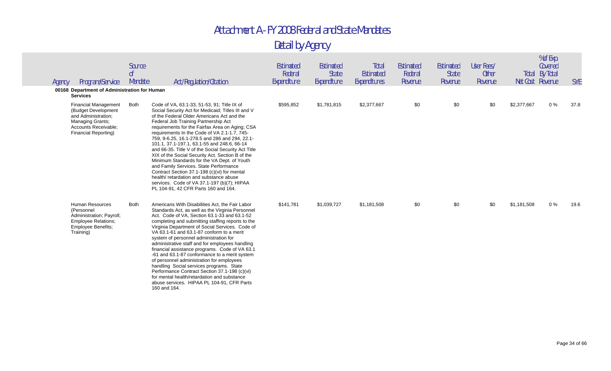| Agency | Program/Service<br>00168 Department of Administration for Human<br><b>Services</b>                                                                   | Source<br>0 <sup>f</sup><br>Mandate | Act/Regulation/Citation                                                                                                                                                                                                                                                                                                                                                                                                                                                                                                                                                                                                                                                                                                                                                          | <b>Estimated</b><br>Federal<br>Expenditure | Estimated<br><b>State</b><br>Expenditure | Total<br>Estimated<br>Expenditures | <b>Estimated</b><br>Federal<br>Revenue | Estimated<br><b>State</b><br>Revenue | User Fees/<br><b>Other</b><br>Revenue |             | % of Exp.<br>Covered<br><b>Total By Total</b><br>Net Cost Revenue | <b>SYE</b> |
|--------|------------------------------------------------------------------------------------------------------------------------------------------------------|-------------------------------------|----------------------------------------------------------------------------------------------------------------------------------------------------------------------------------------------------------------------------------------------------------------------------------------------------------------------------------------------------------------------------------------------------------------------------------------------------------------------------------------------------------------------------------------------------------------------------------------------------------------------------------------------------------------------------------------------------------------------------------------------------------------------------------|--------------------------------------------|------------------------------------------|------------------------------------|----------------------------------------|--------------------------------------|---------------------------------------|-------------|-------------------------------------------------------------------|------------|
|        | <b>Financial Management</b><br>(Budget Development<br>and Administration;<br>Managing Grants;<br>Accounts Receivable;<br><b>Financial Reporting)</b> | Both                                | Code of VA, 63.1-33, 51-53, 91; Title IX of<br>Social Security Act for Medicaid; Titles III and V<br>of the Federal Older Americans Act and the<br>Federal Job Training Partnership Act<br>requirements for the Fairfax Area on Aging; CSA<br>requirements In the Code of VA 2.1-1.7, 745-<br>759, 9-6.25, 16.1-278.5 and 286 and 294, 22.1-<br>101.1, 37.1-197.1, 63.1-55 and 248.6, 66-14<br>and 66-35. Title V of the Social Security Act Title<br>XIX of the Social Security Act. Section B of the<br>Minimum Standards for the VA Dept. of Youth<br>and Family Services. State Performance<br>Contract Section 37.1-198 (c)(vi) for mental<br>health/retardation and substance abuse<br>services. Code of VA 37.1-197 (b)(7); HIPAA<br>PL 104-91, 42 CFR Parts 160 and 164. | \$595,852                                  | \$1,781,815                              | \$2,377,667                        | \$0                                    | \$0                                  | \$0                                   | \$2,377,667 | $0\%$                                                             | 37.8       |
|        | <b>Human Resources</b><br>(Personnel<br>Administration; Payroll;<br><b>Employee Relations:</b><br>Employee Benefits;<br>Training)                    | <b>Both</b>                         | Americans With Disabilities Act, the Fair Labor<br>Standards Act, as well as the Virginia Personnel<br>Act. Code of VA, Section 63.1-33 and 63.1-52<br>completing and submitting staffing reports to the<br>Virginia Department of Social Services. Code of<br>VA 63.1-61 and 63.1-87 conform to a merit<br>system of personnel administration for<br>administrative staff and for employees handling<br>financial assistance programs. Code of VA 63.1<br>-61 and 63.1-87 conformance to a merit system<br>of personnel administration for employees<br>handling Social services programs. State<br>Performance Contract Section 37.1-198 (c)(vi)<br>for mental health/retardation and substance<br>abuse services. HIPAA PL 104-91, CFR Parts<br>160 and 164.                  | \$141,781                                  | \$1,039,727                              | \$1,181,508                        | \$0                                    | \$0                                  | \$0                                   | \$1,181,508 | $0\%$                                                             | 19.6       |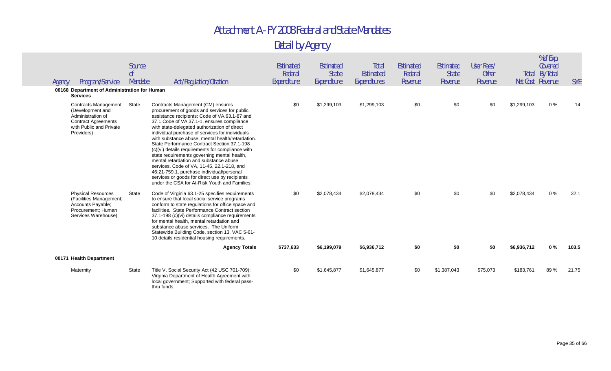| Agency | Program/Service<br>00168 Department of Administration for Human                                                                                                | Source<br>0 <sup>f</sup><br>Mandate | Act/Regulation/Citation                                                                                                                                                                                                                                                                                                                                                                                                                                                                                                                                                                                                                                                                                                            | Estimated<br>Federal<br>Expenditure | Estimated<br><b>State</b><br>Expenditure | Total<br><b>Estimated</b><br>Expenditures | Estimated<br>Federal<br>Revenue | Estimated<br><b>State</b><br>Revenue | User Fees/<br><b>Other</b><br>Revenue |             | % of Exp.<br>Covered<br><b>Total By Total</b><br>Net Cost Revenue | <b>SYE</b> |
|--------|----------------------------------------------------------------------------------------------------------------------------------------------------------------|-------------------------------------|------------------------------------------------------------------------------------------------------------------------------------------------------------------------------------------------------------------------------------------------------------------------------------------------------------------------------------------------------------------------------------------------------------------------------------------------------------------------------------------------------------------------------------------------------------------------------------------------------------------------------------------------------------------------------------------------------------------------------------|-------------------------------------|------------------------------------------|-------------------------------------------|---------------------------------|--------------------------------------|---------------------------------------|-------------|-------------------------------------------------------------------|------------|
|        | <b>Services</b><br><b>Contracts Management</b><br>(Development and<br>Administration of<br><b>Contract Agreements</b><br>with Public and Private<br>Providers) | State                               | Contracts Management (CM) ensures<br>procurement of goods and services for public<br>assistance recipients: Code of VA,63.1-87 and<br>37.1. Code of VA 37.1-1, ensures compliance<br>with state-delegated authorization of direct<br>individual purchase of services for individuals<br>with substance abuse, mental health/retardation.<br>State Performance Contract Section 37.1-198<br>(c)(vi) details requirements for compliance with<br>state requirements governing mental health,<br>mental retardation and substance abuse<br>services. Code of VA, 11-45, 22.1-218, and<br>46:21-759.1, purchase individual/personal<br>services or goods for direct use by recipients<br>under the CSA for At-Risk Youth and Families. | \$0                                 | \$1,299,103                              | \$1,299,103                               | \$0                             | \$0                                  | \$0                                   | \$1,299,103 | $0\%$                                                             | 14         |
|        | <b>Physical Resources</b><br>(Facilities Management;<br>Accounts Payable;<br>Procurement: Human<br>Services Warehouse)                                         | State                               | Code of Virginia 63.1-25 specifies requirements<br>to ensure that local social service programs<br>conform to state regulations for office space and<br>facilities. State Performance Contract section<br>37.1-198 (c)(vi) details compliance requirements<br>for mental health, mental retardation and<br>substance abuse services. The Uniform<br>Statewide Building Code, section 13, VAC 5-61-<br>10 details residential housing requirements.                                                                                                                                                                                                                                                                                 | \$0                                 | \$2,078,434                              | \$2,078,434                               | \$0                             | \$0                                  | \$0                                   | \$2,078,434 | $0\%$                                                             | 32.1       |
|        |                                                                                                                                                                |                                     | <b>Agency Totals</b>                                                                                                                                                                                                                                                                                                                                                                                                                                                                                                                                                                                                                                                                                                               | \$737,633                           | \$6,199,079                              | \$6,936,712                               | \$0                             | \$0                                  | \$0                                   | \$6,936,712 | $0\%$                                                             | 103.5      |
|        | 00171 Health Department                                                                                                                                        |                                     |                                                                                                                                                                                                                                                                                                                                                                                                                                                                                                                                                                                                                                                                                                                                    |                                     |                                          |                                           |                                 |                                      |                                       |             |                                                                   |            |
|        | Maternity                                                                                                                                                      | State                               | Title V, Social Security Act (42 USC 701-709);<br>Virginia Department of Health Agreement with<br>local government; Supported with federal pass-<br>thru funds.                                                                                                                                                                                                                                                                                                                                                                                                                                                                                                                                                                    | \$0                                 | \$1,645,877                              | \$1,645,877                               | \$0                             | \$1,387,043                          | \$75,073                              | \$183,761   | 89%                                                               | 21.75      |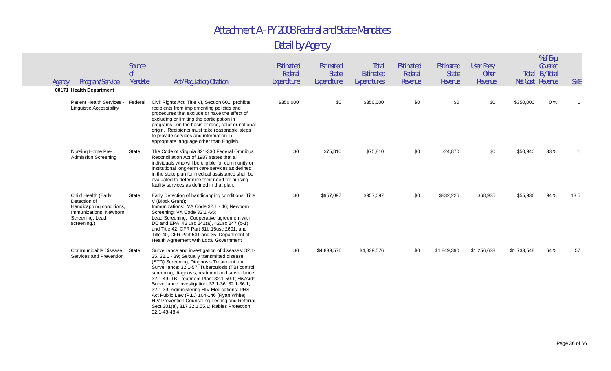| Agency | Program/Service<br>00171 Health Department                                                                                  | Source<br>0 <sup>f</sup><br>Mandate | Act/Regulation/Citation                                                                                                                                                                                                                                                                                                                                                                                                                                                                                                                                                         | Estimated<br>Federal<br>Expenditure | Estimated<br><b>State</b><br>Expenditure | Total<br><b>Estimated</b><br>Expenditures | <b>Estimated</b><br>Federal<br>Revenue | Estimated<br><b>State</b><br>Revenue | User Fees/<br><b>Other</b><br>Revenue | Net Cost Revenue | % of Exp.<br>Covered<br>Total By Total | <b>SYE</b> |
|--------|-----------------------------------------------------------------------------------------------------------------------------|-------------------------------------|---------------------------------------------------------------------------------------------------------------------------------------------------------------------------------------------------------------------------------------------------------------------------------------------------------------------------------------------------------------------------------------------------------------------------------------------------------------------------------------------------------------------------------------------------------------------------------|-------------------------------------|------------------------------------------|-------------------------------------------|----------------------------------------|--------------------------------------|---------------------------------------|------------------|----------------------------------------|------------|
|        | Patient Health Services -<br><b>Linguistic Accessibility</b>                                                                | Federal                             | Civil Rights Act, Title VI, Section 601: prohibts<br>recipients from implementing policies and<br>procedures that exclude or have the effect of<br>excluding or limiting the participation in<br>programson the basis of race, color or national<br>origin. Recipients must take reasonable steps<br>to provide services and information in<br>appropriate language other than English.                                                                                                                                                                                         | \$350,000                           | \$0                                      | \$350,000                                 | \$0                                    | \$0                                  | \$0                                   | \$350,000        | $0\%$                                  |            |
|        | Nursing Home Pre-<br><b>Admission Screening</b>                                                                             | State                               | The Code of Virginia 321-330 Federal Omnibus<br>Reconciliation Act of 1987 states that all<br>individuals who will be eligible for community or<br>institutional long-term care services as defined<br>in the state plan for medical assistance shall be<br>evaluated to determine their need for nursing<br>facility services as defined in that plan.                                                                                                                                                                                                                         | \$0                                 | \$75,810                                 | \$75,810                                  | \$0                                    | \$24,870                             | \$0                                   | \$50,940         | 33 %                                   |            |
|        | Child Health (Early<br>Detection of<br>Handicapping conditions,<br>Immunizations, Newborn<br>Screening; Lead<br>screening.) | State                               | Early Detection of handicapping conditions: Title<br>V (Block Grant);<br>Immunizations: VA Code 32.1 - 46; Newborn<br>Screening: VA Code 32.1 -65;<br>Lead Screening: Cooperative agreement with<br>DC and EPA; 42 usc 241(a), 42usc 247 (b-1)<br>and Title 42, CFR Part 51b, 15usc 2601, and<br>Title 40, CFR Part 531 and 35; Department of<br>Health Agreement with Local Government                                                                                                                                                                                         | \$0                                 | \$957,097                                | \$957,097                                 | \$0                                    | \$832,226                            | \$68,935                              | \$55,936         | 94 %                                   | 13.5       |
|        | Communicable Disease<br>Services and Prevention                                                                             | State                               | Surveillance and investigation of diseases: 32.1-<br>35, 32.1 - 39; Sexually transmitted disease<br>(STD) Screening, Diagnosis Treatment and<br>Surveillance: 32.1-57; Tuberculosis (TB) control<br>screening, diagnosis, treatment and surveillance:<br>32.1-49; TB Treatment Plan: 32.1-50.1; Hiv/Aids<br>Surveillance investigation: 32.1-36, 32.1-36.1,<br>32.1-39; Administering HIV Medications: PHS<br>Act Public Law (P.L.) 104-146 (Ryan White);<br>HIV Prevention, Counseling, Testing and Referral<br>Sect 301(a), 317 32.1.55.1; Rabies Protection:<br>32.1-48-48.4 | \$0                                 | \$4,839,576                              | \$4,839,576                               | \$0                                    | \$1,849,390                          | \$1,256,638                           | \$1,733,548      | 64 %                                   | 57         |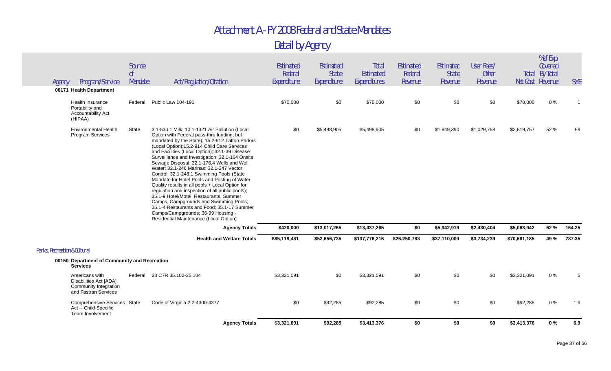|                              |                                                                                            | Source                    |                                                                                                                                                                                                                                                                                                                                                                                                                                                                                                                                                                                                                                                                                                                                                                                                                      | Estimated              | Estimated                   | Total                            | <b>Estimated</b>   | Estimated               | User Fees/              |              | % of Exp.<br>Covered                      |            |
|------------------------------|--------------------------------------------------------------------------------------------|---------------------------|----------------------------------------------------------------------------------------------------------------------------------------------------------------------------------------------------------------------------------------------------------------------------------------------------------------------------------------------------------------------------------------------------------------------------------------------------------------------------------------------------------------------------------------------------------------------------------------------------------------------------------------------------------------------------------------------------------------------------------------------------------------------------------------------------------------------|------------------------|-----------------------------|----------------------------------|--------------------|-------------------------|-------------------------|--------------|-------------------------------------------|------------|
| Agency                       | Program/Service                                                                            | 0 <sup>f</sup><br>Mandate | Act/Regulation/Citation                                                                                                                                                                                                                                                                                                                                                                                                                                                                                                                                                                                                                                                                                                                                                                                              | Federal<br>Expenditure | <b>State</b><br>Expenditure | <b>Estimated</b><br>Expenditures | Federal<br>Revenue | <b>State</b><br>Revenue | <b>Other</b><br>Revenue |              | <b>Total By Total</b><br>Net Cost Revenue | <b>SYE</b> |
|                              | 00171 Health Department                                                                    |                           |                                                                                                                                                                                                                                                                                                                                                                                                                                                                                                                                                                                                                                                                                                                                                                                                                      |                        |                             |                                  |                    |                         |                         |              |                                           |            |
|                              | <b>Health Insurance</b><br>Portability and<br>Accountability Act<br>(HIPAA)                | Federal                   | Public Law 104-191                                                                                                                                                                                                                                                                                                                                                                                                                                                                                                                                                                                                                                                                                                                                                                                                   | \$70,000               | \$0                         | \$70,000                         | \$0                | \$0                     | \$0                     | \$70,000     | 0%                                        |            |
|                              | Environmental Health<br><b>Program Services</b>                                            | State                     | 3.1-530.1 Milk; 10.1-1321 Air Pollution (Local<br>Option with Federal pass-thru funding, but<br>mandated by the State); 15.2-912 Tattoo Parlors<br>(Local Option);15.2-914 Child Care Services<br>and Facilities (Local Option); 32.1-39 Disease<br>Surveillance and Investigation; 32.1-164 Onsite<br>Sewage Disposal; 32.1-176.4 Wells and Well<br>Water; 32.1-246 Marinas; 32.1-247 Vector<br>Control; 32.1-248.1 Swimming Pools (State<br>Mandate for Hotel Pools and Posting of Water<br>Quality results in all pools + Local Option for<br>regulation and inspection of all public pools);<br>35.1-9 Hotel/Motel, Restaurants, Summer<br>Camps, Campgrounds and Swimming Pools;<br>35.1-4 Restaurants and Food; 35.1-17 Summer<br>Camps/Campgrounds; 36-99 Housing -<br>Residential Maintenance (Local Option) | \$0                    | \$5,498,905                 | \$5,498,905                      | \$0                | \$1,849,390             | \$1,029,758             | \$2,619,757  | 52 %                                      | 69         |
|                              |                                                                                            |                           | <b>Agency Totals</b>                                                                                                                                                                                                                                                                                                                                                                                                                                                                                                                                                                                                                                                                                                                                                                                                 | \$420,000              | \$13,017,265                | \$13,437,265                     | \$0                | \$5,942,919             | \$2,430,404             | \$5,063,942  | 62 %                                      | 164.25     |
|                              |                                                                                            |                           | <b>Health and Welfare Totals</b>                                                                                                                                                                                                                                                                                                                                                                                                                                                                                                                                                                                                                                                                                                                                                                                     | \$85,119,481           | \$52,656,735                | \$137,776,216                    | \$26,250,783       | \$37,110,009            | \$3,734,239             | \$70,681,185 | 49 %                                      | 787.35     |
| Parks, Recreation & Cultural |                                                                                            |                           |                                                                                                                                                                                                                                                                                                                                                                                                                                                                                                                                                                                                                                                                                                                                                                                                                      |                        |                             |                                  |                    |                         |                         |              |                                           |            |
|                              | 00150 Department of Community and Recreation<br><b>Services</b>                            |                           |                                                                                                                                                                                                                                                                                                                                                                                                                                                                                                                                                                                                                                                                                                                                                                                                                      |                        |                             |                                  |                    |                         |                         |              |                                           |            |
|                              | Americans with<br>Disabilities Act [ADA],<br>Community Integration<br>and Fastran Services | Federal                   | 28 C7R 35.102-35.104                                                                                                                                                                                                                                                                                                                                                                                                                                                                                                                                                                                                                                                                                                                                                                                                 | \$3,321,091            | \$0                         | \$3,321,091                      | \$0                | \$0                     | \$0                     | \$3,321,091  | $0\%$                                     | 5          |
|                              | Comprehensive Services State<br>Act -- Child Specific<br>Team Involvement                  |                           | Code of Virginia 2.2-4300-4377                                                                                                                                                                                                                                                                                                                                                                                                                                                                                                                                                                                                                                                                                                                                                                                       | \$0                    | \$92,285                    | \$92,285                         | \$0                | \$0                     | \$0                     | \$92,285     | $0\%$                                     | 1.9        |
|                              |                                                                                            |                           | <b>Agency Totals</b>                                                                                                                                                                                                                                                                                                                                                                                                                                                                                                                                                                                                                                                                                                                                                                                                 | \$3,321,091            | \$92,285                    | \$3,413,376                      | \$0                | \$0                     | \$0                     | \$3,413,376  | 0%                                        | 6.9        |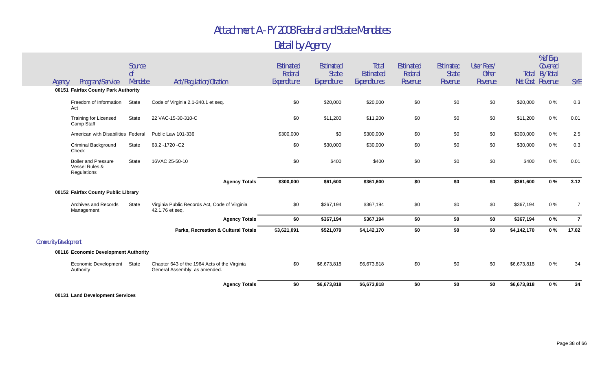|                              | 00131 Land Development Services                             |                           |                                                                               |                        |                      |                           |                    |                         |                         |             |                                           |                |
|------------------------------|-------------------------------------------------------------|---------------------------|-------------------------------------------------------------------------------|------------------------|----------------------|---------------------------|--------------------|-------------------------|-------------------------|-------------|-------------------------------------------|----------------|
|                              |                                                             |                           | <b>Agency Totals</b>                                                          | \$0                    | \$6,673,818          | \$6,673,818               | \$0                | \$0                     | \$0                     | \$6,673,818 | 0%                                        | 34             |
|                              | Economic Development State<br>Authority                     |                           | Chapter 643 of the 1964 Acts of the Virginia<br>General Assembly, as amended. | \$0                    | \$6,673,818          | \$6,673,818               | \$0                | \$0                     | \$0                     | \$6,673,818 | 0%                                        | 34             |
|                              | 00116 Economic Development Authority                        |                           |                                                                               |                        |                      |                           |                    |                         |                         |             |                                           |                |
| <b>Community Development</b> |                                                             |                           |                                                                               |                        |                      |                           |                    |                         |                         |             |                                           |                |
|                              |                                                             |                           | <b>Parks, Recreation &amp; Cultural Totals</b>                                | \$3,621,091            | \$521,079            | \$4,142,170               | \$0                | \$0                     | \$0                     | \$4,142,170 | $0\%$                                     | 17.02          |
|                              |                                                             |                           | <b>Agency Totals</b>                                                          | \$0                    | \$367,194            | \$367,194                 | \$0                | \$0                     | \$0                     | \$367,194   | $0\%$                                     | $\overline{7}$ |
|                              | Archives and Records<br>Management                          | State                     | Virginia Public Records Act, Code of Virginia<br>42.1.76 et seq.              | \$0                    | \$367,194            | \$367,194                 | \$0                | \$0                     | \$0                     | \$367,194   | $0\%$                                     | $\overline{7}$ |
|                              | 00152 Fairfax County Public Library                         |                           |                                                                               |                        |                      |                           |                    |                         |                         |             |                                           |                |
|                              |                                                             |                           | <b>Agency Totals</b>                                                          | \$300,000              | \$61,600             | \$361,600                 | \$0                | \$0                     | \$0                     | \$361,600   | 0%                                        | 3.12           |
|                              | <b>Boiler and Pressure</b><br>Vessel Rules &<br>Regulations | <b>State</b>              | 16VAC 25-50-10                                                                | \$0                    | \$400                | \$400                     | \$0                | \$0                     | \$0                     | \$400       | $0\%$                                     | 0.01           |
|                              | <b>Criminal Background</b><br>Check                         | State                     | 63.2 - 1720 - C2                                                              | \$0                    | \$30,000             | \$30,000                  | \$0                | \$0                     | \$0                     | \$30,000    | $0\%$                                     | 0.3            |
|                              | American with Disabilities Federal                          |                           | Public Law 101-336                                                            | \$300,000              | \$0                  | \$300,000                 | \$0                | \$0                     | \$0                     | \$300,000   | $0\%$                                     | 2.5            |
|                              | <b>Training for Licensed</b><br>Camp Staff                  | State                     | 22 VAC-15-30-310-C                                                            | \$0                    | \$11,200             | \$11,200                  | \$0                | \$0                     | \$0                     | \$11,200    | $0\%$                                     | 0.01           |
|                              | Freedom of Information<br>Act                               | <b>State</b>              | Code of Virginia 2.1-340.1 et seg.                                            | \$0                    | \$20,000             | \$20,000                  | \$0                | \$0                     | \$0                     | \$20,000    | $0\%$                                     | 0.3            |
|                              | 00151 Fairfax County Park Authority                         |                           |                                                                               |                        |                      |                           |                    |                         |                         |             |                                           |                |
| Agency                       | Program/Service                                             | 0 <sup>f</sup><br>Mandate | Act/Regulation/Citation                                                       | Federal<br>Expenditure | State<br>Expenditure | Estimated<br>Expenditures | Federal<br>Revenue | <b>State</b><br>Revenue | <b>Other</b><br>Revenue |             | <b>Total By Total</b><br>Net Cost Revenue | <b>SYE</b>     |
|                              |                                                             | Source                    |                                                                               | Estimated              | <b>Estimated</b>     | Total                     | Estimated          | Estimated               | User Fees/              |             | % of Exp.<br>Covered                      |                |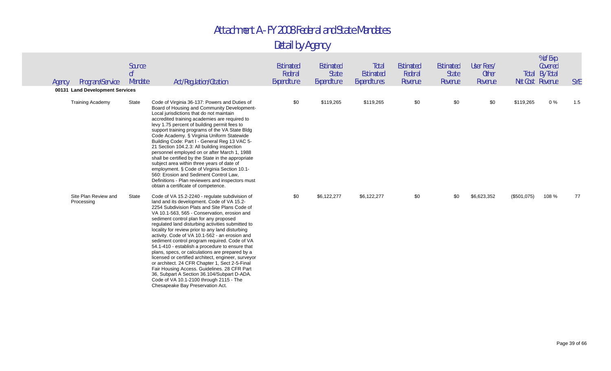| Program/Service<br>Agency                                  | Source<br><sub>of</sub><br>Mandate | Act/Regulation/Citation                                                                                                                                                                                                                                                                                                                                                                                                                                                                                                                                                                                                                                                                                                                                                                                                                          | <b>Estimated</b><br>Federal<br>Expenditure | Estimated<br><b>State</b><br>Expenditure | Total<br>Estimated<br>Expenditures | Estimated<br>Federal<br>Revenue | Estimated<br><b>State</b><br>Revenue | User Fees/<br><b>Other</b><br>Revenue |             | % of Exp.<br>Covered<br><b>Total By Total</b><br>Net Cost Revenue | <b>SYE</b> |
|------------------------------------------------------------|------------------------------------|--------------------------------------------------------------------------------------------------------------------------------------------------------------------------------------------------------------------------------------------------------------------------------------------------------------------------------------------------------------------------------------------------------------------------------------------------------------------------------------------------------------------------------------------------------------------------------------------------------------------------------------------------------------------------------------------------------------------------------------------------------------------------------------------------------------------------------------------------|--------------------------------------------|------------------------------------------|------------------------------------|---------------------------------|--------------------------------------|---------------------------------------|-------------|-------------------------------------------------------------------|------------|
| 00131 Land Development Services<br><b>Training Academy</b> | State                              | Code of Virginia 36-137: Powers and Duties of<br>Board of Housing and Community Development-<br>Local jurisdictions that do not maintain<br>accredited training academies are required to<br>levy 1.75 percent of building permit fees to<br>support training programs of the VA State Bldg<br>Code Academy. § Virginia Uniform Statewide<br>Building Code: Part I - General Reg 13 VAC 5-<br>21 Section 104.2.3: All building inspection<br>personnel employed on or after March 1, 1988<br>shall be certified by the State in the appropriate<br>subject area within three years of date of<br>employment. § Code of Virginia Section 10.1-<br>560: Erosion and Sediment Control Law,<br>Definitions - Plan reviewers and inspectors must<br>obtain a certificate of competence.                                                               | \$0                                        | \$119,265                                | \$119,265                          | \$0                             | \$0                                  | \$0                                   | \$119,265   | $0\%$                                                             | 1.5        |
| Site Plan Review and<br>Processing                         | State                              | Code of VA 15.2-2240 - regulate subdivision of<br>land and its development. Code of VA 15.2-<br>2254 Subdivision Plats and Site Plans Code of<br>VA 10.1-563, 565 - Conservation, erosion and<br>sediment control plan for any proposed<br>regulated land disturbing activities submitted to<br>locality for review prior to any land disturbing<br>activity. Code of VA 10.1-562 - an erosion and<br>sediment control program required. Code of VA<br>54.1-410 - establish a procedure to ensure that<br>plans, specs, or calculations are prepared by a<br>licensed or certified architect, engineer, surveyor<br>or architect. 24 CFR Chapter 1, Sect 2-5-Final<br>Fair Housing Access. Guidelines. 28 CFR Part<br>36, Subpart A Section 36.104/Subpart D-ADA.<br>Code of VA 10.1-2100 through 2115 - The<br>Chesapeake Bay Preservation Act. | \$0                                        | \$6,122,277                              | \$6,122,277                        | \$0                             | \$0                                  | \$6,623,352                           | (\$501,075) | 108 %                                                             | 77         |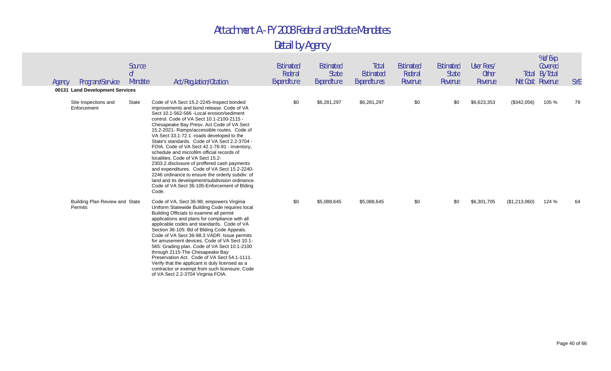| Agency | Program/Service<br>00131 Land Development Services | Source<br>0 <sup>f</sup><br>Mandate | Act/Regulation/Citation                                                                                                                                                                                                                                                                                                                                                                                                                                                                                                                                                                                                                                                                                                                                                        | Estimated<br>Federal<br>Expenditure | Estimated<br><b>State</b><br>Expenditure | Total<br>Estimated<br>Expenditures | Estimated<br>Federal<br>Revenue | Estimated<br><b>State</b><br>Revenue | User Fees/<br><b>Other</b><br>Revenue | Total         | % of Exp.<br>Covered<br>By Total<br>Net Cost Revenue | <b>SYE</b> |
|--------|----------------------------------------------------|-------------------------------------|--------------------------------------------------------------------------------------------------------------------------------------------------------------------------------------------------------------------------------------------------------------------------------------------------------------------------------------------------------------------------------------------------------------------------------------------------------------------------------------------------------------------------------------------------------------------------------------------------------------------------------------------------------------------------------------------------------------------------------------------------------------------------------|-------------------------------------|------------------------------------------|------------------------------------|---------------------------------|--------------------------------------|---------------------------------------|---------------|------------------------------------------------------|------------|
|        | Site Inspections and<br>Enforcement                | State                               | Code of VA Sect 15.2-2245-Inspect bonded<br>improvements and bond release. Code of VA<br>Sect 10.1-562-566 - Local erosion/sediment<br>control. Code of VA Sect 10.1-2100-2115 -<br>Chesapeake Bay Presv. Act Code of VA Sect<br>15.2-2021- Ramps/accessible routes. Code of<br>VA Sect 33.1-72.1 -roads developed to the<br>State's standards. Code of VA Sect 2.2-3704 -<br>FOIA. Code of VA Sect 42.1-76-91 - inventory,<br>schedule and microfilm official records of<br>localities. Code of VA Sect 15.2-<br>2303.2. disclosure of proffered cash payments<br>and expenditures. Code of VA Sect 15.2-2240-<br>2246 ordinance to ensure the orderly subdiv. of<br>land and its development/subdivision ordinance.<br>Code of VA Sect 36-105-Enforcement of Blding<br>Code. | \$0                                 | \$6,281,297                              | \$6,281,297                        | \$0                             | \$0                                  | \$6,623,353                           | (\$342,056)   | 105 %                                                | 79         |
|        | Building Plan Review and State<br>Permits          |                                     | Code of VA, Sect 36-98, empowers Virginia<br>Uniform Statewide Building Code requires local<br>Building Officials to examine all permit<br>applications and plans for compliance with all<br>applicable codes and standards. Code of VA<br>Section 36-105: Bd of Blding Code Appeals.<br>Code of VA Sect 36-98.3 VADR: Issue permits<br>for amusement devices. Code of VA Sect 10.1-<br>565: Grading plan. Code of VA Sect 10.1-2100<br>through 2115-The Chesapeake Bay<br>Preservation Act. Code of VA Sect 54.1-1111.<br>Verify that the applicant is duly licensed as a<br>contractor or exempt from such licensure. Code<br>of VA Sect 2.2-3704 Virginia FOIA.                                                                                                             | \$0                                 | \$5,088,645                              | \$5,088,645                        | \$0                             | \$0                                  | \$6,301,705                           | (\$1,213,060) | 124 %                                                | 64         |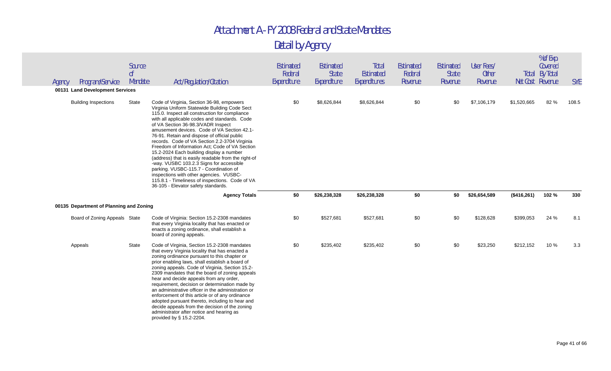| Agency | Program/Service<br>00131 Land Development Services | Source<br>0 <sup>f</sup><br>Mandate | Act/Regulation/Citation                                                                                                                                                                                                                                                                                                                                                                                                                                                                                                                                                                                                                                                                                                                                             | Estimated<br>Federal<br>Expenditure | Estimated<br><b>State</b><br>Expenditure | Total<br><b>Estimated</b><br>Expenditures | Estimated<br>Federal<br>Revenue | Estimated<br><b>State</b><br>Revenue | User Fees/<br><b>Other</b><br>Revenue | Net Cost Revenue | % of Exp.<br>Covered<br><b>Total By Total</b> | <b>SYE</b> |
|--------|----------------------------------------------------|-------------------------------------|---------------------------------------------------------------------------------------------------------------------------------------------------------------------------------------------------------------------------------------------------------------------------------------------------------------------------------------------------------------------------------------------------------------------------------------------------------------------------------------------------------------------------------------------------------------------------------------------------------------------------------------------------------------------------------------------------------------------------------------------------------------------|-------------------------------------|------------------------------------------|-------------------------------------------|---------------------------------|--------------------------------------|---------------------------------------|------------------|-----------------------------------------------|------------|
|        | <b>Building Inspections</b>                        | State                               | Code of Virginia, Section 36-98, empowers<br>Virginia Uniform Statewide Building Code Sect<br>115.0. Inspect all construction for compliance<br>with all applicable codes and standards. Code<br>of VA Section 36-98.3/VADR Inspect<br>amusement devices. Code of VA Section 42.1-<br>76-91. Retain and dispose of official public<br>records. Code of VA Section 2.2-3704 Virginia<br>Freedom of Information Act: Code of VA Section<br>15.2-2024 Each building display a number<br>(address) that is easily readable from the right-of<br>-way. VUSBC 103.2.3 Signs for accessible<br>parking. VUSBC-115.7 - Coordination of<br>inspections with other agencies. VUSBC-<br>115.8.1 - Timeliness of inspections. Code of VA<br>36-105 - Elevator safety standards. | \$0                                 | \$8,626,844                              | \$8,626,844                               | \$0                             | \$0                                  | \$7,106,179                           | \$1,520,665      | 82 %                                          | 108.5      |
|        |                                                    |                                     | <b>Agency Totals</b>                                                                                                                                                                                                                                                                                                                                                                                                                                                                                                                                                                                                                                                                                                                                                | \$0                                 | \$26,238,328                             | \$26,238,328                              | \$0                             | \$0                                  | \$26,654,589                          | (\$416,261)      | 102%                                          | 330        |
|        | 00135 Department of Planning and Zoning            |                                     |                                                                                                                                                                                                                                                                                                                                                                                                                                                                                                                                                                                                                                                                                                                                                                     |                                     |                                          |                                           |                                 |                                      |                                       |                  |                                               |            |
|        | Board of Zoning Appeals State                      |                                     | Code of Virginia: Section 15.2-2308 mandates                                                                                                                                                                                                                                                                                                                                                                                                                                                                                                                                                                                                                                                                                                                        | \$0                                 | \$527,681                                | \$527,681                                 | \$0                             | \$0                                  | \$128,628                             | \$399,053        | 24 %                                          | 8.1        |
|        |                                                    |                                     | that every Virginia locality that has enacted or<br>enacts a zoning ordinance, shall establish a<br>board of zoning appeals.                                                                                                                                                                                                                                                                                                                                                                                                                                                                                                                                                                                                                                        |                                     |                                          |                                           |                                 |                                      |                                       |                  |                                               |            |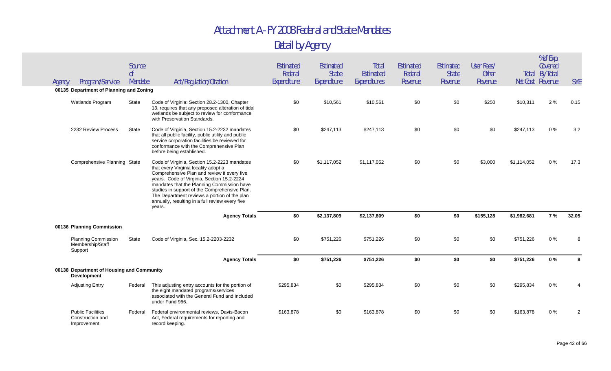| Agency | Program/Service                                                 | Source<br>$\int_0^1$<br>Mandate | Act/Regulation/Citation                                                                                                                                                                                                                                                                                                                                                                       | Estimated<br>Federal<br>Expenditure | Estimated<br><b>State</b><br>Expenditure | Total<br>Estimated<br>Expenditures | <b>Estimated</b><br>Federal<br>Revenue | Estimated<br><b>State</b><br>Revenue | User Fees/<br><b>Other</b><br>Revenue |             | % of Exp.<br>Covered<br><b>Total By Total</b><br>Net Cost Revenue | <b>SYE</b>     |
|--------|-----------------------------------------------------------------|---------------------------------|-----------------------------------------------------------------------------------------------------------------------------------------------------------------------------------------------------------------------------------------------------------------------------------------------------------------------------------------------------------------------------------------------|-------------------------------------|------------------------------------------|------------------------------------|----------------------------------------|--------------------------------------|---------------------------------------|-------------|-------------------------------------------------------------------|----------------|
|        | 00135 Department of Planning and Zoning                         |                                 |                                                                                                                                                                                                                                                                                                                                                                                               |                                     |                                          |                                    |                                        |                                      |                                       |             |                                                                   |                |
|        | Wetlands Program                                                | State                           | Code of Virginia: Section 28.2-1300, Chapter<br>13, requires that any proposed alteration of tidal<br>wetlands be subject to review for conformance<br>with Preservation Standards.                                                                                                                                                                                                           | \$0                                 | \$10,561                                 | \$10,561                           | \$0                                    | \$0                                  | \$250                                 | \$10,311    | 2%                                                                | 0.15           |
|        | 2232 Review Process                                             | <b>State</b>                    | Code of Virginia, Section 15.2-2232 mandates<br>that all public facility, public utility and public<br>service corporation facilities be reviewed for<br>conformance with the Comprehensive Plan<br>before being established.                                                                                                                                                                 | \$0                                 | \$247,113                                | \$247,113                          | \$0                                    | \$0                                  | \$0                                   | \$247,113   | $0\%$                                                             | 3.2            |
|        | Comprehensive Planning State                                    |                                 | Code of Virginia, Section 15.2-2223 mandates<br>that every Virginia locality adopt a<br>Comprehensive Plan and review it every five<br>years. Code of Virginia, Section 15.2-2224<br>mandates that the Planning Commission have<br>studies in support of the Comprehensive Plan.<br>The Department reviews a portion of the plan<br>annually, resulting in a full review every five<br>years. | \$0                                 | \$1,117,052                              | \$1,117,052                        | \$0                                    | \$0                                  | \$3,000                               | \$1,114,052 | 0%                                                                | 17.3           |
|        |                                                                 |                                 | <b>Agency Totals</b>                                                                                                                                                                                                                                                                                                                                                                          | \$0                                 | \$2,137,809                              | \$2,137,809                        | \$0                                    | \$0                                  | \$155,128                             | \$1,982,681 | 7%                                                                | 32.05          |
|        | 00136 Planning Commission                                       |                                 |                                                                                                                                                                                                                                                                                                                                                                                               |                                     |                                          |                                    |                                        |                                      |                                       |             |                                                                   |                |
|        | <b>Planning Commission</b><br>Membership/Staff<br>Support       | State                           | Code of Virginia, Sec. 15.2-2203-2232                                                                                                                                                                                                                                                                                                                                                         | \$0                                 | \$751,226                                | \$751,226                          | \$0                                    | \$0                                  | \$0                                   | \$751,226   | 0%                                                                | 8              |
|        |                                                                 |                                 | <b>Agency Totals</b>                                                                                                                                                                                                                                                                                                                                                                          | \$0                                 | \$751,226                                | \$751,226                          | \$0                                    | \$0                                  | \$0                                   | \$751,226   | $0\%$                                                             | 8              |
|        | 00138 Department of Housing and Community<br><b>Development</b> |                                 |                                                                                                                                                                                                                                                                                                                                                                                               |                                     |                                          |                                    |                                        |                                      |                                       |             |                                                                   |                |
|        | <b>Adjusting Entry</b>                                          | Federal                         | This adjusting entry accounts for the portion of<br>the eight mandated programs/services<br>associated with the General Fund and included<br>under Fund 966.                                                                                                                                                                                                                                  | \$295,834                           | \$0                                      | \$295,834                          | \$0                                    | \$0                                  | \$0                                   | \$295,834   | $0\%$                                                             |                |
|        | <b>Public Facilities</b><br>Construction and<br>Improvement     | Federal                         | Federal environmental reviews, Davis-Bacon<br>Act, Federal requirements for reporting and<br>record keeping.                                                                                                                                                                                                                                                                                  | \$163,878                           | \$0                                      | \$163,878                          | \$0                                    | \$0                                  | \$0                                   | \$163,878   | 0%                                                                | $\overline{2}$ |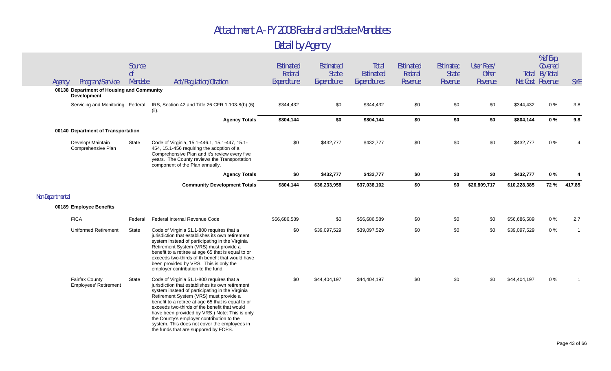| Agency           | Program/Service                                          | Source<br>0 <sup>f</sup><br>Mandate | Act/Regulation/Citation                                                                                                                                                                                                                                                                                                                                                                                                                                                                 | Estimated<br>Federal<br>Expenditure | Estimated<br><b>State</b><br>Expenditure | Total<br>Estimated<br>Expenditures | Estimated<br>Federal<br>Revenue | Estimated<br><b>State</b><br>Revenue | User Fees/<br><b>Other</b><br>Revenue |              | % of Exp.<br>Covered<br><b>Total By Total</b><br>Net Cost Revenue | <b>SYE</b>   |
|------------------|----------------------------------------------------------|-------------------------------------|-----------------------------------------------------------------------------------------------------------------------------------------------------------------------------------------------------------------------------------------------------------------------------------------------------------------------------------------------------------------------------------------------------------------------------------------------------------------------------------------|-------------------------------------|------------------------------------------|------------------------------------|---------------------------------|--------------------------------------|---------------------------------------|--------------|-------------------------------------------------------------------|--------------|
|                  | 00138 Department of Housing and Community<br>Development |                                     |                                                                                                                                                                                                                                                                                                                                                                                                                                                                                         |                                     |                                          |                                    |                                 |                                      |                                       |              |                                                                   |              |
|                  | Servicing and Monitoring Federal                         |                                     | IRS, Section 42 and Title 26 CFR 1.103-8(b) (6)<br>(ii).                                                                                                                                                                                                                                                                                                                                                                                                                                | \$344,432                           | \$0                                      | \$344,432                          | \$0                             | \$0                                  | \$0                                   | \$344,432    | 0%                                                                | 3.8          |
|                  |                                                          |                                     | <b>Agency Totals</b>                                                                                                                                                                                                                                                                                                                                                                                                                                                                    | \$804,144                           | \$0                                      | \$804,144                          | \$0                             | \$0                                  | \$0                                   | \$804,144    | $0\%$                                                             | 9.8          |
|                  | 00140 Department of Transportation                       |                                     |                                                                                                                                                                                                                                                                                                                                                                                                                                                                                         |                                     |                                          |                                    |                                 |                                      |                                       |              |                                                                   |              |
|                  | Develop/ Maintain<br>Comprehensive Plan                  | State                               | Code of Virginia, 15.1-446.1, 15.1-447, 15.1-<br>454, 15.1-456 requiring the adoption of a<br>Comprehensive Plan and it's review every five<br>years. The County reviews the Transportation<br>component of the Plan annually.                                                                                                                                                                                                                                                          | \$0                                 | \$432,777                                | \$432,777                          | \$0                             | \$0                                  | \$0                                   | \$432,777    | 0%                                                                |              |
|                  |                                                          |                                     | <b>Agency Totals</b>                                                                                                                                                                                                                                                                                                                                                                                                                                                                    | \$0                                 | \$432,777                                | \$432,777                          | \$0                             | \$0                                  | \$0                                   | \$432,777    | 0%                                                                | 4            |
|                  |                                                          |                                     | <b>Community Development Totals</b>                                                                                                                                                                                                                                                                                                                                                                                                                                                     | \$804,144                           | \$36,233,958                             | \$37,038,102                       | \$0                             | \$0                                  | \$26,809,717                          | \$10,228,385 | 72 %                                                              | 417.85       |
| Non-Departmental |                                                          |                                     |                                                                                                                                                                                                                                                                                                                                                                                                                                                                                         |                                     |                                          |                                    |                                 |                                      |                                       |              |                                                                   |              |
|                  | 00189 Employee Benefits                                  |                                     |                                                                                                                                                                                                                                                                                                                                                                                                                                                                                         |                                     |                                          |                                    |                                 |                                      |                                       |              |                                                                   |              |
|                  | <b>FICA</b>                                              | Federal                             | Federal Internal Revenue Code                                                                                                                                                                                                                                                                                                                                                                                                                                                           | \$56,686,589                        | \$0                                      | \$56,686,589                       | \$0                             | \$0                                  | \$0                                   | \$56,686,589 | 0%                                                                | 2.7          |
|                  | <b>Uniformed Retirement</b>                              | State                               | Code of Virginia 51.1-800 requires that a<br>jurisdiction that establishes its own retirement<br>system instead of participating in the Virginia<br>Retirement System (VRS) must provide a<br>benefit to a retiree at age 65 that is equal to or<br>exceeds two-thirds of th benefit that would have<br>been provided by VRS. This is only the<br>employer contribution to the fund.                                                                                                    | \$0                                 | \$39,097,529                             | \$39,097,529                       | \$0                             | \$0                                  | \$0                                   | \$39,097,529 | $0\%$                                                             | $\mathbf{1}$ |
|                  | <b>Fairfax County</b><br><b>Employees' Retirement</b>    | State                               | Code of Virginia 51.1-800 requires that a<br>jurisdiction that establishes its own retirement<br>system instead of participating in the Virginia<br>Retirement System (VRS) must provide a<br>benefit to a retiree at age 65 that is equal to or<br>exceeds two-thirds of the benefit that would<br>have been provided by VRS.) Note: This is only<br>the County's employer contribution to the<br>system. This does not cover the employees in<br>the funds that are suppored by FCPS. | \$0                                 | \$44,404,197                             | \$44,404,197                       | \$0                             | \$0                                  | \$0                                   | \$44,404,197 | 0%                                                                |              |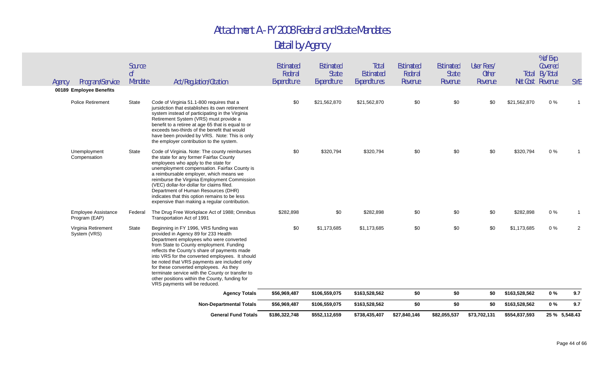|        |                                             |                           | into VRS for the converted employees. It should<br>be noted that VRS payments are included only<br>for these converted employees. As they<br>terminate service with the County or transfer to                                                                                                                                                                                                                                                                     |                        |                             |                                  |                    |                         |                         |              |                                           |            |
|--------|---------------------------------------------|---------------------------|-------------------------------------------------------------------------------------------------------------------------------------------------------------------------------------------------------------------------------------------------------------------------------------------------------------------------------------------------------------------------------------------------------------------------------------------------------------------|------------------------|-----------------------------|----------------------------------|--------------------|-------------------------|-------------------------|--------------|-------------------------------------------|------------|
|        | Virginia Retirement<br>System (VRS)         | State                     | Beginning in FY 1996, VRS funding was<br>provided in Agency 89 for 233 Health<br>Department employees who were converted<br>from State to County employment. Funding<br>reflects the County's share of payments made                                                                                                                                                                                                                                              | \$0                    | \$1,173,685                 | \$1,173,685                      | \$0                | \$0                     | \$0                     | \$1,173,685  | $0\%$                                     |            |
|        | <b>Employee Assistance</b><br>Program (EAP) | Federal                   | The Drug Free Workplace Act of 1988; Omnibus<br>Transportation Act of 1991                                                                                                                                                                                                                                                                                                                                                                                        | \$282,898              | \$0                         | \$282,898                        | \$0                | \$0                     | \$0                     | \$282,898    | $0\%$                                     |            |
|        | Unemployment<br>Compensation                | State                     | Code of Virginia. Note: The county reimburses<br>the state for any former Fairfax County<br>employees who apply to the state for<br>unemployment compensation. Fairfax County is<br>a reimbursable employer, which means we<br>reimburse the Virginia Employment Commission<br>(VEC) dollar-for-dollar for claims filed.<br>Department of Human Resources (DHR)<br>indicates that this option remains to be less<br>expensive than making a regular contribution. | \$0                    | \$320,794                   | \$320,794                        | \$0                | \$0                     | \$0                     | \$320,794    | 0%                                        |            |
|        | <b>Police Retirement</b>                    | State                     | Code of Virginia 51.1-800 requires that a<br>jursidction that establishes its own retirement<br>system instead of participating in the Virginia<br>Retirement System (VRS) must provide a<br>benefit to a retiree at age 65 that is equal to or<br>exceeds two-thirds of the benefit that would<br>have been provided by VRS. Note: This is only<br>the employer contribution to the system.                                                                      | \$0                    | \$21,562,870                | \$21,562,870                     | \$0                | \$0                     | \$0                     | \$21,562,870 | $0\%$                                     |            |
|        | 00189 Employee Benefits                     |                           |                                                                                                                                                                                                                                                                                                                                                                                                                                                                   |                        |                             |                                  |                    |                         |                         |              |                                           |            |
| Agency | Program/Service                             | 0 <sup>f</sup><br>Mandate | Act/Regulation/Citation                                                                                                                                                                                                                                                                                                                                                                                                                                           | Federal<br>Expenditure | <b>State</b><br>Expenditure | <b>Estimated</b><br>Expenditures | Federal<br>Revenue | <b>State</b><br>Revenue | <b>Other</b><br>Revenue |              | <b>Total By Total</b><br>Net Cost Revenue | <b>SYE</b> |
|        |                                             | Source                    |                                                                                                                                                                                                                                                                                                                                                                                                                                                                   | Estimated              | Estimated                   | Total                            | <b>Estimated</b>   | Estimated               | User Fees/              |              | % of Exp.<br>Covered                      |            |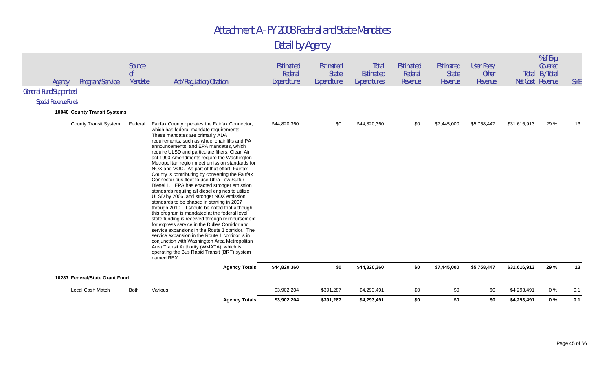|                               | Agency                         | Program/Service              | Source<br>0 <sup>f</sup><br>Mandate | Act/Regulation/Citation                                                                                                                                                                                                                                                                                                                                                                                                                                                                                                                                                                                                                                                                                                                                                                                                                                                                                                                                                                                                                                                                                                                                                                                | <b>Estimated</b><br>Federal<br>Expenditure | Estimated<br><b>State</b><br>Expenditure | Total<br>Estimated<br>Expenditures | Estimated<br>Federal<br>Revenue | <b>Estimated</b><br><b>State</b><br>Revenue | User Fees/<br><b>Other</b><br>Revenue |              | % of Exp.<br>Covered<br><b>Total By Total</b><br>Net Cost Revenue | <b>SYE</b> |
|-------------------------------|--------------------------------|------------------------------|-------------------------------------|--------------------------------------------------------------------------------------------------------------------------------------------------------------------------------------------------------------------------------------------------------------------------------------------------------------------------------------------------------------------------------------------------------------------------------------------------------------------------------------------------------------------------------------------------------------------------------------------------------------------------------------------------------------------------------------------------------------------------------------------------------------------------------------------------------------------------------------------------------------------------------------------------------------------------------------------------------------------------------------------------------------------------------------------------------------------------------------------------------------------------------------------------------------------------------------------------------|--------------------------------------------|------------------------------------------|------------------------------------|---------------------------------|---------------------------------------------|---------------------------------------|--------------|-------------------------------------------------------------------|------------|
| <b>General Fund Supported</b> |                                |                              |                                     |                                                                                                                                                                                                                                                                                                                                                                                                                                                                                                                                                                                                                                                                                                                                                                                                                                                                                                                                                                                                                                                                                                                                                                                                        |                                            |                                          |                                    |                                 |                                             |                                       |              |                                                                   |            |
|                               | <b>Special Revenue Funds</b>   |                              |                                     |                                                                                                                                                                                                                                                                                                                                                                                                                                                                                                                                                                                                                                                                                                                                                                                                                                                                                                                                                                                                                                                                                                                                                                                                        |                                            |                                          |                                    |                                 |                                             |                                       |              |                                                                   |            |
|                               | 10040 County Transit Systems   |                              |                                     |                                                                                                                                                                                                                                                                                                                                                                                                                                                                                                                                                                                                                                                                                                                                                                                                                                                                                                                                                                                                                                                                                                                                                                                                        |                                            |                                          |                                    |                                 |                                             |                                       |              |                                                                   |            |
|                               |                                | <b>County Transit System</b> | Federal                             | Fairfax County operates the Fairfax Connector,<br>which has federal mandate requirements.<br>These mandates are primarily ADA<br>requirements, such as wheel chair lifts and PA<br>announcements, and EPA mandates, which<br>require ULSD and particulate filters. Clean Air<br>act 1990 Amendments require the Washington<br>Metropolitan region meet emission standards for<br>NOX and VOC. As part of that effort, Fairfax<br>County is contributing by converting the Fairfax<br>Connector bus fleet to use Ultra Low Sulfur<br>Diesel 1. EPA has enacted stronger emission<br>standards requiing all diesel engines to utilize<br>ULSD by 2006, and stronger NOX emission<br>standards to be phased in starting in 2007<br>through 2010. It should be noted that although<br>this program is mandated at the federal level,<br>state funding is received through reimbursement<br>for express service in the Dulles Corridor and<br>service expansions in the Route 1 corridor. The<br>service expansion in the Route 1 corridor is in<br>conjunction with Washington Area Metropolitan<br>Area Transit Authority (WMATA), which is<br>operating the Bus Rapid Transit (BRT) system<br>named REX. | \$44,820,360                               | \$0                                      | \$44,820,360                       | \$0                             | \$7,445,000                                 | \$5,758,447                           | \$31,616,913 | 29 %                                                              |            |
|                               |                                |                              |                                     | <b>Agency Totals</b>                                                                                                                                                                                                                                                                                                                                                                                                                                                                                                                                                                                                                                                                                                                                                                                                                                                                                                                                                                                                                                                                                                                                                                                   | \$44,820,360                               | \$0                                      | \$44,820,360                       | \$0                             | \$7,445,000                                 | \$5,758,447                           | \$31,616,913 | 29 %                                                              | 13         |
|                               | 10287 Federal/State Grant Fund |                              |                                     |                                                                                                                                                                                                                                                                                                                                                                                                                                                                                                                                                                                                                                                                                                                                                                                                                                                                                                                                                                                                                                                                                                                                                                                                        |                                            |                                          |                                    |                                 |                                             |                                       |              |                                                                   |            |
|                               | Local Cash Match               |                              | <b>Both</b>                         | Various                                                                                                                                                                                                                                                                                                                                                                                                                                                                                                                                                                                                                                                                                                                                                                                                                                                                                                                                                                                                                                                                                                                                                                                                | \$3,902,204                                | \$391,287                                | \$4,293,491                        | \$0                             | \$0                                         | \$0                                   | \$4,293,491  | 0 %                                                               | 0.1        |
|                               |                                |                              |                                     | <b>Agency Totals</b>                                                                                                                                                                                                                                                                                                                                                                                                                                                                                                                                                                                                                                                                                                                                                                                                                                                                                                                                                                                                                                                                                                                                                                                   | \$3,902,204                                | \$391,287                                | \$4,293,491                        | \$0                             | \$0                                         | \$0                                   | \$4,293,491  | $0\%$                                                             | 0.1        |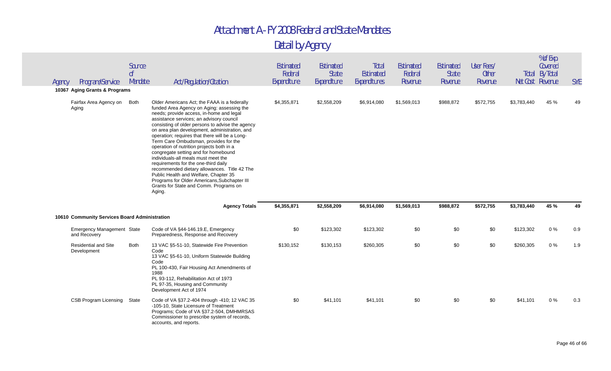| Agency | Program/Service<br>10367 Aging Grants & Programs  | Source<br>0 <sup>f</sup><br>Mandate | Act/Regulation/Citation                                                                                                                                                                                                                                                                                                                                                                                                                                                                                                                                                                                                                                                                                                                             | <b>Estimated</b><br>Federal<br>Expenditure | Estimated<br><b>State</b><br>Expenditure | Total<br>Estimated<br>Expenditures | Estimated<br>Federal<br>Revenue | <b>Estimated</b><br><b>State</b><br>Revenue | User Fees/<br><b>Other</b><br>Revenue | Net Cost Revenue | % of Exp.<br>Covered<br>Total By Total | <b>SYE</b> |
|--------|---------------------------------------------------|-------------------------------------|-----------------------------------------------------------------------------------------------------------------------------------------------------------------------------------------------------------------------------------------------------------------------------------------------------------------------------------------------------------------------------------------------------------------------------------------------------------------------------------------------------------------------------------------------------------------------------------------------------------------------------------------------------------------------------------------------------------------------------------------------------|--------------------------------------------|------------------------------------------|------------------------------------|---------------------------------|---------------------------------------------|---------------------------------------|------------------|----------------------------------------|------------|
|        | Fairfax Area Agency on<br>Aging                   | <b>Both</b>                         | Older Americans Act; the FAAA is a federally<br>funded Area Agency on Aging: assessing the<br>needs; provide access, in-home and legal<br>assistance services; an advisory council<br>consisting of older persons to advise the agency<br>on area plan development, administration, and<br>operation; requires that there will be a Long-<br>Term Care Ombudsman, provides for the<br>operation of nutrition projects both in a<br>congregate setting and for homebound<br>individuals-all meals must meet the<br>requirements for the one-third daily<br>recommended dietary allowances. Title 42 The<br>Public Health and Welfare, Chapter 35<br>Programs for Older Americans, Subchapter III<br>Grants for State and Comm. Programs on<br>Aging. | \$4,355,871                                | \$2,558,209                              | \$6,914,080                        | \$1,569,013                     | \$988,872                                   | \$572,755                             | \$3,783,440      | 45 %                                   | 49         |
|        |                                                   |                                     | <b>Agency Totals</b>                                                                                                                                                                                                                                                                                                                                                                                                                                                                                                                                                                                                                                                                                                                                | \$4,355,871                                | \$2,558,209                              | \$6,914,080                        | \$1,569,013                     | \$988,872                                   | \$572,755                             | \$3,783,440      | 45 %                                   | 49         |
|        | 10610 Community Services Board Administration     |                                     |                                                                                                                                                                                                                                                                                                                                                                                                                                                                                                                                                                                                                                                                                                                                                     |                                            |                                          |                                    |                                 |                                             |                                       |                  |                                        |            |
|        | <b>Emergency Management State</b><br>and Recovery |                                     | Code of VA §44-146.19.E, Emergency<br>Preparedness, Response and Recovery                                                                                                                                                                                                                                                                                                                                                                                                                                                                                                                                                                                                                                                                           | \$0                                        | \$123,302                                | \$123,302                          | \$0                             | \$0                                         | \$0                                   | \$123,302        | 0%                                     | 0.9        |
|        | <b>Residential and Site</b><br>Development        | <b>Both</b>                         | 13 VAC §5-51-10, Statewide Fire Prevention<br>Code<br>13 VAC §5-61-10, Uniform Statewide Building<br>Code<br>PL 100-430, Fair Housing Act Amendments of<br>1988<br>PL 93-112, Rehabilitation Act of 1973<br>PL 97-35, Housing and Community<br>Development Act of 1974                                                                                                                                                                                                                                                                                                                                                                                                                                                                              | \$130,152                                  | \$130,153                                | \$260,305                          | \$0                             | \$0                                         | \$0                                   | \$260,305        | 0%                                     | 1.9        |
|        | <b>CSB Program Licensing</b>                      | State                               | Code of VA §37.2-404 through -410; 12 VAC 35<br>-105-10, State Licensure of Treatment<br>Programs; Code of VA §37.2-504, DMHMRSAS<br>Commissioner to prescribe system of records,<br>accounts, and reports.                                                                                                                                                                                                                                                                                                                                                                                                                                                                                                                                         | \$0                                        | \$41,101                                 | \$41,101                           | \$0                             | \$0                                         | \$0                                   | \$41,101         | $0\%$                                  | 0.3        |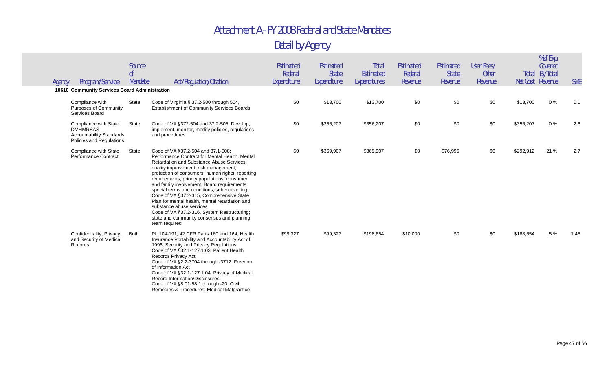| Program/Service<br>Agency                                                                         | Source<br>0f<br>Mandate | Act/Regulation/Citation                                                                                                                                                                                                                                                                                                                                                                                                                                                                                                                                                                                                        | Estimated<br>Federal<br>Expenditure | Estimated<br><b>State</b><br>Expenditure | Total<br>Estimated<br><b>Expenditures</b> | Estimated<br>Federal<br>Revenue | <b>Estimated</b><br><b>State</b><br>Revenue | User Fees/<br><b>Other</b><br>Revenue |           | % of Exp.<br>Covered<br><b>Total By Total</b><br>Net Cost Revenue | <b>SYE</b> |
|---------------------------------------------------------------------------------------------------|-------------------------|--------------------------------------------------------------------------------------------------------------------------------------------------------------------------------------------------------------------------------------------------------------------------------------------------------------------------------------------------------------------------------------------------------------------------------------------------------------------------------------------------------------------------------------------------------------------------------------------------------------------------------|-------------------------------------|------------------------------------------|-------------------------------------------|---------------------------------|---------------------------------------------|---------------------------------------|-----------|-------------------------------------------------------------------|------------|
| 10610 Community Services Board Administration                                                     |                         |                                                                                                                                                                                                                                                                                                                                                                                                                                                                                                                                                                                                                                |                                     |                                          |                                           |                                 |                                             |                                       |           |                                                                   |            |
| Compliance with<br><b>Purposes of Community</b><br>Services Board                                 | State                   | Code of Virginia § 37.2-500 through 504,<br>Establishment of Community Services Boards                                                                                                                                                                                                                                                                                                                                                                                                                                                                                                                                         | \$0                                 | \$13,700                                 | \$13,700                                  | \$0                             | \$0                                         | \$0                                   | \$13,700  | 0%                                                                | 0.1        |
| Compliance with State<br><b>DMHMRSAS</b><br>Accountability Standards,<br>Policies and Regulations | State                   | Code of VA §372-504 and 37.2-505, Develop,<br>implement, monitor, modify policies, regulations<br>and procedures                                                                                                                                                                                                                                                                                                                                                                                                                                                                                                               | \$0                                 | \$356,207                                | \$356,207                                 | \$0                             | \$0                                         | \$0                                   | \$356,207 | 0%                                                                | 2.6        |
| Compliance with State<br><b>Performance Contract</b>                                              | State                   | Code of VA §37.2-504 and 37.1-508:<br>Performance Contract for Mental Health, Mental<br><b>Retardation and Substance Abuse Services:</b><br>quality improvement, risk management,<br>protection of consumers, human rights, reporting<br>requirements, priority populations, consumer<br>and family involvement, Board requirements,<br>special terms and conditions, subcontracting.<br>Code of VA §37.2-315, Comprehensive State<br>Plan for mental health, mental retardation and<br>substance abuse services<br>Code of VA §37.2-316, System Restructuring;<br>state and community consensus and planning<br>team required | \$0                                 | \$369,907                                | \$369,907                                 | \$0                             | \$76,995                                    | \$0                                   | \$292,912 | 21 %                                                              | 2.7        |
| Confidentiality, Privacy<br>and Security of Medical<br>Records                                    | Both                    | PL 104-191; 42 CFR Parts 160 and 164, Health<br>Insurance Portability and Accountability Act of<br>1996; Security and Privacy Regulations<br>Code of VA §32.1-127.1:03, Patient Health<br><b>Records Privacy Act</b><br>Code of VA §2.2-3704 through -3712, Freedom<br>of Information Act<br>Code of VA §32.1-127.1:04, Privacy of Medical<br>Record Information/Disclosures<br>Code of VA §8.01-58.1 through -20, Civil<br>Remedies & Procedures: Medical Malpractice                                                                                                                                                         | \$99,327                            | \$99,327                                 | \$198,654                                 | \$10,000                        | \$0                                         | \$0                                   | \$188,654 | 5 %                                                               | 1.45       |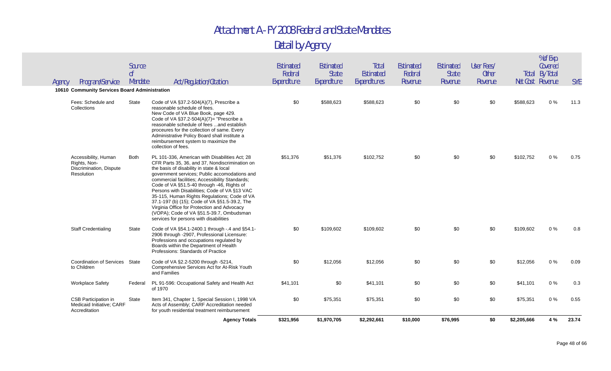|        |                                                                               |                         | <b>Agency Totals</b>                                                                                                                                                                                                                                                                                                                                                                                                                                                                                                                                                                  | \$321,956                           | \$1,970,705                              | \$2,292,661                               | \$10,000                               | \$76,995                             | \$0                                   | \$2,205,666      | 4 %                              | 23.74      |
|--------|-------------------------------------------------------------------------------|-------------------------|---------------------------------------------------------------------------------------------------------------------------------------------------------------------------------------------------------------------------------------------------------------------------------------------------------------------------------------------------------------------------------------------------------------------------------------------------------------------------------------------------------------------------------------------------------------------------------------|-------------------------------------|------------------------------------------|-------------------------------------------|----------------------------------------|--------------------------------------|---------------------------------------|------------------|----------------------------------|------------|
|        | <b>CSB Participation in</b><br>Medicaid Initiative; CARF<br>Accreditation     | State                   | Item 341, Chapter 1, Special Session I, 1998 VA<br>Acts of Assembly; CARF Accreditation needed<br>for youth residential treatment reimbursement                                                                                                                                                                                                                                                                                                                                                                                                                                       | \$0                                 | \$75,351                                 | \$75,351                                  | \$0                                    | \$0                                  | \$0                                   | \$75,351         | 0%                               | 0.55       |
|        | <b>Workplace Safety</b>                                                       | Federal                 | PL 91-596: Occupational Safety and Health Act<br>of 1970                                                                                                                                                                                                                                                                                                                                                                                                                                                                                                                              | \$41,101                            | \$0                                      | \$41,101                                  | \$0                                    | \$0                                  | \$0                                   | \$41,101         | 0%                               | 0.3        |
|        | Coordination of Services State<br>to Children                                 |                         | Code of VA §2.2-5200 through -5214,<br>Comprehensive Services Act for At-Risk Youth<br>and Families                                                                                                                                                                                                                                                                                                                                                                                                                                                                                   | \$0                                 | \$12,056                                 | \$12,056                                  | \$0                                    | \$0                                  | \$0                                   | \$12,056         | 0%                               | 0.09       |
|        | <b>Staff Credentialing</b>                                                    | State                   | Code of VA §54.1-2400.1 through -.4 and §54.1-<br>2906 through -2907, Professional Licensure:<br>Professions and occupations regulated by<br>Boards within the Department of Health<br>Professions: Standards of Practice                                                                                                                                                                                                                                                                                                                                                             | \$0                                 | \$109,602                                | \$109,602                                 | \$0                                    | \$0                                  | \$0                                   | \$109,602        | 0%                               | 0.8        |
|        | Accessibility, Human<br>Rights, Non-<br>Discrimination, Dispute<br>Resolution | Both                    | PL 101-336, American with Disabilities Act; 28<br>CFR Parts 35, 36, and 37, Nondiscrimination on<br>the basis of disability in state & local<br>government services; Public accomodations and<br>commercial facilities; Accessibility Standards;<br>Code of VA §51.5-40 through -46, Rights of<br>Persons with Disabilities; Code of VA §13 VAC<br>35-115, Human Rights Regulations; Code of VA<br>37.1-197 (b) (15); Code of VA §51.5-39.2, The<br>Virginia Office for Protection and Advocacy<br>(VOPA); Code of VA §51.5-39.7, Ombudsman<br>services for persons with disabilities | \$51,376                            | \$51,376                                 | \$102,752                                 | \$0                                    | \$0                                  | \$0                                   | \$102,752        | 0%                               | 0.75       |
|        | Fees: Schedule and<br>Collections                                             | State                   | Code of VA §37.2-504(A)(7), Prescribe a<br>reasonable schedule of fees.<br>New Code of VA Blue Book, page 429.<br>Code of VA $\S 37.2 - 504(A)(7) =$ "Prescribe a<br>reasonable schedule of fees  and establish<br>proceures for the collection of same. Every<br>Administrative Policy Board shall institute a<br>reimbursement system to maximize the<br>collection of fees.                                                                                                                                                                                                        | \$0                                 | \$588,623                                | \$588,623                                 | \$0                                    | \$0                                  | \$0                                   | \$588,623        | 0%                               | 11.3       |
|        | 10610 Community Services Board Administration                                 |                         |                                                                                                                                                                                                                                                                                                                                                                                                                                                                                                                                                                                       |                                     |                                          |                                           |                                        |                                      |                                       |                  |                                  |            |
| Agency | Program/Service                                                               | Source<br>оf<br>Mandate | Act/Regulation/Citation                                                                                                                                                                                                                                                                                                                                                                                                                                                                                                                                                               | Estimated<br>Federal<br>Expenditure | Estimated<br><b>State</b><br>Expenditure | <b>Total</b><br>Estimated<br>Expenditures | <b>Estimated</b><br>Federal<br>Revenue | Estimated<br><b>State</b><br>Revenue | User Fees/<br><b>Other</b><br>Revenue | Net Cost Revenue | Covered<br><b>Total By Total</b> | <b>SYE</b> |
|        |                                                                               |                         |                                                                                                                                                                                                                                                                                                                                                                                                                                                                                                                                                                                       |                                     |                                          |                                           |                                        |                                      |                                       |                  | % of Exp.                        |            |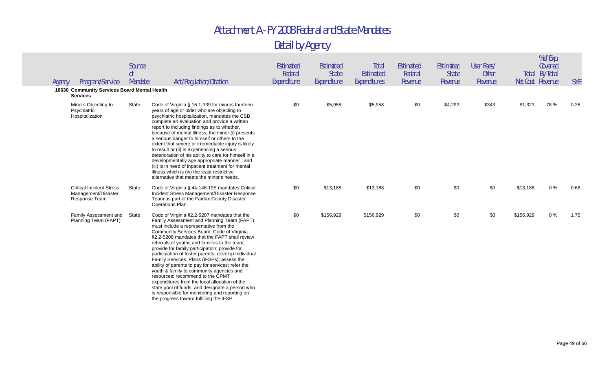| Program/Service<br>Agency                                               | Source<br>0 <sup>f</sup><br>Mandate | Act/Regulation/Citation                                                                                                                                                                                                                                                                                                                                                                                                                                                                                                                                                                                                                                                                                                                                                          | Estimated<br>Federal<br>Expenditure | Estimated<br><b>State</b><br>Expenditure | Total<br>Estimated<br>Expenditures | <b>Estimated</b><br>Federal<br>Revenue | Estimated<br><b>State</b><br>Revenue | User Fees/<br><b>Other</b><br>Revenue | Net Cost Revenue | % of Exp.<br>Covered<br><b>Total By Total</b> | <b>SYE</b> |
|-------------------------------------------------------------------------|-------------------------------------|----------------------------------------------------------------------------------------------------------------------------------------------------------------------------------------------------------------------------------------------------------------------------------------------------------------------------------------------------------------------------------------------------------------------------------------------------------------------------------------------------------------------------------------------------------------------------------------------------------------------------------------------------------------------------------------------------------------------------------------------------------------------------------|-------------------------------------|------------------------------------------|------------------------------------|----------------------------------------|--------------------------------------|---------------------------------------|------------------|-----------------------------------------------|------------|
| 10630 Community Services Board Mental Health<br><b>Services</b>         |                                     |                                                                                                                                                                                                                                                                                                                                                                                                                                                                                                                                                                                                                                                                                                                                                                                  |                                     |                                          |                                    |                                        |                                      |                                       |                  |                                               |            |
| Minors Objecting to<br>Psychiatric<br>Hospitalization                   | State                               | Code of Virginia § 16.1-339 for minors fourteen<br>years of age or older who are objecting to<br>psychiatric hospitalization, mandates the CSB<br>complete an evaluation and provide a written<br>report to including findings as to whether,<br>because of mental illness, the minor (i) presents<br>a serious danger to himself or others to the<br>extent that severe or irremediable injury is likely<br>to result or (ii) is experiencing a serious<br>deterioration of his ability to care for himself in a<br>developmentally age appropriate manner, and<br>(iii) is in need of inpatient treatment for mental<br>illness which is (iv) the least restrictive<br>alternative that meets the minor's needs.                                                               | \$0                                 | \$5,958                                  | \$5,958                            | \$0                                    | \$4,292                              | \$343                                 | \$1,323          | 78%                                           | 0.26       |
| <b>Critical Incident Stress</b><br>Management/Disaster<br>Response Team | State                               | Code of Virginia § 44-146.19E mandates Critical<br>Incident Stress Management/Disaster Response<br>Team as part of the Fairfax County Disaster<br>Operations Plan.                                                                                                                                                                                                                                                                                                                                                                                                                                                                                                                                                                                                               | \$0                                 | \$13,188                                 | \$13,188                           | \$0                                    | \$0                                  | \$0                                   | \$13,188         | $0\%$                                         | 0.68       |
| Family Assessment and<br>Planning Team (FAPT)                           | State                               | Code of Virginia §2.2-5207 mandates that the<br>Family Assessment and Planning Team (FAPT)<br>must include a representative from the<br>Community Services Board. Code of Virginia<br>§2.2-5208 mandates that the FAPT shall review<br>referrals of youths and families to the team;<br>provide for family participation; provide for<br>participation of foster parents; develop Individual<br>Family Services Plans (IFSPs); assess the<br>ability of parents to pay for services; refer the<br>youth & family to community agencies and<br>resources; recommend to the CPMT<br>expenditures from the local allocation of the<br>state pool of funds; and designate a person who<br>is responsible for monitoring and reporting on<br>the progress toward fulfilling the IFSP. | \$0                                 | \$156,929                                | \$156,929                          | \$0                                    | \$0                                  | \$0                                   | \$156,929        | $0\%$                                         | 1.75       |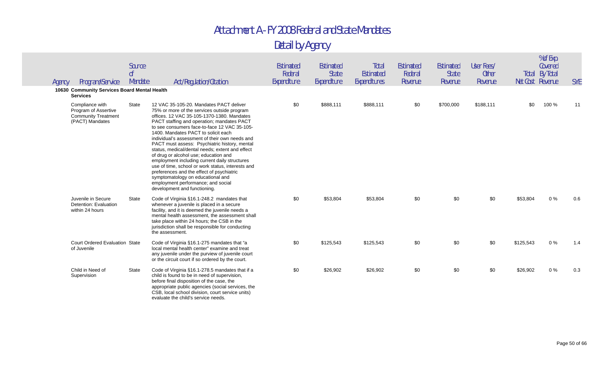| Program/Service<br>Agency                                                                | Source<br>0 <sup>f</sup><br>Mandate | Act/Regulation/Citation                                                                                                                                                                                                                                                                                                                                                                                                                                                                                                                                                                                                                                                                                                                | <b>Estimated</b><br>Federal<br>Expenditure | Estimated<br><b>State</b><br>Expenditure | Total<br>Estimated<br>Expenditures | <b>Estimated</b><br>Federal<br>Revenue | Estimated<br><b>State</b><br>Revenue | User Fees/<br><b>Other</b><br>Revenue | Net Cost Revenue | % of Exp.<br>Covered<br><b>Total By Total</b> | <b>SYE</b> |
|------------------------------------------------------------------------------------------|-------------------------------------|----------------------------------------------------------------------------------------------------------------------------------------------------------------------------------------------------------------------------------------------------------------------------------------------------------------------------------------------------------------------------------------------------------------------------------------------------------------------------------------------------------------------------------------------------------------------------------------------------------------------------------------------------------------------------------------------------------------------------------------|--------------------------------------------|------------------------------------------|------------------------------------|----------------------------------------|--------------------------------------|---------------------------------------|------------------|-----------------------------------------------|------------|
| 10630 Community Services Board Mental Health<br><b>Services</b>                          |                                     |                                                                                                                                                                                                                                                                                                                                                                                                                                                                                                                                                                                                                                                                                                                                        |                                            |                                          |                                    |                                        |                                      |                                       |                  |                                               |            |
| Compliance with<br>Program of Assertive<br><b>Community Treatment</b><br>(PACT) Mandates | State                               | 12 VAC 35-105-20. Mandates PACT deliver<br>75% or more of the services outside program<br>offices. 12 VAC 35-105-1370-1380. Mandates<br>PACT staffing and operation; mandates PACT<br>to see consumers face-to-face 12 VAC 35-105-<br>1400. Mandates PACT to solicit each<br>individual's assessment of their own needs and<br>PACT must assess: Psychiatric history, mental<br>status, medical/dental needs; extent and effect<br>of drug or alcohol use; education and<br>employment including current daily structures<br>use of time, school or work status, interests and<br>preferences and the effect of psychiatric<br>symptomatology on educational and<br>employment performance; and social<br>development and functioning. | \$0                                        | \$888,111                                | \$888,111                          | \$0                                    | \$700,000                            | \$188,111                             | \$0              | 100 %                                         | 11         |
| Juvenile in Secure<br>Detention: Evaluation<br>within 24 hours                           | State                               | Code of Virginia §16.1-248.2 mandates that<br>whenever a juvenile is placed in a secure<br>facility, and it is deemed the juvenile needs a<br>mental health assessment, the assessment shall<br>take place within 24 hours; the CSB in the<br>jurisdiction shall be responsible for conducting<br>the assessment.                                                                                                                                                                                                                                                                                                                                                                                                                      | \$0                                        | \$53,804                                 | \$53,804                           | \$0                                    | \$0                                  | \$0                                   | \$53,804         | 0%                                            | 0.6        |
| <b>Court Ordered Evaluation State</b><br>of Juvenile                                     |                                     | Code of Virginia §16.1-275 mandates that "a<br>local mental health center" examine and treat<br>any juvenile under the purview of juvenile court<br>or the circuit court if so ordered by the court.                                                                                                                                                                                                                                                                                                                                                                                                                                                                                                                                   | \$0                                        | \$125,543                                | \$125,543                          | \$0                                    | \$0                                  | \$0                                   | \$125,543        | $0\%$                                         | 1.4        |
| Child in Need of<br>Supervision                                                          | State                               | Code of Virginia §16.1-278.5 mandates that if a<br>child is found to be in need of supervision,<br>before final disposition of the case, the<br>appropriate public agencies (social services, the<br>CSB, local school division, court service units)<br>evaluate the child's service needs.                                                                                                                                                                                                                                                                                                                                                                                                                                           | \$0                                        | \$26,902                                 | \$26,902                           | \$0                                    | \$0                                  | \$0                                   | \$26,902         | $0\%$                                         | 0.3        |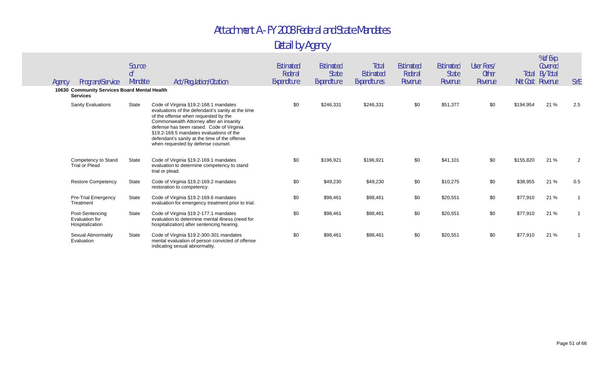Detail by Agency

| Agency | Program/Service<br>10630 Community Services Board Mental Health<br><b>Services</b> | Source<br>0f<br>Mandate | Act/Regulation/Citation                                                                                                                                                                                                                                                                                                                                      | Estimated<br>Federal<br>Expenditure | Estimated<br><b>State</b><br>Expenditure | Total<br>Estimated<br>Expenditures | Estimated<br>Federal<br>Revenue | <b>Estimated</b><br><b>State</b><br>Revenue | User Fees/<br><b>Other</b><br>Revenue | Total<br>Net Cost Revenue | % of Exp.<br>Covered<br>By Total | <b>SYE</b> |
|--------|------------------------------------------------------------------------------------|-------------------------|--------------------------------------------------------------------------------------------------------------------------------------------------------------------------------------------------------------------------------------------------------------------------------------------------------------------------------------------------------------|-------------------------------------|------------------------------------------|------------------------------------|---------------------------------|---------------------------------------------|---------------------------------------|---------------------------|----------------------------------|------------|
|        | <b>Sanity Evaluations</b>                                                          | <b>State</b>            | Code of Virginia §19.2-168.1 mandates<br>evaluations of the defendant's sanity at the time<br>of the offense when requested by the<br>Commonwealth Attorney after an insanity<br>defense has been raised. Code of Virginia<br>§19.2-169.5 mandates evaluations of the<br>defendant's sanity at the time of the offense<br>when requested by defense counsel. | \$0                                 | \$246,331                                | \$246,331                          | \$0                             | \$51,377                                    | \$0                                   | \$194,954                 | 21 %                             | 2.5        |
|        | Competency to Stand<br><b>Trial or Plead</b>                                       | State                   | Code of Virginia §19.2-169.1 mandates<br>evaluation to determine competency to stand<br>trial or plead.                                                                                                                                                                                                                                                      | \$0                                 | \$196,921                                | \$196,921                          | \$0                             | \$41,101                                    | \$0                                   | \$155,820                 | 21 %                             | 2          |
|        | <b>Restore Competency</b>                                                          | <b>State</b>            | Code of Virginia §19.2-169.2 mandates<br>restoration to competency.                                                                                                                                                                                                                                                                                          | \$0                                 | \$49,230                                 | \$49,230                           | \$0                             | \$10,275                                    | \$0                                   | \$38,955                  | 21 %                             | 0.5        |
|        | <b>Pre-Trial Emergency</b><br>Treatment                                            | <b>State</b>            | Code of Virginia §19.2-169.6 mandates<br>evaluation for emergency treatment prior to trial.                                                                                                                                                                                                                                                                  | \$0                                 | \$98,461                                 | \$98,461                           | \$0                             | \$20,551                                    | \$0                                   | \$77,910                  | 21 %                             |            |
|        | Post-Sentencing<br>Evaluation for<br>Hospitalization                               | State                   | Code of Virginia §19.2-177.1 mandates<br>evaluation to determine mental illness (need for<br>hospitalization) after sentencing hearing.                                                                                                                                                                                                                      | \$0                                 | \$98,461                                 | \$98,461                           | \$0                             | \$20,551                                    | \$0                                   | \$77,910                  | 21 %                             |            |
|        | Sexual Abnormality<br>Evaluation                                                   | <b>State</b>            | Code of Virginia §19.2-300-301 mandates<br>mental evaluation of person convicted of offense<br>indicating sexual abnormality.                                                                                                                                                                                                                                | \$0                                 | \$98,461                                 | \$98,461                           | \$0                             | \$20,551                                    | \$0                                   | \$77,910                  | 21 %                             |            |

% of Exp.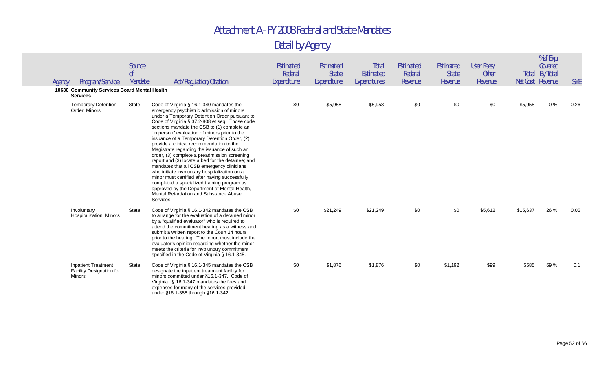| Agency | Program/Service<br>10630 Community Services Board Mental Health         | Source<br>0 <sup>f</sup><br>Mandate | Act/Regulation/Citation                                                                                                                                                                                                                                                                                                                                                                                                                                                                                                                                                                                                                                                                                                                                                                                                                          | Estimated<br>Federal<br>Expenditure | Estimated<br><b>State</b><br>Expenditure | Total<br>Estimated<br>Expenditures | <b>Estimated</b><br>Federal<br>Revenue | Estimated<br>State<br>Revenue | User Fees/<br><b>Other</b><br>Revenue |          | % of Exp.<br>Covered<br><b>Total By Total</b><br>Net Cost Revenue | <b>SYE</b> |
|--------|-------------------------------------------------------------------------|-------------------------------------|--------------------------------------------------------------------------------------------------------------------------------------------------------------------------------------------------------------------------------------------------------------------------------------------------------------------------------------------------------------------------------------------------------------------------------------------------------------------------------------------------------------------------------------------------------------------------------------------------------------------------------------------------------------------------------------------------------------------------------------------------------------------------------------------------------------------------------------------------|-------------------------------------|------------------------------------------|------------------------------------|----------------------------------------|-------------------------------|---------------------------------------|----------|-------------------------------------------------------------------|------------|
|        | <b>Services</b>                                                         |                                     |                                                                                                                                                                                                                                                                                                                                                                                                                                                                                                                                                                                                                                                                                                                                                                                                                                                  |                                     |                                          |                                    |                                        |                               |                                       |          |                                                                   |            |
|        | <b>Temporary Detention</b><br>Order: Minors                             | State                               | Code of Virginia § 16.1-340 mandates the<br>emergency psychiatric admission of minors<br>under a Temporary Detention Order pursuant to<br>Code of Virginia § 37.2-808 et seq. Those code<br>sections mandate the CSB to (1) complete an<br>"in person" evaluation of minors prior to the<br>issuance of a Temporary Detention Order, (2)<br>provide a clinical recommendation to the<br>Magistrate regarding the issuance of such an<br>order, (3) complete a preadmission screening<br>report and (3) locate a bed for the detainee; and<br>mandates that all CSB emergency clinicians<br>who initiate involuntary hospitalization on a<br>minor must certified after having successfully<br>completed a specialized training program as<br>approved by the Department of Mental Health,<br>Mental Retardation and Substance Abuse<br>Services. | \$0                                 | \$5,958                                  | \$5,958                            | \$0                                    | \$0                           | \$0                                   | \$5,958  | $0\%$                                                             | 0.26       |
|        | Involuntary<br>Hospitalization: Minors                                  | State                               | Code of Virginia § 16.1-342 mandates the CSB<br>to arrange for the evaluation of a detained minor<br>by a "qualified evaluator" who is required to<br>attend the commitment hearing as a witness and<br>submit a written report to the Court 24 hours<br>prior to the hearing. The report must include the<br>evaluator's opinion regarding whether the minor<br>meets the criteria for involuntary commitment<br>specified in the Code of Virginia § 16.1-345.                                                                                                                                                                                                                                                                                                                                                                                  | \$0                                 | \$21,249                                 | \$21,249                           | \$0                                    | \$0                           | \$5,612                               | \$15,637 | 26 %                                                              | 0.05       |
|        | <b>Inpatient Treatment</b><br><b>Facility Designation for</b><br>Minors | State                               | Code of Virginia § 16.1-345 mandates the CSB<br>designate the inpatient treatment facility for<br>minors committed under §16.1-347. Code of<br>Virginia § 16.1-347 mandates the fees and<br>expenses for many of the services provided<br>under §16.1-388 through §16.1-342                                                                                                                                                                                                                                                                                                                                                                                                                                                                                                                                                                      | \$0                                 | \$1,876                                  | \$1,876                            | \$0                                    | \$1,192                       | \$99                                  | \$585    | 69%                                                               | 0.1        |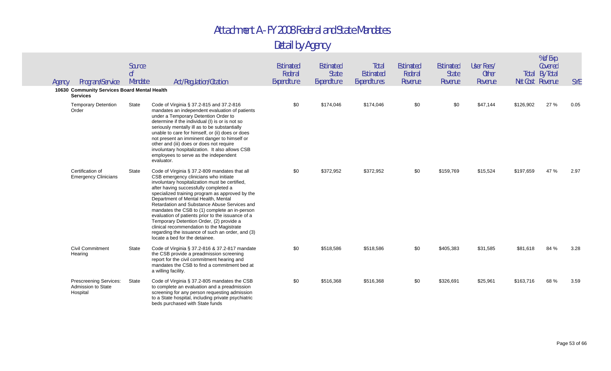| Agency | Program/Service                                                 | Source<br>0 <sup>f</sup><br>Mandate | Act/Regulation/Citation                                                                                                                                                                                                                                                                                                                                                                                                                                                                                                                                                                                          | Estimated<br>Federal<br>Expenditure | Estimated<br><b>State</b><br>Expenditure | Total<br><b>Estimated</b><br>Expenditures | <b>Estimated</b><br>Federal<br>Revenue | Estimated<br><b>State</b><br>Revenue | User Fees/<br><b>Other</b><br>Revenue | Net Cost Revenue | % of Exp.<br>Covered<br><b>Total By Total</b> | <b>SYE</b> |
|--------|-----------------------------------------------------------------|-------------------------------------|------------------------------------------------------------------------------------------------------------------------------------------------------------------------------------------------------------------------------------------------------------------------------------------------------------------------------------------------------------------------------------------------------------------------------------------------------------------------------------------------------------------------------------------------------------------------------------------------------------------|-------------------------------------|------------------------------------------|-------------------------------------------|----------------------------------------|--------------------------------------|---------------------------------------|------------------|-----------------------------------------------|------------|
|        | 10630 Community Services Board Mental Health<br><b>Services</b> |                                     |                                                                                                                                                                                                                                                                                                                                                                                                                                                                                                                                                                                                                  |                                     |                                          |                                           |                                        |                                      |                                       |                  |                                               |            |
|        | <b>Temporary Detention</b><br>Order                             | State                               | Code of Virginia § 37.2-815 and 37.2-816<br>mandates an independent evaluation of patients<br>under a Temporary Detention Order to<br>determine if the individual (I) is or is not so<br>seriously mentally ill as to be substantially<br>unable to care for himself, or (ii) does or does<br>not present an imminent danger to himself or<br>other and (iii) does or does not require<br>involuntary hospitalization. It also allows CSB<br>employees to serve as the independent<br>evaluator.                                                                                                                 | \$0                                 | \$174,046                                | \$174,046                                 | \$0                                    | \$0                                  | \$47,144                              | \$126,902        | 27 %                                          | 0.05       |
|        | Certification of<br><b>Emergency Clinicians</b>                 | <b>State</b>                        | Code of Virginia § 37.2-809 mandates that all<br>CSB emergency clinicians who initiate<br>involuntary hospitalization must be certified,<br>after having successfully completed a<br>specialized training program as approved by the<br>Department of Mental Health, Mental<br>Retardation and Substance Abuse Services and<br>mandates the CSB to (1) complete an in-person<br>evaluation of patients prior to the issuance of a<br>Temporary Detention Order, (2) provide a<br>clinical recommendation to the Magistrate<br>regarding the issuance of such an order, and (3)<br>locate a bed for the detainee. | \$0                                 | \$372,952                                | \$372,952                                 | \$0                                    | \$159,769                            | \$15,524                              | \$197,659        | 47 %                                          | 2.97       |
|        | <b>Civil Commitment</b><br>Hearing                              | State                               | Code of Virginia § 37.2-816 & 37.2-817 mandate<br>the CSB provide a preadmission screening<br>report for the civil commitment hearing and<br>mandates the CSB to find a commitment bed at<br>a willing facility.                                                                                                                                                                                                                                                                                                                                                                                                 | \$0                                 | \$518,586                                | \$518,586                                 | \$0                                    | \$405,383                            | \$31,585                              | \$81,618         | 84 %                                          | 3.28       |
|        | Prescreening Services:<br>Admission to State<br>Hospital        | State                               | Code of Virginia § 37.2-805 mandates the CSB<br>to complete an evaluation and a preadmission<br>screening for any person requesting admission<br>to a State hospital, including private psychiatric<br>beds purchased with State funds                                                                                                                                                                                                                                                                                                                                                                           | \$0                                 | \$516,368                                | \$516,368                                 | \$0                                    | \$326,691                            | \$25,961                              | \$163,716        | 68 %                                          | 3.59       |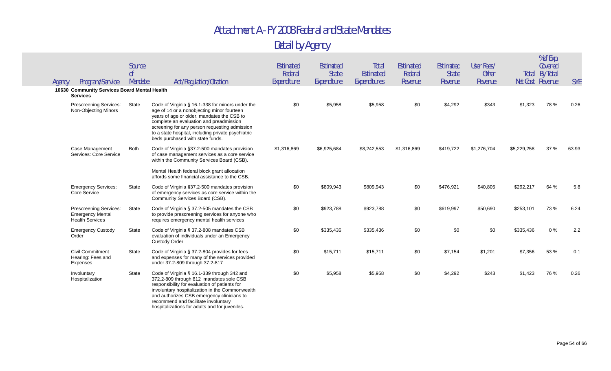| Agency | Program/Service                                                             | Source<br>0f<br>Mandate | Act/Regulation/Citation                                                                                                                                                                                                                                                                                                            | Estimated<br>Federal<br>Expenditure | Estimated<br><b>State</b><br>Expenditure | Total<br><b>Estimated</b><br>Expenditures | <b>Estimated</b><br>Federal<br>Revenue | <b>Estimated</b><br><b>State</b><br>Revenue | User Fees/<br><b>Other</b><br>Revenue |             | % of Exp.<br>Covered<br>Total By Total<br>Net Cost Revenue | <b>SYE</b> |
|--------|-----------------------------------------------------------------------------|-------------------------|------------------------------------------------------------------------------------------------------------------------------------------------------------------------------------------------------------------------------------------------------------------------------------------------------------------------------------|-------------------------------------|------------------------------------------|-------------------------------------------|----------------------------------------|---------------------------------------------|---------------------------------------|-------------|------------------------------------------------------------|------------|
|        | 10630 Community Services Board Mental Health<br><b>Services</b>             |                         |                                                                                                                                                                                                                                                                                                                                    |                                     |                                          |                                           |                                        |                                             |                                       |             |                                                            |            |
|        | <b>Prescreening Services:</b><br>Non-Objecting Minors                       | State                   | Code of Virginia § 16.1-338 for minors under the<br>age of 14 or a nonobjecting minor fourteen<br>years of age or older, mandates the CSB to<br>complete an evaluation and preadmission<br>screening for any person requesting admission<br>to a state hospital, including private psychiatric<br>beds purchased with state funds. | \$0                                 | \$5,958                                  | \$5,958                                   | \$0                                    | \$4,292                                     | \$343                                 | \$1,323     | 78 %                                                       | 0.26       |
|        | <b>Case Management</b><br>Services: Core Service                            | <b>Both</b>             | Code of Virginia §37.2-500 mandates provision<br>of case management services as a core service<br>within the Community Services Board (CSB).<br>Mental Health federal block grant allocation<br>affords some financial assistance to the CSB.                                                                                      | \$1,316,869                         | \$6,925,684                              | \$8,242,553                               | \$1,316,869                            | \$419,722                                   | \$1,276,704                           | \$5,229,258 | 37 %                                                       | 63.93      |
|        | <b>Emergency Services:</b><br>Core Service                                  | State                   | Code of Virginia §37.2-500 mandates provision<br>of emergency services as core service within the<br>Community Services Board (CSB).                                                                                                                                                                                               | \$0                                 | \$809,943                                | \$809,943                                 | \$0                                    | \$476,921                                   | \$40,805                              | \$292,217   | 64 %                                                       | 5.8        |
|        | Prescreening Services:<br><b>Emergency Mental</b><br><b>Health Services</b> | State                   | Code of Virginia § 37.2-505 mandates the CSB<br>to provide prescreening services for anyone who<br>requires emergency mental health services                                                                                                                                                                                       | \$0                                 | \$923,788                                | \$923,788                                 | \$0                                    | \$619,997                                   | \$50,690                              | \$253,101   | 73 %                                                       | 6.24       |
|        | <b>Emergency Custody</b><br>Order                                           | State                   | Code of Virginia § 37.2-808 mandates CSB<br>evaluation of individuals under an Emergency<br><b>Custody Order</b>                                                                                                                                                                                                                   | \$0                                 | \$335,436                                | \$335,436                                 | \$0                                    | \$0                                         | \$0                                   | \$335,436   | 0%                                                         | 2.2        |
|        | <b>Civil Commitment</b><br>Hearing: Fees and<br>Expenses                    | State                   | Code of Virginia § 37.2-804 provides for fees<br>and expenses for many of the services provided<br>under 37.2-809 through 37.2-817                                                                                                                                                                                                 | \$0                                 | \$15,711                                 | \$15,711                                  | \$0                                    | \$7,154                                     | \$1,201                               | \$7,356     | 53 %                                                       | 0.1        |
|        | Involuntary<br>Hospitalization                                              | State                   | Code of Virginia § 16.1-339 through 342 and<br>372.2-809 through 812 mandates sole CSB<br>responsibility for evaluation of patients for<br>involuntary hospitalization in the Commonwealth<br>and authorizes CSB emergency clinicians to<br>recommend and facilitate involuntary<br>hospitalizations for adults and for juveniles. | \$0                                 | \$5,958                                  | \$5,958                                   | \$0                                    | \$4,292                                     | \$243                                 | \$1,423     | 76 %                                                       | 0.26       |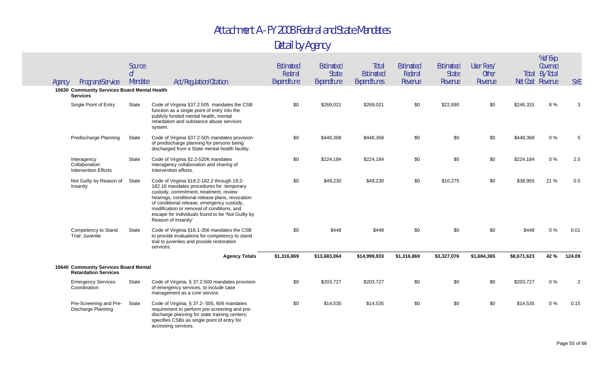| Agency | Program/Service                                                      | Source<br>0 <sup>f</sup><br>Mandate | Act/Regulation/Citation                                                                                                                                                                                                                                                                                                                                     | <b>Estimated</b><br>Federal<br>Expenditure | Estimated<br><b>State</b><br>Expenditure | Total<br>Estimated<br>Expenditures | Estimated<br>Federal<br>Revenue | Estimated<br><b>State</b><br>Revenue | User Fees/<br><b>Other</b><br>Revenue | Net Cost Revenue | % of Exp.<br>Covered<br><b>Total By Total</b> | <b>SYE</b>     |
|--------|----------------------------------------------------------------------|-------------------------------------|-------------------------------------------------------------------------------------------------------------------------------------------------------------------------------------------------------------------------------------------------------------------------------------------------------------------------------------------------------------|--------------------------------------------|------------------------------------------|------------------------------------|---------------------------------|--------------------------------------|---------------------------------------|------------------|-----------------------------------------------|----------------|
|        | 10630 Community Services Board Mental Health<br><b>Services</b>      |                                     |                                                                                                                                                                                                                                                                                                                                                             |                                            |                                          |                                    |                                 |                                      |                                       |                  |                                               |                |
|        | Single Point of Entry                                                | State                               | Code of Virginia §37.2.505 mandates the CSB<br>function as a single point of entry into the<br>publicly funded mental health, mental<br>retardation and substance abuse services<br>system.                                                                                                                                                                 | \$0                                        | \$269,021                                | \$269,021                          | \$0                             | \$22,690                             | \$0                                   | \$246,331        | 8%                                            | 3              |
|        | Predischarge Planning                                                | State                               | Code of Virginia §37.2-505 mandates provision<br>of predischarge planning for persons being<br>discharged from a State mental health facility.                                                                                                                                                                                                              | \$0                                        | \$448,368                                | \$448,368                          | \$0                             | \$0                                  | \$0                                   | \$448,368        | 0%                                            | 5              |
|        | Interagency<br>Collaboration:<br><b>Intervention Efforts</b>         | State                               | Code of Virginia §2.2-5206 mandates<br>interagency collaboration and sharing of<br>Intervention efforts.                                                                                                                                                                                                                                                    | \$0                                        | \$224,184                                | \$224,184                          | \$0                             | \$0                                  | \$0                                   | \$224,184        | $0\%$                                         | 2.5            |
|        | Not Guilty by Reason of<br>Insanity                                  | State                               | Code of Virginia §19.2-182.2 through 19.2-<br>182.16 mandates procedures for temporary<br>custody, commitment, treatment, review<br>hearings, conditional release plans, revocation<br>of conditional release, emergency custody,<br>modification or removal of conditions, and<br>escape for individuals found to be 'Not Guilty by<br>Reason of Insanity' | \$0                                        | \$49,230                                 | \$49,230                           | \$0                             | \$10,275                             | \$0                                   | \$38,955         | 21 %                                          | 0.5            |
|        | Competency to Stand<br>Trial: Juvenile                               | State                               | Code of Virginia §16.1-356 mandates the CSB<br>to provide evaluations for competency to stand<br>trial to juveniles and provide restoration<br>services.                                                                                                                                                                                                    | \$0                                        | \$448                                    | \$448                              | \$0                             | \$0                                  | \$0                                   | \$448            | 0%                                            | 0.01           |
|        |                                                                      |                                     | <b>Agency Totals</b>                                                                                                                                                                                                                                                                                                                                        | \$1,316,869                                | \$13,683,064                             | \$14,999,933                       | \$1,316,869                     | \$3,327,076                          | \$1,684,365                           | \$8,671,623      | 42 %                                          | 124.09         |
|        | 10640 Community Services Board Mental<br><b>Retardation Services</b> |                                     |                                                                                                                                                                                                                                                                                                                                                             |                                            |                                          |                                    |                                 |                                      |                                       |                  |                                               |                |
|        | <b>Emergency Services</b><br>Coordination                            | State                               | Code of Virginia, § 37.2-500 mandates provision<br>of emergency services, to include case<br>management as a core service.                                                                                                                                                                                                                                  | \$0                                        | \$203,727                                | \$203,727                          | \$0                             | \$0                                  | \$0                                   | \$203,727        | 0%                                            | $\overline{2}$ |
|        | Pre-Screening and Pre-<br>Discharge Planning                         | State                               | Code of Virginia, § 37.2- 505, 606 mandates<br>requirement to perform pre-screening and pre-<br>discharge planning for state training centers;<br>specifies CSBs as single point of entry for<br>accessing services.                                                                                                                                        | \$0                                        | \$14,535                                 | \$14,535                           | \$0                             | \$0                                  | \$0                                   | \$14,535         | 0%                                            | 0.15           |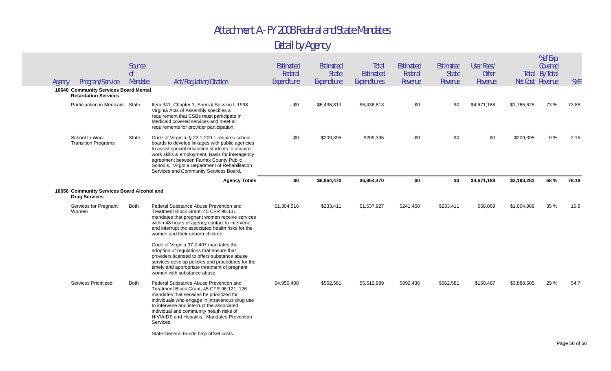| Agency | Program/Service                                                      | Source<br>0 <sup>f</sup><br>Mandate | Act/Regulation/Citation                                                                                                                                                                                                                                                                                                                        | Estimated<br>Federal<br>Expenditure | Estimated<br><b>State</b><br>Expenditure | Total<br>Estimated<br>Expenditures | Estimated<br>Federal<br>Revenue | Estimated<br><b>State</b><br>Revenue | User Fees/<br><b>Other</b><br>Revenue |             | % of Exp.<br>Covered<br><b>Total By Total</b><br>Net Cost Revenue | <b>SYE</b> |
|--------|----------------------------------------------------------------------|-------------------------------------|------------------------------------------------------------------------------------------------------------------------------------------------------------------------------------------------------------------------------------------------------------------------------------------------------------------------------------------------|-------------------------------------|------------------------------------------|------------------------------------|---------------------------------|--------------------------------------|---------------------------------------|-------------|-------------------------------------------------------------------|------------|
|        | 10640 Community Services Board Mental<br><b>Retardation Services</b> |                                     |                                                                                                                                                                                                                                                                                                                                                |                                     |                                          |                                    |                                 |                                      |                                       |             |                                                                   |            |
|        | Participation in Medicaid State                                      |                                     | Item 341, Chapter 1, Special Session I, 1998<br>Virginia Acts of Assembly specifies a<br>requirement that CSBs must participate in<br>Medicaid covered services and meet all<br>requirements for provider participation.                                                                                                                       | \$0                                 | \$6,436,813                              | \$6,436,813                        | \$0                             | \$0                                  | \$4,671,188                           | \$1,765,625 | 73 %                                                              | 73.88      |
|        | School to Work<br><b>Transition Programs</b>                         | State                               | Code of Virginia, § 22.1-209.1 requires school<br>boards to develop linkages with public agencies<br>to assist special education students to acquire<br>work skills & employment. Basis for interagency<br>agreement between Fairfax County Public<br>Schools, Virginia Department of Rehabilitation<br>Services and Community Services Board. | \$0                                 | \$209,395                                | \$209,395                          | \$0                             | \$0                                  | \$0                                   | \$209,395   | 0%                                                                | 2.15       |
|        |                                                                      |                                     | <b>Agency Totals</b>                                                                                                                                                                                                                                                                                                                           | \$0                                 | \$6,864,470                              | \$6,864,470                        | \$0                             | \$0                                  | \$4,671,188                           | \$2,193,282 | 68 %                                                              | 78.18      |
|        | 10656 Community Services Board Alcohol and<br><b>Drug Services</b>   |                                     |                                                                                                                                                                                                                                                                                                                                                |                                     |                                          |                                    |                                 |                                      |                                       |             |                                                                   |            |
|        | Services for Pregnant<br>Women                                       | <b>Both</b>                         | Federal Substance Abuse Prevention and<br>Treatment Block Grant, 45 CFR 96.131                                                                                                                                                                                                                                                                 | \$1,304,516                         | \$233,411                                | \$1,537,927                        | \$241,458                       | \$233,411                            | \$58,069                              | \$1,004,989 | 35 %                                                              | 15.9       |
|        |                                                                      |                                     | mandates that pregnant women receive services<br>within 48 hours of agency contact to intervene<br>and interrupt the associated health risks for the<br>women and their unborn children.                                                                                                                                                       |                                     |                                          |                                    |                                 |                                      |                                       |             |                                                                   |            |
|        |                                                                      |                                     | Code of Virginia 37.2-407 mandates the<br>adoption of regulations that ensure that<br>providers licensed to offers substance abuse<br>services develop policies and procedures for the<br>timely and appropriate treatment of pregnant<br>women with substance abuse.                                                                          |                                     |                                          |                                    |                                 |                                      |                                       |             |                                                                   |            |
|        | Services Prioritized                                                 | <b>Both</b>                         | Federal Substance Abuse Prevention and<br>Treatment Block Grant, 45 CFR 96.121, 126<br>mandates that services be prioritized for<br>individuals who engage in intravenous drug use<br>to intervene and interrupt the associated<br>individual and community health risks of<br>HIV/AIDS and Hepatitis. Mandates Prevention<br>Services.        | \$4,950,408                         | \$562,581                                | \$5,512,989                        | \$892,436                       | \$562,581                            | \$169,467                             | \$3,888,505 | 29 %                                                              | 54.7       |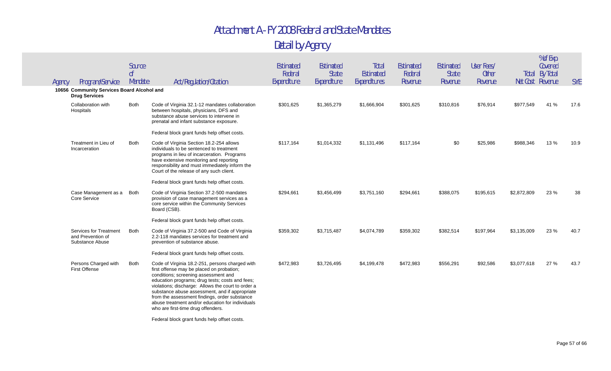|        |                                                                    | Source<br>0 <sup>f</sup> |                                                                                                                                                                                                                                                                                                                                                                                                                                            | Estimated<br>Federal | Estimated<br><b>State</b> | Total<br>Estimated | <b>Estimated</b><br>Federal | Estimated<br><b>State</b> | User Fees/<br><b>Other</b> |             | % of Exp.<br>Covered<br><b>Total By Total</b> |            |
|--------|--------------------------------------------------------------------|--------------------------|--------------------------------------------------------------------------------------------------------------------------------------------------------------------------------------------------------------------------------------------------------------------------------------------------------------------------------------------------------------------------------------------------------------------------------------------|----------------------|---------------------------|--------------------|-----------------------------|---------------------------|----------------------------|-------------|-----------------------------------------------|------------|
| Agency | Program/Service                                                    | Mandate                  | Act/Regulation/Citation                                                                                                                                                                                                                                                                                                                                                                                                                    | Expenditure          | Expenditure               | Expenditures       | Revenue                     | Revenue                   | Revenue                    |             | Net Cost Revenue                              | <b>SYE</b> |
|        | 10656 Community Services Board Alcohol and<br><b>Drug Services</b> |                          |                                                                                                                                                                                                                                                                                                                                                                                                                                            |                      |                           |                    |                             |                           |                            |             |                                               |            |
|        | Collaboration with<br>Hospitals                                    | Both                     | Code of Virginia 32.1-12 mandates collaboration<br>between hospitals, physicians, DFS and<br>substance abuse services to intervene in<br>prenatal and infant substance exposure.                                                                                                                                                                                                                                                           | \$301,625            | \$1,365,279               | \$1,666,904        | \$301,625                   | \$310,816                 | \$76,914                   | \$977,549   | 41 %                                          | 17.6       |
|        |                                                                    |                          | Federal block grant funds help offset costs.                                                                                                                                                                                                                                                                                                                                                                                               |                      |                           |                    |                             |                           |                            |             |                                               |            |
|        | Treatment in Lieu of<br>Incarceration                              | Both                     | Code of Virginia Section 18.2-254 allows<br>individuals to be sentenced to treatment<br>programs in lieu of incarceration. Programs<br>have extensive monitoring and reporting<br>responsibility and must immediately inform the<br>Court of the release of any such client.                                                                                                                                                               | \$117,164            | \$1,014,332               | \$1,131,496        | \$117,164                   | \$0                       | \$25,986                   | \$988,346   | 13 %                                          | 10.9       |
|        |                                                                    |                          | Federal block grant funds help offset costs.                                                                                                                                                                                                                                                                                                                                                                                               |                      |                           |                    |                             |                           |                            |             |                                               |            |
|        | Case Management as a<br>Core Service                               | <b>Both</b>              | Code of Virginia Section 37.2-500 mandates<br>provision of case management services as a<br>core service within the Community Services<br>Board (CSB).                                                                                                                                                                                                                                                                                     | \$294,661            | \$3,456,499               | \$3,751,160        | \$294,661                   | \$388,075                 | \$195,615                  | \$2,872,809 | 23 %                                          | 38         |
|        |                                                                    |                          | Federal block grant funds help offset costs.                                                                                                                                                                                                                                                                                                                                                                                               |                      |                           |                    |                             |                           |                            |             |                                               |            |
|        | Services for Treatment<br>and Prevention of<br>Substance Abuse     | <b>Both</b>              | Code of Virginia 37.2-500 and Code of Virginia<br>2.2-118 mandates services for treatment and<br>prevention of substance abuse.                                                                                                                                                                                                                                                                                                            | \$359,302            | \$3,715,487               | \$4,074,789        | \$359,302                   | \$382,514                 | \$197,964                  | \$3,135,009 | 23 %                                          | 40.7       |
|        |                                                                    |                          | Federal block grant funds help offset costs.                                                                                                                                                                                                                                                                                                                                                                                               |                      |                           |                    |                             |                           |                            |             |                                               |            |
|        | Persons Charged with<br><b>First Offense</b>                       | <b>Both</b>              | Code of Virginia 18.2-251, persons charged with<br>first offense may be placed on probation;<br>conditions; screening assessment and<br>education programs; drug tests; costs and fees;<br>violations; discharge: Allows the court to order a<br>substance abuse assessment, and if appropriate<br>from the assessment findings, order substance<br>abuse treatment and/or education for individuals<br>who are first-time drug offenders. | \$472,983            | \$3,726,495               | \$4,199,478        | \$472,983                   | \$556,291                 | \$92,586                   | \$3,077,618 | 27 %                                          | 43.7       |
|        |                                                                    |                          | Federal block grant funds help offset costs.                                                                                                                                                                                                                                                                                                                                                                                               |                      |                           |                    |                             |                           |                            |             |                                               |            |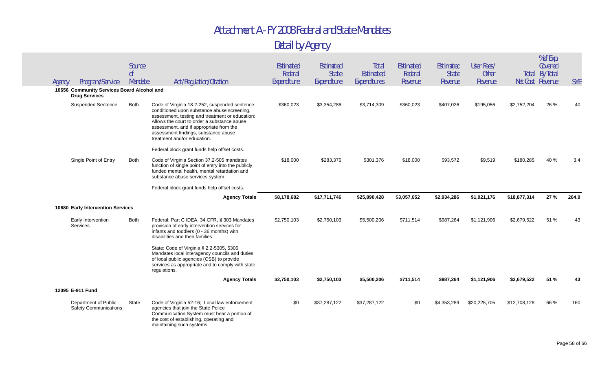| Agency | Program/Service                                                    | Source<br>0 <sup>f</sup><br>Mandate | Act/Regulation/Citation                                                                                                                                                                                                                                                                                          | Estimated<br>Federal<br>Expenditure | Estimated<br><b>State</b><br>Expenditure | Total<br>Estimated<br>Expenditures | Estimated<br>Federal<br>Revenue | <b>Estimated</b><br><b>State</b><br>Revenue | User Fees/<br><b>Other</b><br>Revenue | Net Cost Revenue | % of Exp.<br>Covered<br><b>Total By Total</b> | <b>SYE</b> |
|--------|--------------------------------------------------------------------|-------------------------------------|------------------------------------------------------------------------------------------------------------------------------------------------------------------------------------------------------------------------------------------------------------------------------------------------------------------|-------------------------------------|------------------------------------------|------------------------------------|---------------------------------|---------------------------------------------|---------------------------------------|------------------|-----------------------------------------------|------------|
|        | 10656 Community Services Board Alcohol and<br><b>Drug Services</b> |                                     |                                                                                                                                                                                                                                                                                                                  |                                     |                                          |                                    |                                 |                                             |                                       |                  |                                               |            |
|        | <b>Suspended Sentence</b>                                          | <b>Both</b>                         | Code of Virginia 18.2-252, suspended sentence<br>conditioned upon substance abuse screening,<br>assessment, testing and treatment or education:<br>Allows the court to order a substance abuse<br>assessment, and if appropriate from the<br>assessment findings, substance abuse<br>treatment and/or education. | \$360,023                           | \$3,354,286                              | \$3,714,309                        | \$360,023                       | \$407,026                                   | \$195,056                             | \$2,752,204      | 26 %                                          | 40         |
|        |                                                                    |                                     | Federal block grant funds help offset costs.                                                                                                                                                                                                                                                                     |                                     |                                          |                                    |                                 |                                             |                                       |                  |                                               |            |
|        | Single Point of Entry                                              | <b>Both</b>                         | Code of Virginia Section 37.2-505 mandates<br>function of single point of entry into the publicly<br>funded mental health, mental retardation and<br>substance abuse services system.                                                                                                                            | \$18,000                            | \$283,376                                | \$301,376                          | \$18,000                        | \$93,572                                    | \$9,519                               | \$180,285        | 40 %                                          | 3.4        |
|        |                                                                    |                                     | Federal block grant funds help offset costs.                                                                                                                                                                                                                                                                     |                                     |                                          |                                    |                                 |                                             |                                       |                  |                                               |            |
|        |                                                                    |                                     | <b>Agency Totals</b>                                                                                                                                                                                                                                                                                             | \$8,178,682                         | \$17,711,746                             | \$25,890,428                       | \$3,057,652                     | \$2,934,286                                 | \$1,021,176                           | \$18,877,314     | 27 %                                          | 264.9      |
|        | 10680 Early Intervention Services                                  |                                     |                                                                                                                                                                                                                                                                                                                  |                                     |                                          |                                    |                                 |                                             |                                       |                  |                                               |            |
|        | Early Intervention<br>Services                                     | <b>Both</b>                         | Federal: Part C IDEA, 34 CFR, § 303 Mandates<br>provision of early intervention services for<br>infants and toddlers (0 - 36 months) with<br>disabilities and their families.                                                                                                                                    | \$2,750,103                         | \$2,750,103                              | \$5,500,206                        | \$711,514                       | \$987,264                                   | \$1,121,906                           | \$2,679,522      | 51 %                                          | 43         |
|        |                                                                    |                                     | State: Code of Virginia § 2.2-5305, 5306<br>Mandates local interagency councils and duties<br>of local public agencies (CSB) to provide<br>services as appropriate and to comply with state<br>regulations.                                                                                                      |                                     |                                          |                                    |                                 |                                             |                                       |                  |                                               |            |
|        |                                                                    |                                     | <b>Agency Totals</b>                                                                                                                                                                                                                                                                                             | \$2,750,103                         | \$2,750,103                              | \$5,500,206                        | \$711,514                       | \$987,264                                   | \$1,121,906                           | \$2,679,522      | 51 %                                          | 43         |
|        | 12095 E-911 Fund                                                   |                                     |                                                                                                                                                                                                                                                                                                                  |                                     |                                          |                                    |                                 |                                             |                                       |                  |                                               |            |
|        | Department of Public<br><b>Safety Communications</b>               | State                               | Code of Virginia 52-16; Local law enforcement<br>agencies that join the State Police<br>Communication System must bear a portion of<br>the cost of establishing, operating and<br>maintaining such systems.                                                                                                      | \$0                                 | \$37,287,122                             | \$37,287,122                       | \$0                             | \$4,353,289                                 | \$20,225,705                          | \$12,708,128     | 66 %                                          | 160        |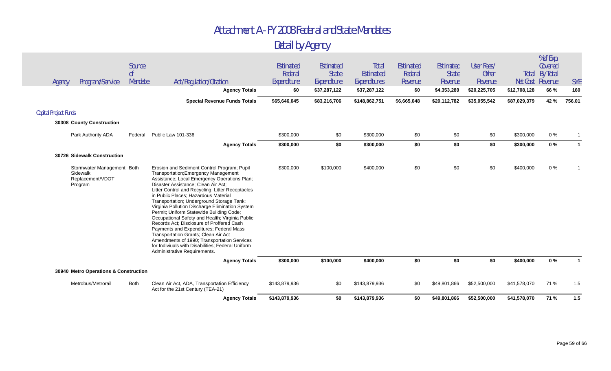| Agency<br><b>Capital Project Funds</b> | Program/Service                                                       | Source<br>0 <sup>f</sup><br>Mandate | Act/Regulation/Citation<br><b>Agency Totals</b><br><b>Special Revenue Funds Totals</b>                                                                                                                                                                                                                                                                                                                                                                                                                                                                                                                                                                                                                                                    | Estimated<br>Federal<br>Expenditure<br>\$0<br>\$65,646,045 | Estimated<br><b>State</b><br>Expenditure<br>\$37,287,122<br>\$83,216,706 | Total<br>Estimated<br>Expenditures<br>\$37,287,122<br>\$148,862,751 | <b>Estimated</b><br>Federal<br>Revenue<br>\$0<br>\$6,665,048 | <b>Estimated</b><br><b>State</b><br>Revenue<br>\$4,353,289<br>\$20,112,782 | User Fees/<br><b>Other</b><br>Revenue<br>\$20,225,705<br>\$35,055,542 | Net Cost Revenue<br>\$12,708,128<br>\$87,029,379 | % of Exp.<br>Covered<br><b>Total By Total</b><br>66 %<br>42 % | <b>SYE</b><br>160<br>756.01 |
|----------------------------------------|-----------------------------------------------------------------------|-------------------------------------|-------------------------------------------------------------------------------------------------------------------------------------------------------------------------------------------------------------------------------------------------------------------------------------------------------------------------------------------------------------------------------------------------------------------------------------------------------------------------------------------------------------------------------------------------------------------------------------------------------------------------------------------------------------------------------------------------------------------------------------------|------------------------------------------------------------|--------------------------------------------------------------------------|---------------------------------------------------------------------|--------------------------------------------------------------|----------------------------------------------------------------------------|-----------------------------------------------------------------------|--------------------------------------------------|---------------------------------------------------------------|-----------------------------|
|                                        | 30308 County Construction                                             |                                     |                                                                                                                                                                                                                                                                                                                                                                                                                                                                                                                                                                                                                                                                                                                                           |                                                            |                                                                          |                                                                     |                                                              |                                                                            |                                                                       |                                                  |                                                               |                             |
|                                        | Park Authority ADA                                                    | Federal                             | Public Law 101-336                                                                                                                                                                                                                                                                                                                                                                                                                                                                                                                                                                                                                                                                                                                        | \$300,000                                                  | \$0                                                                      | \$300,000                                                           | \$0                                                          | \$0                                                                        | \$0                                                                   | \$300,000                                        | $0\%$                                                         |                             |
|                                        |                                                                       |                                     | <b>Agency Totals</b>                                                                                                                                                                                                                                                                                                                                                                                                                                                                                                                                                                                                                                                                                                                      | \$300,000                                                  | \$0                                                                      | \$300,000                                                           | \$0                                                          | \$0                                                                        | \$0                                                                   | \$300,000                                        | $0\%$                                                         | $\mathbf{1}$                |
|                                        | 30726 Sidewalk Construction                                           |                                     |                                                                                                                                                                                                                                                                                                                                                                                                                                                                                                                                                                                                                                                                                                                                           |                                                            |                                                                          |                                                                     |                                                              |                                                                            |                                                                       |                                                  |                                                               |                             |
|                                        | Stormwater Management Both<br>Sidewalk<br>Replacement/VDOT<br>Program |                                     | Erosion and Sediment Control Program; Pupil<br>Transportation; Emergency Management<br>Assistance; Local Emergency Operations Plan;<br>Disaster Assistance; Clean Air Act;<br>Litter Control and Recycling; Litter Receptacles<br>in Public Places; Hazardous Material<br>Transportation; Underground Storage Tank;<br>Virginia Pollution Discharge Elimination System<br>Permit; Uniform Statewide Building Code;<br>Occupational Safety and Health; Virginia Public<br>Records Act; Disclosure of Proffered Cash<br>Payments and Expenditures; Federal Mass<br>Transportation Grants; Clean Air Act<br>Amendments of 1990; Transportation Services<br>for Indiviuals with Disabilities; Federal Uniform<br>Administrative Requirements. | \$300,000                                                  | \$100,000                                                                | \$400,000                                                           | \$0                                                          | \$0                                                                        | \$0                                                                   | \$400,000                                        | $0\%$                                                         |                             |
|                                        |                                                                       |                                     | <b>Agency Totals</b>                                                                                                                                                                                                                                                                                                                                                                                                                                                                                                                                                                                                                                                                                                                      | \$300,000                                                  | \$100,000                                                                | \$400,000                                                           | \$0                                                          | \$0                                                                        | \$0                                                                   | \$400,000                                        | $0\%$                                                         |                             |
|                                        | 30940 Metro Operations & Construction                                 |                                     |                                                                                                                                                                                                                                                                                                                                                                                                                                                                                                                                                                                                                                                                                                                                           |                                                            |                                                                          |                                                                     |                                                              |                                                                            |                                                                       |                                                  |                                                               |                             |
|                                        | Metrobus/Metrorail                                                    | Both                                | Clean Air Act, ADA, Transportation Efficiency<br>Act for the 21st Century (TEA-21)                                                                                                                                                                                                                                                                                                                                                                                                                                                                                                                                                                                                                                                        | \$143,879,936                                              | \$0                                                                      | \$143,879,936                                                       | \$0                                                          | \$49,801,866                                                               | \$52,500,000                                                          | \$41,578,070                                     | 71 %                                                          | 1.5                         |
|                                        |                                                                       |                                     | <b>Agency Totals</b>                                                                                                                                                                                                                                                                                                                                                                                                                                                                                                                                                                                                                                                                                                                      | \$143,879,936                                              | \$0                                                                      | \$143,879,936                                                       | \$0                                                          | \$49,801,866                                                               | \$52,500,000                                                          | \$41,578,070                                     | 71 %                                                          | 1.5                         |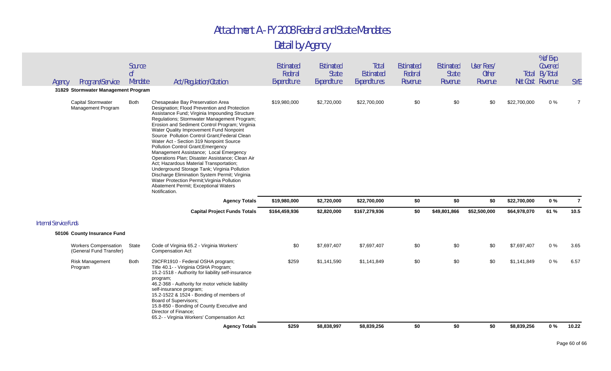| Agency                        | Program/Service                                        | Source<br>0 <sup>f</sup><br>Mandate | Act/Regulation/Citation                                                                                                                                                                                                                                                                                                                                                                                                                                                                                                                                                                                                                                                                                                                                           | Estimated<br>Federal<br>Expenditure | Estimated<br>State<br>Expenditure | Total<br>Estimated<br>Expenditures | Estimated<br>Federal<br>Revenue | Estimated<br><b>State</b><br>Revenue | User Fees/<br><b>Other</b><br>Revenue | Net Cost Revenue | % of Exp.<br>Covered<br><b>Total By Total</b> | <b>SYE</b>     |
|-------------------------------|--------------------------------------------------------|-------------------------------------|-------------------------------------------------------------------------------------------------------------------------------------------------------------------------------------------------------------------------------------------------------------------------------------------------------------------------------------------------------------------------------------------------------------------------------------------------------------------------------------------------------------------------------------------------------------------------------------------------------------------------------------------------------------------------------------------------------------------------------------------------------------------|-------------------------------------|-----------------------------------|------------------------------------|---------------------------------|--------------------------------------|---------------------------------------|------------------|-----------------------------------------------|----------------|
|                               | 31829 Stormwater Management Program                    |                                     |                                                                                                                                                                                                                                                                                                                                                                                                                                                                                                                                                                                                                                                                                                                                                                   |                                     |                                   |                                    |                                 |                                      |                                       |                  |                                               |                |
|                               | Capital Stormwater<br>Management Program               | <b>Both</b>                         | Chesapeake Bay Preservation Area<br>Designation; Flood Prevention and Protection<br>Assistance Fund; Virginia Impounding Structure<br>Regulations; Stormwater Management Program;<br>Erosion and Sediment Control Program; Virginia<br>Water Quality Improvement Fund Nonpoint<br>Source Pollution Control Grant; Federal Clean<br>Water Act - Section 319 Nonpoint Source<br>Pollution Control Grant; Emergency<br>Management Assistance; Local Emergency<br>Operations Plan; Disaster Assistance; Clean Air<br>Act; Hazardous Material Transportation;<br>Underground Storage Tank; Virginia Pollution<br>Discharge Elimination System Permit; Virginia<br>Water Protection Permit; Virginia Pollution<br>Abatement Permit; Exceptional Waters<br>Notification. | \$19,980,000                        | \$2,720,000                       | \$22,700,000                       | \$0                             | \$0                                  | \$0                                   | \$22,700,000     | $0\%$                                         | $\overline{7}$ |
|                               |                                                        |                                     | <b>Agency Totals</b>                                                                                                                                                                                                                                                                                                                                                                                                                                                                                                                                                                                                                                                                                                                                              | \$19,980,000                        | \$2,720,000                       | \$22,700,000                       | \$0                             | \$0                                  | \$0                                   | \$22,700,000     | $0\%$                                         | $\overline{7}$ |
|                               |                                                        |                                     | <b>Capital Project Funds Totals</b>                                                                                                                                                                                                                                                                                                                                                                                                                                                                                                                                                                                                                                                                                                                               | \$164,459,936                       | \$2,820,000                       | \$167,279,936                      | \$0                             | \$49,801,866                         | \$52,500,000                          | \$64,978,070     | 61 %                                          | 10.5           |
| <b>Internal Service Funds</b> |                                                        |                                     |                                                                                                                                                                                                                                                                                                                                                                                                                                                                                                                                                                                                                                                                                                                                                                   |                                     |                                   |                                    |                                 |                                      |                                       |                  |                                               |                |
|                               | 50106 County Insurance Fund                            |                                     |                                                                                                                                                                                                                                                                                                                                                                                                                                                                                                                                                                                                                                                                                                                                                                   |                                     |                                   |                                    |                                 |                                      |                                       |                  |                                               |                |
|                               | <b>Workers Compensation</b><br>(General Fund Transfer) | State                               | Code of Virginia 65.2 - Virginia Workers'<br><b>Compensation Act</b>                                                                                                                                                                                                                                                                                                                                                                                                                                                                                                                                                                                                                                                                                              | \$0                                 | \$7,697,407                       | \$7,697,407                        | \$0                             | \$0                                  | \$0                                   | \$7,697,407      | $0\%$                                         | 3.65           |
|                               | <b>Risk Management</b><br>Program                      | Both                                | 29CFR1910 - Federal OSHA program;<br>Title 40.1- - Viriginia OSHA Program;<br>15.2-1518 - Authority for liability self-insurance<br>program;<br>46.2-368 - Authority for motor vehicle liability<br>self-insurance program;<br>15.2-1522 & 1524 - Bonding of members of<br>Board of Supervisors;                                                                                                                                                                                                                                                                                                                                                                                                                                                                  | \$259                               | \$1,141,590                       | \$1,141,849                        | \$0                             | \$0                                  | \$0                                   | \$1,141,849      | 0%                                            | 6.57           |
|                               |                                                        |                                     | 15.8-850 - Bonding of County Executive and<br>Director of Finance:<br>65.2- - Virginia Workers' Compensation Act                                                                                                                                                                                                                                                                                                                                                                                                                                                                                                                                                                                                                                                  |                                     |                                   |                                    |                                 |                                      |                                       |                  |                                               |                |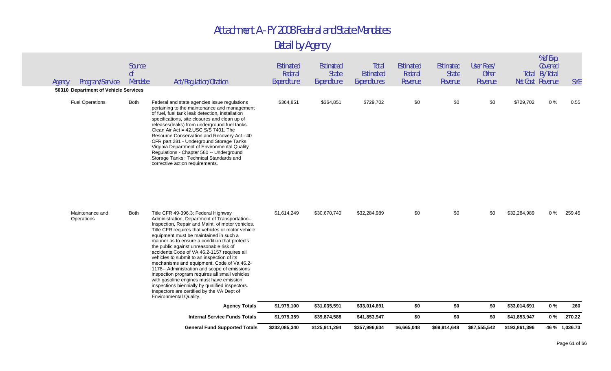|        |                                      |                                     | <b>General Fund Supported Totals</b>                                                                                                                                                                                                                                                                                                                                                                                                                                                                                                                                                                                                                                                                                                                              | \$232,085,340                       | \$125,911,294                            | \$357,996,634                      | \$6,665,048                     | \$69,914,648                         | \$87,555,542                          | \$193,861,396 |                                                      | 46 % 1,036.73 |
|--------|--------------------------------------|-------------------------------------|-------------------------------------------------------------------------------------------------------------------------------------------------------------------------------------------------------------------------------------------------------------------------------------------------------------------------------------------------------------------------------------------------------------------------------------------------------------------------------------------------------------------------------------------------------------------------------------------------------------------------------------------------------------------------------------------------------------------------------------------------------------------|-------------------------------------|------------------------------------------|------------------------------------|---------------------------------|--------------------------------------|---------------------------------------|---------------|------------------------------------------------------|---------------|
|        |                                      |                                     | <b>Internal Service Funds Totals</b>                                                                                                                                                                                                                                                                                                                                                                                                                                                                                                                                                                                                                                                                                                                              | \$1,979,359                         | \$39,874,588                             | \$41,853,947                       | \$0                             | \$0                                  | \$0                                   | \$41,853,947  | 0%                                                   | 270.22        |
|        |                                      |                                     | <b>Agency Totals</b>                                                                                                                                                                                                                                                                                                                                                                                                                                                                                                                                                                                                                                                                                                                                              | \$1,979,100                         | \$31,035,591                             | \$33,014,691                       | \$0                             | \$0                                  | \$0                                   | \$33,014,691  | $0\%$                                                | 260           |
|        | Maintenance and<br>Operations        | <b>Both</b>                         | Title CFR 49-396.3; Federal Highway<br>Administration, Department of Transportation--<br>Inspection, Repair and Maint. of motor vehicles.<br>Title CFR requires that vehicles or motor vehicle<br>equipment must be maintained in such a<br>manner as to ensure a condition that protects<br>the public against unreasonable risk of<br>accidents. Code of VA 46.2-1157 requires all<br>vehicles to submit to an inspection of its<br>mechanisms and equipment. Code of Va 46.2-<br>1178 -- Administration and scope of emissions<br>inspection program requires all small vehicles<br>with gasoline engines must have emission<br>inspections biennially by qualified inspectors.<br>Inspectors are certified by the VA Dept of<br><b>Environmental Quality.</b> | \$1,614,249                         | \$30,670,740                             | \$32,284,989                       | \$0                             | \$0                                  | \$0                                   | \$32,284,989  | $0\%$                                                | 259.45        |
|        | <b>Fuel Operations</b>               | Both                                | Federal and state agencies issue regulations<br>pertaining to the maintenance and management<br>of fuel, fuel tank leak detection, installation<br>specifications, site closures and clean up of<br>releases(leaks) from underground fuel tanks.<br>Clean Air Act = 42.USC S/S 7401. The<br>Resource Conservation and Recovery Act - 40<br>CFR part 281 - Underground Storage Tanks.<br>Virginia Department of Environmental Quality<br>Regulations - Chapter 580 -- Underground<br>Storage Tanks: Technical Standards and<br>corrective action requirements.                                                                                                                                                                                                     | \$364,851                           | \$364,851                                | \$729,702                          | \$0                             | \$0                                  | \$0                                   | \$729,702     | $0\%$                                                | 0.55          |
| Agency | 50310 Department of Vehicle Services |                                     |                                                                                                                                                                                                                                                                                                                                                                                                                                                                                                                                                                                                                                                                                                                                                                   |                                     |                                          |                                    |                                 |                                      |                                       |               |                                                      |               |
|        | Program/Service                      | Source<br>0 <sup>f</sup><br>Mandate | Act/Regulation/Citation                                                                                                                                                                                                                                                                                                                                                                                                                                                                                                                                                                                                                                                                                                                                           | Estimated<br>Federal<br>Expenditure | Estimated<br><b>State</b><br>Expenditure | Total<br>Estimated<br>Expenditures | Estimated<br>Federal<br>Revenue | Estimated<br><b>State</b><br>Revenue | User Fees/<br><b>Other</b><br>Revenue |               | Covered<br><b>Total By Total</b><br>Net Cost Revenue | <b>SYE</b>    |
|        |                                      |                                     |                                                                                                                                                                                                                                                                                                                                                                                                                                                                                                                                                                                                                                                                                                                                                                   |                                     |                                          |                                    |                                 |                                      |                                       |               | % of Exp.                                            |               |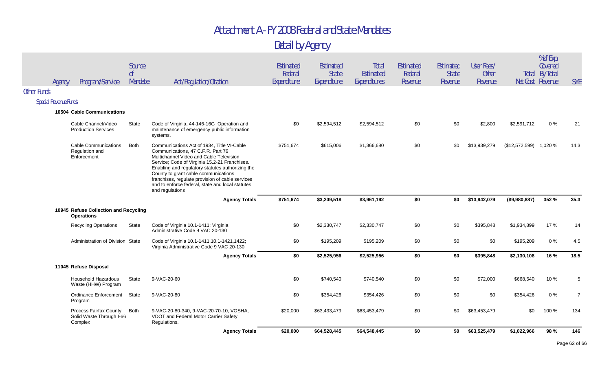|                    | Agency                       | Program/Service                                                      | Source<br>0 <sup>f</sup><br>Mandate | Act/Regulation/Citation                                                                                                                                                                                                                                                                                                                                                                            | Estimated<br>Federal<br>Expenditure | Estimated<br><b>State</b><br>Expenditure | Total<br>Estimated<br>Expenditures | <b>Estimated</b><br>Federal<br>Revenue | Estimated<br><b>State</b><br>Revenue | User Fees/<br>Other<br>Revenue |                        | % of Exp.<br>Covered<br>Total By Total<br>Net Cost Revenue | <b>SYE</b>     |
|--------------------|------------------------------|----------------------------------------------------------------------|-------------------------------------|----------------------------------------------------------------------------------------------------------------------------------------------------------------------------------------------------------------------------------------------------------------------------------------------------------------------------------------------------------------------------------------------------|-------------------------------------|------------------------------------------|------------------------------------|----------------------------------------|--------------------------------------|--------------------------------|------------------------|------------------------------------------------------------|----------------|
| <b>Other Funds</b> |                              |                                                                      |                                     |                                                                                                                                                                                                                                                                                                                                                                                                    |                                     |                                          |                                    |                                        |                                      |                                |                        |                                                            |                |
|                    | <b>Special Revenue Funds</b> |                                                                      |                                     |                                                                                                                                                                                                                                                                                                                                                                                                    |                                     |                                          |                                    |                                        |                                      |                                |                        |                                                            |                |
|                    |                              | 10504 Cable Communications                                           |                                     |                                                                                                                                                                                                                                                                                                                                                                                                    |                                     |                                          |                                    |                                        |                                      |                                |                        |                                                            |                |
|                    |                              | Cable Channel/Video<br><b>Production Services</b>                    | <b>State</b>                        | Code of Virginia, 44-146-16G Operation and<br>maintenance of emergency public information<br>systems.                                                                                                                                                                                                                                                                                              | \$0                                 | \$2,594,512                              | \$2,594,512                        | \$0                                    | \$0                                  | \$2,800                        | \$2,591,712            | $0\%$                                                      | 21             |
|                    |                              | <b>Cable Communications</b><br>Regulation and<br>Enforcement         | <b>Both</b>                         | Communications Act of 1934, Title VI-Cable<br>Communications, 47 C.F.R. Part 76<br>Multichannel Video and Cable Television<br>Service; Code of Virginia 15.2-21 Franchises.<br>Enabling and regulatory statutes authorizing the<br>County to grant cable communications<br>franchises, regulate provision of cable services<br>and to enforce federal, state and local statutes<br>and regulations | \$751,674                           | \$615,006                                | \$1,366,680                        | \$0                                    | \$0                                  | \$13,939,279                   | (\$12,572,599) 1,020 % |                                                            | 14.3           |
|                    |                              |                                                                      |                                     | <b>Agency Totals</b>                                                                                                                                                                                                                                                                                                                                                                               | \$751,674                           | \$3,209,518                              | \$3,961,192                        | \$0                                    | \$0                                  | \$13,942,079                   | (\$9,980,887)          | 352 %                                                      | 35.3           |
|                    |                              | 10945 Refuse Collection and Recycling<br><b>Operations</b>           |                                     |                                                                                                                                                                                                                                                                                                                                                                                                    |                                     |                                          |                                    |                                        |                                      |                                |                        |                                                            |                |
|                    |                              | <b>Recycling Operations</b>                                          | <b>State</b>                        | Code of Virginia 10.1-1411; Virginia<br>Administrative Code 9 VAC 20-130                                                                                                                                                                                                                                                                                                                           | \$0                                 | \$2,330,747                              | \$2,330,747                        | \$0                                    | \$0                                  | \$395,848                      | \$1,934,899            | 17 %                                                       | 14             |
|                    |                              | Administration of Division State                                     |                                     | Code of Virginia 10.1-1411, 10.1-1421, 1422;<br>Virginia Administrative Code 9 VAC 20-130                                                                                                                                                                                                                                                                                                          | \$0                                 | \$195,209                                | \$195,209                          | \$0                                    | \$0                                  | \$0                            | \$195,209              | $0\%$                                                      | 4.5            |
|                    |                              |                                                                      |                                     | <b>Agency Totals</b>                                                                                                                                                                                                                                                                                                                                                                               | \$0                                 | \$2,525,956                              | \$2,525,956                        | \$0                                    | \$0                                  | \$395,848                      | \$2,130,108            | 16 %                                                       | 18.5           |
|                    |                              | 11045 Refuse Disposal                                                |                                     |                                                                                                                                                                                                                                                                                                                                                                                                    |                                     |                                          |                                    |                                        |                                      |                                |                        |                                                            |                |
|                    |                              | Household Hazardous<br>Waste (HHW) Program                           | State                               | 9-VAC-20-60                                                                                                                                                                                                                                                                                                                                                                                        | \$0                                 | \$740,540                                | \$740,540                          | \$0                                    | \$0                                  | \$72,000                       | \$668,540              | 10 %                                                       | 5              |
|                    |                              | Ordinance Enforcement<br>Program                                     | State                               | 9-VAC-20-80                                                                                                                                                                                                                                                                                                                                                                                        | \$0                                 | \$354,426                                | \$354,426                          | \$0                                    | \$0                                  | \$0                            | \$354,426              | $0\%$                                                      | $\overline{7}$ |
|                    |                              | <b>Process Fairfax County</b><br>Solid Waste Through I-66<br>Complex | <b>Both</b>                         | 9-VAC-20-80-340, 9-VAC-20-70-10, VOSHA,<br>VDOT and Federal Motor Carrier Safety<br>Regulations.                                                                                                                                                                                                                                                                                                   | \$20,000                            | \$63,433,479                             | \$63,453,479                       | \$0                                    | \$0                                  | \$63,453,479                   | \$0                    | 100 %                                                      | 134            |
|                    |                              |                                                                      |                                     | <b>Agency Totals</b>                                                                                                                                                                                                                                                                                                                                                                               | \$20,000                            | \$64,528,445                             | \$64,548,445                       | \$0                                    | \$0                                  | \$63,525,479                   | \$1,022,966            | 98%                                                        | 146            |
|                    |                              |                                                                      |                                     |                                                                                                                                                                                                                                                                                                                                                                                                    |                                     |                                          |                                    |                                        |                                      |                                |                        |                                                            |                |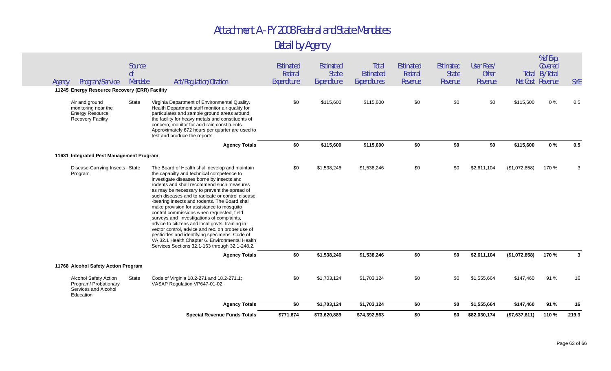| Agency | Program/Service                                                                             | Source<br>0 <sup>f</sup><br>Mandate | <b>Act/Regulation/Citation</b>                                                                                                                                                                                                                                                                                                                                                                                                                                                                                                                                                                                                                                                                                                                 | Estimated<br>Federal<br>Expenditure | Estimated<br><b>State</b><br>Expenditure | Total<br>Estimated<br>Expenditures | Estimated<br>Federal<br>Revenue | Estimated<br><b>State</b><br>Revenue | User Fees/<br><b>Other</b><br>Revenue |               | % of Exp.<br>Covered<br><b>Total By Total</b><br>Net Cost Revenue | <b>SYE</b> |
|--------|---------------------------------------------------------------------------------------------|-------------------------------------|------------------------------------------------------------------------------------------------------------------------------------------------------------------------------------------------------------------------------------------------------------------------------------------------------------------------------------------------------------------------------------------------------------------------------------------------------------------------------------------------------------------------------------------------------------------------------------------------------------------------------------------------------------------------------------------------------------------------------------------------|-------------------------------------|------------------------------------------|------------------------------------|---------------------------------|--------------------------------------|---------------------------------------|---------------|-------------------------------------------------------------------|------------|
|        | 11245 Energy Resource Recovery (ERR) Facility                                               |                                     |                                                                                                                                                                                                                                                                                                                                                                                                                                                                                                                                                                                                                                                                                                                                                |                                     |                                          |                                    |                                 |                                      |                                       |               |                                                                   |            |
|        | Air and ground<br>monitoring near the<br><b>Energy Resource</b><br><b>Recovery Facility</b> | State                               | Virginia Department of Environmental Quality.<br>Health Department staff monitor air quality for<br>particulates and sample ground areas around<br>the facility for heavy metals and constituents of<br>concern; monitor for acid rain constituents.<br>Approximately 672 hours per quarter are used to<br>test and produce the reports                                                                                                                                                                                                                                                                                                                                                                                                        | \$0                                 | \$115,600                                | \$115,600                          | \$0                             | \$0                                  | \$0                                   | \$115,600     | $0\%$                                                             | 0.5        |
|        |                                                                                             |                                     | <b>Agency Totals</b>                                                                                                                                                                                                                                                                                                                                                                                                                                                                                                                                                                                                                                                                                                                           | \$0                                 | \$115,600                                | \$115,600                          | \$0                             | \$0                                  | \$0                                   | \$115,600     | $0\%$                                                             | 0.5        |
|        | 11631 Integrated Pest Management Program                                                    |                                     |                                                                                                                                                                                                                                                                                                                                                                                                                                                                                                                                                                                                                                                                                                                                                |                                     |                                          |                                    |                                 |                                      |                                       |               |                                                                   |            |
|        | Disease-Carrying Insects State<br>Program                                                   |                                     | The Board of Health shall develop and maintain<br>the capabilty and technical competence to<br>investigate diseases borne by insects and<br>rodents and shall recommend such measures<br>as may be necessary to prevent the spread of<br>such diseases and to radicate or control disease<br>-bearing insects and rodents. The Board shall<br>make provision for assistance to mosquito<br>control commissions when requested, field<br>surveys and investigations of complaints,<br>advice to citizens and local govts, training in<br>vector control, advice and rec. on proper use of<br>pesticides and identifying specimens. Code of<br>VA 32.1 Health, Chapter 6. Environmental Health<br>Services Sections 32.1-163 through 32.1-248.2. | \$0                                 | \$1,538,246                              | \$1,538,246                        | \$0                             | \$0                                  | \$2,611,104                           | (\$1,072,858) | 170 %                                                             | 3          |
|        |                                                                                             |                                     | <b>Agency Totals</b>                                                                                                                                                                                                                                                                                                                                                                                                                                                                                                                                                                                                                                                                                                                           | \$0                                 | \$1,538,246                              | \$1,538,246                        | \$0                             | \$0                                  | \$2,611,104                           | (\$1,072,858) | 170 %                                                             | 3          |
|        | 11768 Alcohol Safety Action Program                                                         |                                     |                                                                                                                                                                                                                                                                                                                                                                                                                                                                                                                                                                                                                                                                                                                                                |                                     |                                          |                                    |                                 |                                      |                                       |               |                                                                   |            |
|        | <b>Alcohol Safety Action</b><br>Program/ Probationary<br>Services and Alcohol<br>Education  | State                               | Code of Virginia 18.2-271 and 18.2-271.1;<br>VASAP Regulation VP647-01-02                                                                                                                                                                                                                                                                                                                                                                                                                                                                                                                                                                                                                                                                      | \$0                                 | \$1,703,124                              | \$1,703,124                        | \$0                             | \$0                                  | \$1,555,664                           | \$147,460     | 91 %                                                              | 16         |
|        |                                                                                             |                                     | <b>Agency Totals</b>                                                                                                                                                                                                                                                                                                                                                                                                                                                                                                                                                                                                                                                                                                                           | \$0                                 | \$1,703,124                              | \$1,703,124                        | \$0                             | \$0                                  | \$1,555,664                           | \$147,460     | 91 %                                                              | 16         |
|        |                                                                                             |                                     | <b>Special Revenue Funds Totals</b>                                                                                                                                                                                                                                                                                                                                                                                                                                                                                                                                                                                                                                                                                                            | \$771,674                           | \$73,620,889                             | \$74,392,563                       | \$0                             | \$0                                  | \$82,030,174                          | (\$7,637,611) | 110 %                                                             | 219.3      |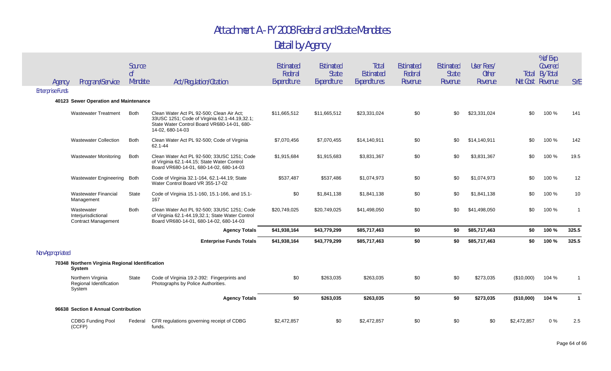| Agency                  | Program/Service                                                 | Source<br>0 <sup>f</sup><br>Mandate | Act/Regulation/Citation                                                                                                                                       | Estimated<br>Federal<br>Expenditure | Estimated<br><b>State</b><br>Expenditure | Total<br><b>Estimated</b><br>Expenditures | Estimated<br>Federal<br>Revenue | Estimated<br><b>State</b><br>Revenue | User Fees/<br><b>Other</b><br>Revenue | Net Cost Revenue | % of Exp.<br>Covered<br>Total By Total | <b>SYE</b>     |
|-------------------------|-----------------------------------------------------------------|-------------------------------------|---------------------------------------------------------------------------------------------------------------------------------------------------------------|-------------------------------------|------------------------------------------|-------------------------------------------|---------------------------------|--------------------------------------|---------------------------------------|------------------|----------------------------------------|----------------|
| <b>Enterprise Funds</b> |                                                                 |                                     |                                                                                                                                                               |                                     |                                          |                                           |                                 |                                      |                                       |                  |                                        |                |
|                         | 40123 Sewer Operation and Maintenance                           |                                     |                                                                                                                                                               |                                     |                                          |                                           |                                 |                                      |                                       |                  |                                        |                |
|                         | <b>Wastewater Treatment</b>                                     | <b>Both</b>                         | Clean Water Act PL 92-500; Clean Air Act;<br>33USC 1251; Code of Virginia 62.1-44.19,32.1;<br>State Water Control Board VR680-14-01, 680-<br>14-02, 680-14-03 | \$11,665,512                        | \$11,665,512                             | \$23,331,024                              | \$0                             | \$0                                  | \$23,331,024                          | \$0              | 100 %                                  | 141            |
|                         | <b>Wastewater Collection</b>                                    | <b>Both</b>                         | Clean Water Act PL 92-500; Code of Virginia<br>62.1-44                                                                                                        | \$7,070,456                         | \$7,070,455                              | \$14,140,911                              | \$0                             | \$0                                  | \$14,140,911                          | \$0              | 100 %                                  | 142            |
|                         | <b>Wastewater Monitoring</b>                                    | <b>Both</b>                         | Clean Water Act PL 92-500; 33USC 1251; Code<br>of Virginia 62.1-44.15; State Water Control<br>Board VR680-14-01, 680-14-02, 680-14-03                         | \$1,915,684                         | \$1,915,683                              | \$3,831,367                               | \$0                             | \$0                                  | \$3,831,367                           | \$0              | 100 %                                  | 19.5           |
|                         | Wastewater Engineering Both                                     |                                     | Code of Virginia 32.1-164, 62.1-44.19; State<br>Water Control Board VR 355-17-02                                                                              | \$537,487                           | \$537,486                                | \$1,074,973                               | \$0                             | \$0                                  | \$1,074,973                           | \$0              | 100 %                                  | 12             |
|                         | <b>Wastewater Financial</b><br>Management                       | State                               | Code of Virginia 15.1-160, 15.1-166, and 15.1-<br>167                                                                                                         | \$0                                 | \$1,841,138                              | \$1,841,138                               | \$0                             | \$0                                  | \$1,841,138                           | \$0              | 100 %                                  | 10             |
|                         | Wastewater<br>Interjurisdictional<br><b>Contract Management</b> | <b>Both</b>                         | Clean Water Act PL 92-500; 33USC 1251; Code<br>of Virginia 62.1-44.19,32.1; State Water Control<br>Board VR680-14-01, 680-14-02, 680-14-03                    | \$20,749,025                        | \$20,749,025                             | \$41,498,050                              | \$0                             | \$0                                  | \$41,498,050                          | \$0              | 100 %                                  | $\overline{1}$ |
|                         |                                                                 |                                     | <b>Agency Totals</b>                                                                                                                                          | \$41,938,164                        | \$43,779,299                             | \$85,717,463                              | \$0                             | \$0                                  | \$85,717,463                          | \$0              | 100 %                                  | 325.5          |
|                         |                                                                 |                                     | <b>Enterprise Funds Totals</b>                                                                                                                                | \$41,938,164                        | \$43,779,299                             | \$85,717,463                              | \$0                             | \$0                                  | \$85,717,463                          | \$0              | 100 %                                  | 325.5          |
| Non-Appropriated        |                                                                 |                                     |                                                                                                                                                               |                                     |                                          |                                           |                                 |                                      |                                       |                  |                                        |                |
|                         | 70348 Northern Virginia Regional Identification<br>System       |                                     |                                                                                                                                                               |                                     |                                          |                                           |                                 |                                      |                                       |                  |                                        |                |
|                         | Northern Virginia<br>Regional Identification<br>System          | <b>State</b>                        | Code of Virginia 19.2-392: Fingerprints and<br>Photographs by Police Authorities.                                                                             | \$0                                 | \$263,035                                | \$263,035                                 | \$0                             | \$0                                  | \$273,035                             | (\$10,000)       | 104 %                                  |                |
|                         |                                                                 |                                     | <b>Agency Totals</b>                                                                                                                                          | \$0                                 | \$263,035                                | \$263,035                                 | \$0                             | \$0                                  | \$273,035                             | (\$10,000)       | 104 %                                  |                |
|                         | 96638 Section 8 Annual Contribution                             |                                     |                                                                                                                                                               |                                     |                                          |                                           |                                 |                                      |                                       |                  |                                        |                |
|                         | <b>CDBG Funding Pool</b><br>(CCFP)                              | Federal                             | CFR regulations governing receipt of CDBG<br>funds.                                                                                                           | \$2,472,857                         | \$0                                      | \$2,472,857                               | \$0                             | \$0                                  | \$0                                   | \$2,472,857      | $0\%$                                  | 2.5            |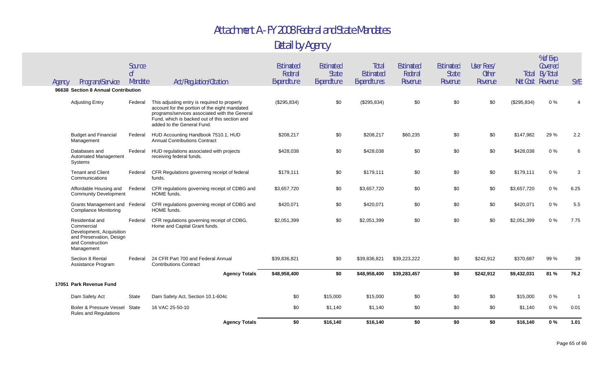|                                                                 |                                                               |               | <b>Agency Totals</b>                                                                                                                                                                                                          | \$0                    | \$16,140                    | \$16,140                  | \$0                | \$0                     | \$0                     | \$16,140    | 0%                                        | 1.01       |
|-----------------------------------------------------------------|---------------------------------------------------------------|---------------|-------------------------------------------------------------------------------------------------------------------------------------------------------------------------------------------------------------------------------|------------------------|-----------------------------|---------------------------|--------------------|-------------------------|-------------------------|-------------|-------------------------------------------|------------|
|                                                                 | Boiler & Pressure Vessel<br><b>Rules and Regulations</b>      | <b>State</b>  | 16 VAC 25-50-10                                                                                                                                                                                                               | \$0                    | \$1,140                     | \$1,140                   | \$0                | \$0                     | \$0                     | \$1,140     | $0\%$                                     | 0.01       |
| Dam Safety Act                                                  |                                                               | State         | Dam Safety Act, Section 10.1-604c                                                                                                                                                                                             | \$0                    | \$15,000                    | \$15,000                  | \$0                | \$0                     | \$0                     | \$15,000    | $0\%$                                     |            |
| 17051 Park Revenue Fund                                         |                                                               |               |                                                                                                                                                                                                                               |                        |                             |                           |                    |                         |                         |             |                                           |            |
|                                                                 |                                                               |               | <b>Agency Totals</b>                                                                                                                                                                                                          | \$48,958,400           | \$0                         | \$48,958,400              | \$39,283,457       | \$0                     | \$242,912               | \$9,432,031 | 81 %                                      | 76.2       |
| Section 8 Rental                                                | Assistance Program                                            | Federal       | 24 CFR Part 700 and Federal Annual<br><b>Contributions Contract</b>                                                                                                                                                           | \$39,836,821           | \$0                         | \$39,836,821              | \$39,223,222       | \$0                     | \$242,912               | \$370,687   | 99 %                                      | 39         |
| Residential and<br>Commercial<br>and Construction<br>Management | Development, Acquisition<br>and Preservation, Design          | Federal       | CFR regulations governing receipt of CDBG,<br>Home and Capital Grant funds.                                                                                                                                                   | \$2,051,399            | \$0                         | \$2,051,399               | \$0                | \$0                     | \$0                     | \$2,051,399 | $0\%$                                     | 7.75       |
|                                                                 | Grants Management and Federal<br><b>Compliance Monitoring</b> |               | CFR regulations governing receipt of CDBG and<br>HOME funds.                                                                                                                                                                  | \$420,071              | \$0                         | \$420,071                 | \$0                | \$0                     | \$0                     | \$420,071   | $0\%$                                     | 5.5        |
|                                                                 | Affordable Housing and<br><b>Community Development</b>        | Federal       | CFR regulations governing receipt of CDBG and<br>HOME funds.                                                                                                                                                                  | \$3,657,720            | \$0                         | \$3,657,720               | \$0                | \$0                     | \$0                     | \$3,657,720 | 0%                                        | 6.25       |
| <b>Tenant and Client</b><br>Communications                      |                                                               | Federal       | CFR Regulations governing receipt of federal<br>funds.                                                                                                                                                                        | \$179.111              | \$0                         | \$179.111                 | \$0                | \$0                     | \$0                     | \$179,111   | 0%                                        | 3          |
| Databases and<br>Systems                                        | Automated Management                                          | Federal       | HUD regulations associated with projects<br>receiving federal funds.                                                                                                                                                          | \$428,038              | \$0                         | \$428,038                 | \$0                | \$0                     | \$0                     | \$428,038   | $0\%$                                     | 6          |
| Management                                                      | <b>Budget and Financial</b>                                   | Federal       | HUD Accounting Handbook 7510.1, HUD<br><b>Annual Contributions Contract</b>                                                                                                                                                   | \$208,217              | \$0                         | \$208,217                 | \$60,235           | \$0                     | \$0                     | \$147,982   | 29 %                                      | 2.2        |
| <b>Adjusting Entry</b>                                          |                                                               | Federal       | This adjusting entry is required to properly<br>account for the portion of the eight mandated<br>programs/services associated with the General<br>Fund, which is backed out of this section and<br>added to the General Fund. | (\$295,834)            | \$0                         | (\$295,834)               | \$0                | \$0                     | \$0                     | (\$295,834) | $0\%$                                     |            |
| 96638 Section 8 Annual Contribution                             |                                                               |               |                                                                                                                                                                                                                               |                        |                             |                           |                    |                         |                         |             |                                           |            |
| Agency                                                          | Program/Service                                               | оf<br>Mandate | Act/Regulation/Citation                                                                                                                                                                                                       | Federal<br>Expenditure | <b>State</b><br>Expenditure | Estimated<br>Expenditures | Federal<br>Revenue | <b>State</b><br>Revenue | <b>Other</b><br>Revenue |             | <b>Total By Total</b><br>Net Cost Revenue | <b>SYE</b> |
|                                                                 |                                                               | Source        |                                                                                                                                                                                                                               | Estimated              | Estimated                   | Total                     | Estimated          | Estimated               | User Fees/              |             | % of Exp.<br>Covered                      |            |